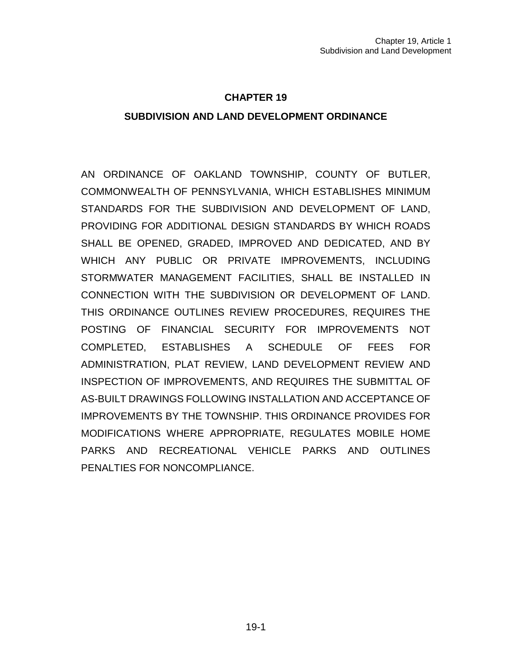#### **CHAPTER 19**

#### **SUBDIVISION AND LAND DEVELOPMENT ORDINANCE**

AN ORDINANCE OF OAKLAND TOWNSHIP, COUNTY OF BUTLER, COMMONWEALTH OF PENNSYLVANIA, WHICH ESTABLISHES MINIMUM STANDARDS FOR THE SUBDIVISION AND DEVELOPMENT OF LAND, PROVIDING FOR ADDITIONAL DESIGN STANDARDS BY WHICH ROADS SHALL BE OPENED, GRADED, IMPROVED AND DEDICATED, AND BY WHICH ANY PUBLIC OR PRIVATE IMPROVEMENTS, INCLUDING STORMWATER MANAGEMENT FACILITIES, SHALL BE INSTALLED IN CONNECTION WITH THE SUBDIVISION OR DEVELOPMENT OF LAND. THIS ORDINANCE OUTLINES REVIEW PROCEDURES, REQUIRES THE POSTING OF FINANCIAL SECURITY FOR IMPROVEMENTS NOT COMPLETED, ESTABLISHES A SCHEDULE OF FEES FOR ADMINISTRATION, PLAT REVIEW, LAND DEVELOPMENT REVIEW AND INSPECTION OF IMPROVEMENTS, AND REQUIRES THE SUBMITTAL OF AS-BUILT DRAWINGS FOLLOWING INSTALLATION AND ACCEPTANCE OF IMPROVEMENTS BY THE TOWNSHIP. THIS ORDINANCE PROVIDES FOR MODIFICATIONS WHERE APPROPRIATE, REGULATES MOBILE HOME PARKS AND RECREATIONAL VEHICLE PARKS AND OUTLINES PENALTIES FOR NONCOMPLIANCE.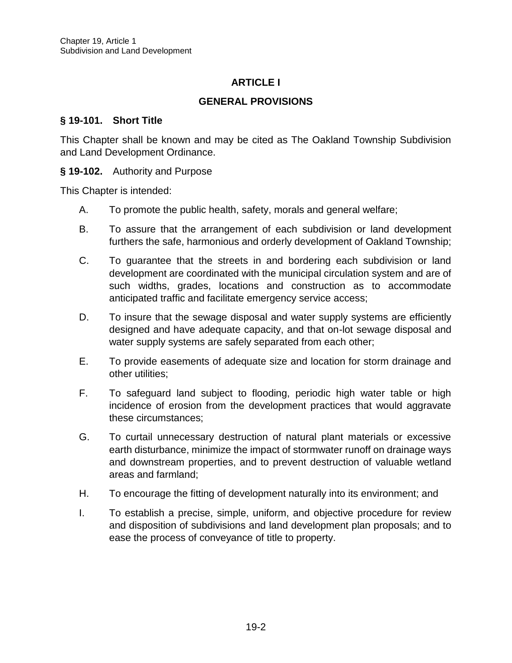## **ARTICLE I**

### **GENERAL PROVISIONS**

#### **§ 19-101. Short Title**

This Chapter shall be known and may be cited as The Oakland Township Subdivision and Land Development Ordinance.

#### **§ 19-102.** Authority and Purpose

This Chapter is intended:

- A. To promote the public health, safety, morals and general welfare;
- B. To assure that the arrangement of each subdivision or land development furthers the safe, harmonious and orderly development of Oakland Township;
- C. To guarantee that the streets in and bordering each subdivision or land development are coordinated with the municipal circulation system and are of such widths, grades, locations and construction as to accommodate anticipated traffic and facilitate emergency service access;
- D. To insure that the sewage disposal and water supply systems are efficiently designed and have adequate capacity, and that on-lot sewage disposal and water supply systems are safely separated from each other;
- E. To provide easements of adequate size and location for storm drainage and other utilities;
- F. To safeguard land subject to flooding, periodic high water table or high incidence of erosion from the development practices that would aggravate these circumstances;
- G. To curtail unnecessary destruction of natural plant materials or excessive earth disturbance, minimize the impact of stormwater runoff on drainage ways and downstream properties, and to prevent destruction of valuable wetland areas and farmland;
- H. To encourage the fitting of development naturally into its environment; and
- I. To establish a precise, simple, uniform, and objective procedure for review and disposition of subdivisions and land development plan proposals; and to ease the process of conveyance of title to property.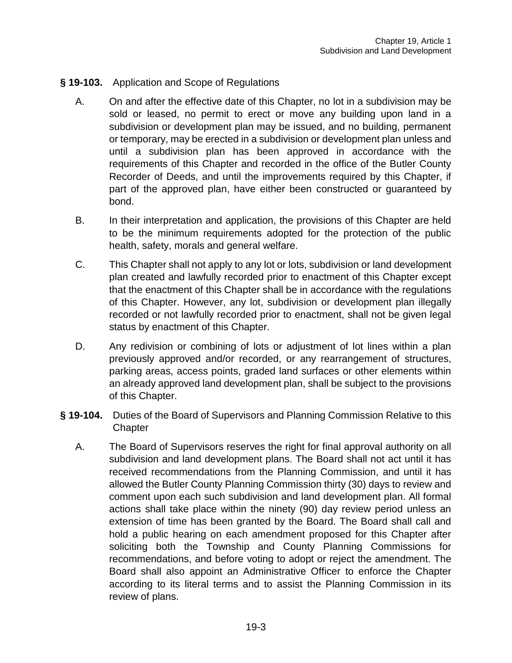- **§ 19-103.** Application and Scope of Regulations
	- A. On and after the effective date of this Chapter, no lot in a subdivision may be sold or leased, no permit to erect or move any building upon land in a subdivision or development plan may be issued, and no building, permanent or temporary, may be erected in a subdivision or development plan unless and until a subdivision plan has been approved in accordance with the requirements of this Chapter and recorded in the office of the Butler County Recorder of Deeds, and until the improvements required by this Chapter, if part of the approved plan, have either been constructed or guaranteed by bond.
	- B. In their interpretation and application, the provisions of this Chapter are held to be the minimum requirements adopted for the protection of the public health, safety, morals and general welfare.
	- C. This Chapter shall not apply to any lot or lots, subdivision or land development plan created and lawfully recorded prior to enactment of this Chapter except that the enactment of this Chapter shall be in accordance with the regulations of this Chapter. However, any lot, subdivision or development plan illegally recorded or not lawfully recorded prior to enactment, shall not be given legal status by enactment of this Chapter.
	- D. Any redivision or combining of lots or adjustment of lot lines within a plan previously approved and/or recorded, or any rearrangement of structures, parking areas, access points, graded land surfaces or other elements within an already approved land development plan, shall be subject to the provisions of this Chapter.
- **§ 19-104.** Duties of the Board of Supervisors and Planning Commission Relative to this **Chapter** 
	- A. The Board of Supervisors reserves the right for final approval authority on all subdivision and land development plans. The Board shall not act until it has received recommendations from the Planning Commission, and until it has allowed the Butler County Planning Commission thirty (30) days to review and comment upon each such subdivision and land development plan. All formal actions shall take place within the ninety (90) day review period unless an extension of time has been granted by the Board. The Board shall call and hold a public hearing on each amendment proposed for this Chapter after soliciting both the Township and County Planning Commissions for recommendations, and before voting to adopt or reject the amendment. The Board shall also appoint an Administrative Officer to enforce the Chapter according to its literal terms and to assist the Planning Commission in its review of plans.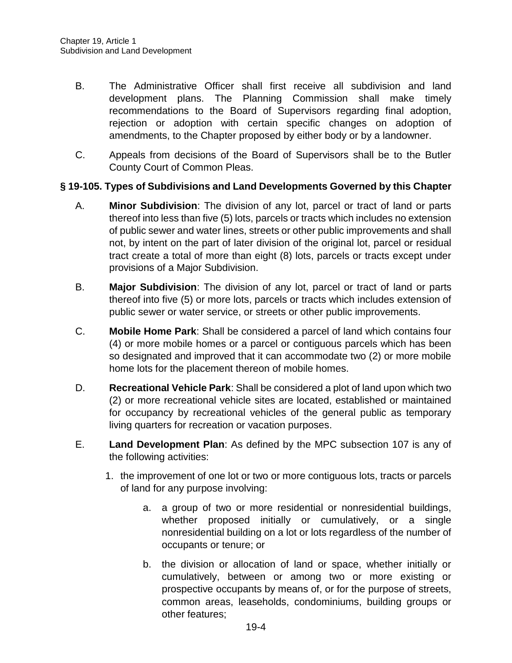- B. The Administrative Officer shall first receive all subdivision and land development plans. The Planning Commission shall make timely recommendations to the Board of Supervisors regarding final adoption, rejection or adoption with certain specific changes on adoption of amendments, to the Chapter proposed by either body or by a landowner.
- C. Appeals from decisions of the Board of Supervisors shall be to the Butler County Court of Common Pleas.

### **§ 19-105. Types of Subdivisions and Land Developments Governed by this Chapter**

- A. **Minor Subdivision**: The division of any lot, parcel or tract of land or parts thereof into less than five (5) lots, parcels or tracts which includes no extension of public sewer and water lines, streets or other public improvements and shall not, by intent on the part of later division of the original lot, parcel or residual tract create a total of more than eight (8) lots, parcels or tracts except under provisions of a Major Subdivision.
- B. **Major Subdivision**: The division of any lot, parcel or tract of land or parts thereof into five (5) or more lots, parcels or tracts which includes extension of public sewer or water service, or streets or other public improvements.
- C. **Mobile Home Park**: Shall be considered a parcel of land which contains four (4) or more mobile homes or a parcel or contiguous parcels which has been so designated and improved that it can accommodate two (2) or more mobile home lots for the placement thereon of mobile homes.
- D. **Recreational Vehicle Park**: Shall be considered a plot of land upon which two (2) or more recreational vehicle sites are located, established or maintained for occupancy by recreational vehicles of the general public as temporary living quarters for recreation or vacation purposes.
- E. **Land Development Plan**: As defined by the MPC subsection 107 is any of the following activities:
	- 1. the improvement of one lot or two or more contiguous lots, tracts or parcels of land for any purpose involving:
		- a. a group of two or more residential or nonresidential buildings, whether proposed initially or cumulatively, or a single nonresidential building on a lot or lots regardless of the number of occupants or tenure; or
		- b. the division or allocation of land or space, whether initially or cumulatively, between or among two or more existing or prospective occupants by means of, or for the purpose of streets, common areas, leaseholds, condominiums, building groups or other features;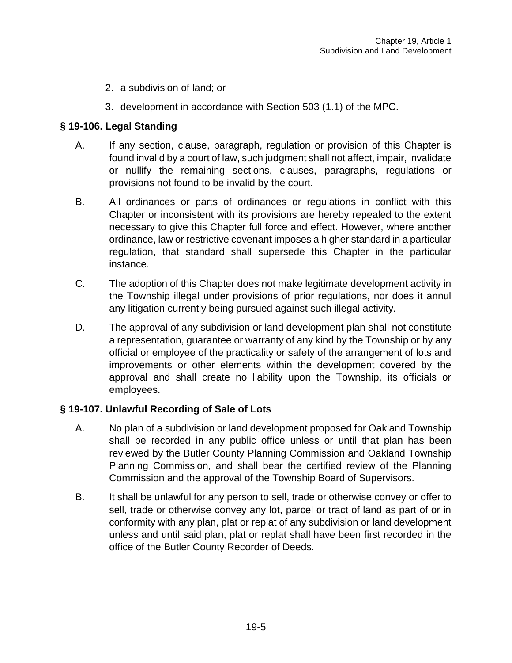- 2. a subdivision of land; or
- 3. development in accordance with Section 503 (1.1) of the MPC.

### **§ 19-106. Legal Standing**

- A. If any section, clause, paragraph, regulation or provision of this Chapter is found invalid by a court of law, such judgment shall not affect, impair, invalidate or nullify the remaining sections, clauses, paragraphs, regulations or provisions not found to be invalid by the court.
- B. All ordinances or parts of ordinances or regulations in conflict with this Chapter or inconsistent with its provisions are hereby repealed to the extent necessary to give this Chapter full force and effect. However, where another ordinance, law or restrictive covenant imposes a higher standard in a particular regulation, that standard shall supersede this Chapter in the particular instance.
- C. The adoption of this Chapter does not make legitimate development activity in the Township illegal under provisions of prior regulations, nor does it annul any litigation currently being pursued against such illegal activity.
- D. The approval of any subdivision or land development plan shall not constitute a representation, guarantee or warranty of any kind by the Township or by any official or employee of the practicality or safety of the arrangement of lots and improvements or other elements within the development covered by the approval and shall create no liability upon the Township, its officials or employees.

## **§ 19-107. Unlawful Recording of Sale of Lots**

- A. No plan of a subdivision or land development proposed for Oakland Township shall be recorded in any public office unless or until that plan has been reviewed by the Butler County Planning Commission and Oakland Township Planning Commission, and shall bear the certified review of the Planning Commission and the approval of the Township Board of Supervisors.
- B. It shall be unlawful for any person to sell, trade or otherwise convey or offer to sell, trade or otherwise convey any lot, parcel or tract of land as part of or in conformity with any plan, plat or replat of any subdivision or land development unless and until said plan, plat or replat shall have been first recorded in the office of the Butler County Recorder of Deeds.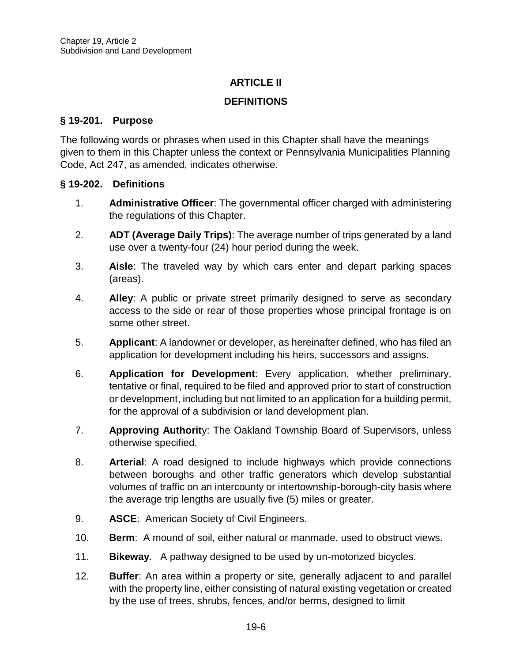### **ARTICLE II**

#### **DEFINITIONS**

#### **§ 19-201. Purpose**

The following words or phrases when used in this Chapter shall have the meanings given to them in this Chapter unless the context or Pennsylvania Municipalities Planning Code, Act 247, as amended, indicates otherwise.

#### **§ 19-202. Definitions**

- 1. **Administrative Officer**: The governmental officer charged with administering the regulations of this Chapter.
- 2. **ADT (Average Daily Trips)**: The average number of trips generated by a land use over a twenty-four (24) hour period during the week.
- 3. **Aisle**: The traveled way by which cars enter and depart parking spaces (areas).
- 4. **Alley**: A public or private street primarily designed to serve as secondary access to the side or rear of those properties whose principal frontage is on some other street.
- 5. **Applicant**: A landowner or developer, as hereinafter defined, who has filed an application for development including his heirs, successors and assigns.
- 6. **Application for Development**: Every application, whether preliminary, tentative or final, required to be filed and approved prior to start of construction or development, including but not limited to an application for a building permit, for the approval of a subdivision or land development plan.
- 7. **Approving Authorit**y: The Oakland Township Board of Supervisors, unless otherwise specified.
- 8. **Arterial**: A road designed to include highways which provide connections between boroughs and other traffic generators which develop substantial volumes of traffic on an intercounty or intertownship-borough-city basis where the average trip lengths are usually five (5) miles or greater.
- 9. **ASCE**: American Society of Civil Engineers.
- 10. **Berm**: A mound of soil, either natural or manmade, used to obstruct views.
- 11. **Bikeway**. A pathway designed to be used by un-motorized bicycles.
- 12. **Buffer**: An area within a property or site, generally adjacent to and parallel with the property line, either consisting of natural existing vegetation or created by the use of trees, shrubs, fences, and/or berms, designed to limit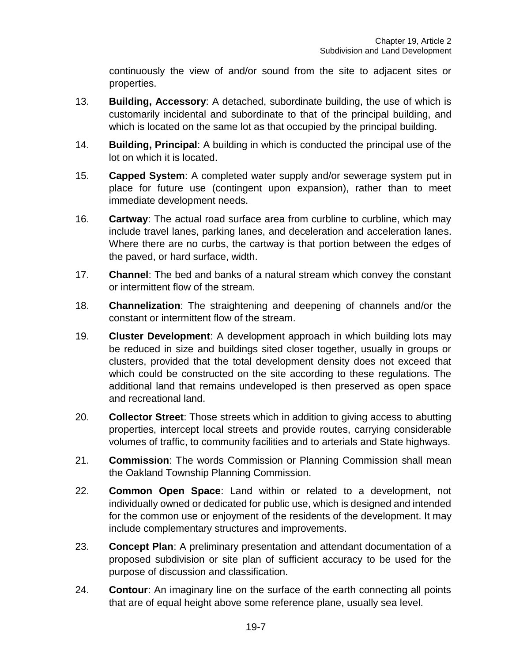continuously the view of and/or sound from the site to adjacent sites or properties.

- 13. **Building, Accessory**: A detached, subordinate building, the use of which is customarily incidental and subordinate to that of the principal building, and which is located on the same lot as that occupied by the principal building.
- 14. **Building, Principal**: A building in which is conducted the principal use of the lot on which it is located.
- 15. **Capped System**: A completed water supply and/or sewerage system put in place for future use (contingent upon expansion), rather than to meet immediate development needs.
- 16. **Cartway**: The actual road surface area from curbline to curbline, which may include travel lanes, parking lanes, and deceleration and acceleration lanes. Where there are no curbs, the cartway is that portion between the edges of the paved, or hard surface, width.
- 17. **Channel**: The bed and banks of a natural stream which convey the constant or intermittent flow of the stream.
- 18. **Channelization**: The straightening and deepening of channels and/or the constant or intermittent flow of the stream.
- 19. **Cluster Development**: A development approach in which building lots may be reduced in size and buildings sited closer together, usually in groups or clusters, provided that the total development density does not exceed that which could be constructed on the site according to these regulations. The additional land that remains undeveloped is then preserved as open space and recreational land.
- 20. **Collector Street**: Those streets which in addition to giving access to abutting properties, intercept local streets and provide routes, carrying considerable volumes of traffic, to community facilities and to arterials and State highways.
- 21. **Commission**: The words Commission or Planning Commission shall mean the Oakland Township Planning Commission.
- 22. **Common Open Space**: Land within or related to a development, not individually owned or dedicated for public use, which is designed and intended for the common use or enjoyment of the residents of the development. It may include complementary structures and improvements.
- 23. **Concept Plan**: A preliminary presentation and attendant documentation of a proposed subdivision or site plan of sufficient accuracy to be used for the purpose of discussion and classification.
- 24. **Contour**: An imaginary line on the surface of the earth connecting all points that are of equal height above some reference plane, usually sea level.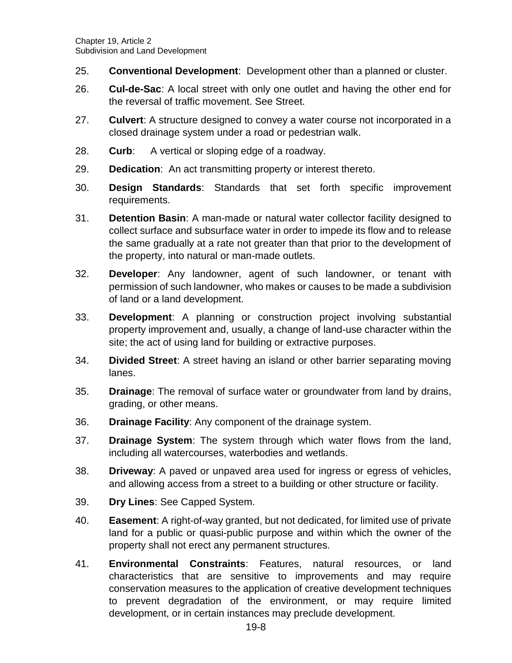- 25. **Conventional Development**: Development other than a planned or cluster.
- 26. **Cul-de-Sac**: A local street with only one outlet and having the other end for the reversal of traffic movement. See Street.
- 27. **Culvert**: A structure designed to convey a water course not incorporated in a closed drainage system under a road or pedestrian walk.
- 28. **Curb**: A vertical or sloping edge of a roadway.
- 29. **Dedication**: An act transmitting property or interest thereto.
- 30. **Design Standards**: Standards that set forth specific improvement requirements.
- 31. **Detention Basin**: A man-made or natural water collector facility designed to collect surface and subsurface water in order to impede its flow and to release the same gradually at a rate not greater than that prior to the development of the property, into natural or man-made outlets.
- 32. **Developer**: Any landowner, agent of such landowner, or tenant with permission of such landowner, who makes or causes to be made a subdivision of land or a land development.
- 33. **Development**: A planning or construction project involving substantial property improvement and, usually, a change of land-use character within the site; the act of using land for building or extractive purposes.
- 34. **Divided Street**: A street having an island or other barrier separating moving lanes.
- 35. **Drainage**: The removal of surface water or groundwater from land by drains, grading, or other means.
- 36. **Drainage Facility**: Any component of the drainage system.
- 37. **Drainage System**: The system through which water flows from the land, including all watercourses, waterbodies and wetlands.
- 38. **Driveway**: A paved or unpaved area used for ingress or egress of vehicles, and allowing access from a street to a building or other structure or facility.
- 39. **Dry Lines**: See Capped System.
- 40. **Easement**: A right-of-way granted, but not dedicated, for limited use of private land for a public or quasi-public purpose and within which the owner of the property shall not erect any permanent structures.
- 41. **Environmental Constraints**: Features, natural resources, or land characteristics that are sensitive to improvements and may require conservation measures to the application of creative development techniques to prevent degradation of the environment, or may require limited development, or in certain instances may preclude development.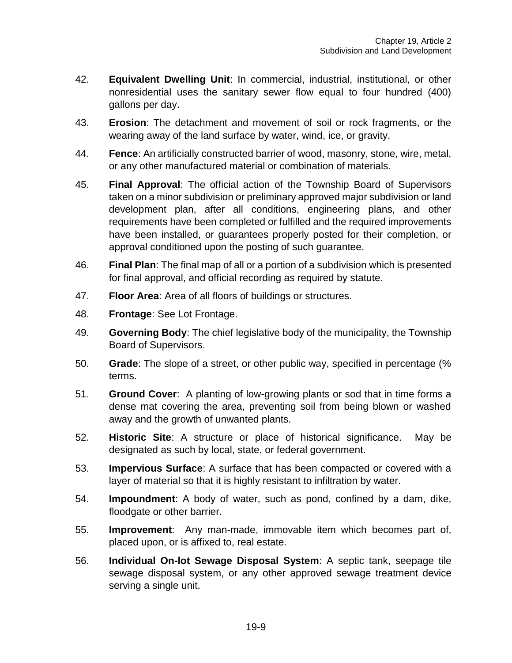- 42. **Equivalent Dwelling Unit**: In commercial, industrial, institutional, or other nonresidential uses the sanitary sewer flow equal to four hundred (400) gallons per day.
- 43. **Erosion**: The detachment and movement of soil or rock fragments, or the wearing away of the land surface by water, wind, ice, or gravity.
- 44. **Fence**: An artificially constructed barrier of wood, masonry, stone, wire, metal, or any other manufactured material or combination of materials.
- 45. **Final Approval**: The official action of the Township Board of Supervisors taken on a minor subdivision or preliminary approved major subdivision or land development plan, after all conditions, engineering plans, and other requirements have been completed or fulfilled and the required improvements have been installed, or guarantees properly posted for their completion, or approval conditioned upon the posting of such guarantee.
- 46. **Final Plan**: The final map of all or a portion of a subdivision which is presented for final approval, and official recording as required by statute.
- 47. **Floor Area**: Area of all floors of buildings or structures.
- 48. **Frontage**: See Lot Frontage.
- 49. **Governing Body**: The chief legislative body of the municipality, the Township Board of Supervisors.
- 50. **Grade**: The slope of a street, or other public way, specified in percentage (% terms.
- 51. **Ground Cover**: A planting of low-growing plants or sod that in time forms a dense mat covering the area, preventing soil from being blown or washed away and the growth of unwanted plants.
- 52. **Historic Site**: A structure or place of historical significance. May be designated as such by local, state, or federal government.
- 53. **Impervious Surface**: A surface that has been compacted or covered with a layer of material so that it is highly resistant to infiltration by water.
- 54. **Impoundment**: A body of water, such as pond, confined by a dam, dike, floodgate or other barrier.
- 55. **Improvement**: Any man-made, immovable item which becomes part of, placed upon, or is affixed to, real estate.
- 56. **Individual On-lot Sewage Disposal System**: A septic tank, seepage tile sewage disposal system, or any other approved sewage treatment device serving a single unit.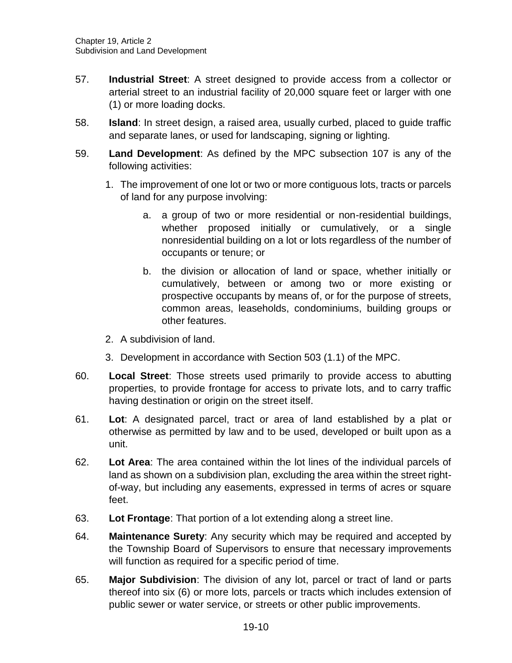- 57. **Industrial Street**: A street designed to provide access from a collector or arterial street to an industrial facility of 20,000 square feet or larger with one (1) or more loading docks.
- 58. **Island**: In street design, a raised area, usually curbed, placed to guide traffic and separate lanes, or used for landscaping, signing or lighting.
- 59. **Land Development**: As defined by the MPC subsection 107 is any of the following activities:
	- 1. The improvement of one lot or two or more contiguous lots, tracts or parcels of land for any purpose involving:
		- a. a group of two or more residential or non-residential buildings, whether proposed initially or cumulatively, or a single nonresidential building on a lot or lots regardless of the number of occupants or tenure; or
		- b. the division or allocation of land or space, whether initially or cumulatively, between or among two or more existing or prospective occupants by means of, or for the purpose of streets, common areas, leaseholds, condominiums, building groups or other features.
	- 2. A subdivision of land.
	- 3. Development in accordance with Section 503 (1.1) of the MPC.
- 60. **Local Street**: Those streets used primarily to provide access to abutting properties, to provide frontage for access to private lots, and to carry traffic having destination or origin on the street itself.
- 61. **Lot**: A designated parcel, tract or area of land established by a plat or otherwise as permitted by law and to be used, developed or built upon as a unit.
- 62. **Lot Area**: The area contained within the lot lines of the individual parcels of land as shown on a subdivision plan, excluding the area within the street rightof-way, but including any easements, expressed in terms of acres or square feet.
- 63. **Lot Frontage**: That portion of a lot extending along a street line.
- 64. **Maintenance Surety**: Any security which may be required and accepted by the Township Board of Supervisors to ensure that necessary improvements will function as required for a specific period of time.
- 65. **Major Subdivision**: The division of any lot, parcel or tract of land or parts thereof into six (6) or more lots, parcels or tracts which includes extension of public sewer or water service, or streets or other public improvements.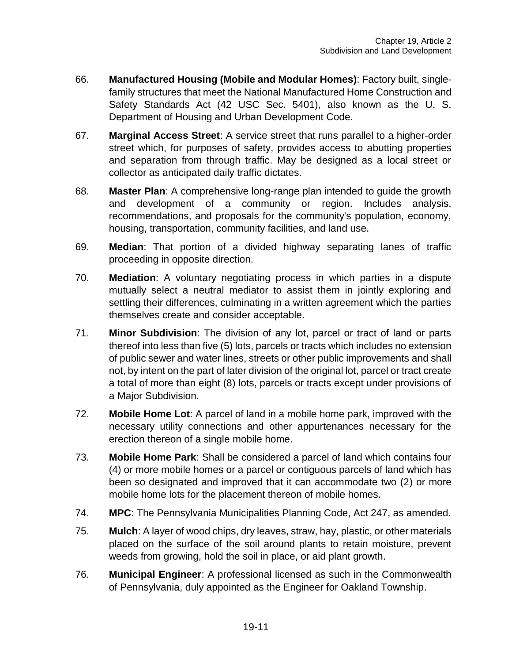- 66. **Manufactured Housing (Mobile and Modular Homes)**: Factory built, singlefamily structures that meet the National Manufactured Home Construction and Safety Standards Act (42 USC Sec. 5401), also known as the U. S. Department of Housing and Urban Development Code.
- 67. **Marginal Access Street**: A service street that runs parallel to a higher-order street which, for purposes of safety, provides access to abutting properties and separation from through traffic. May be designed as a local street or collector as anticipated daily traffic dictates.
- 68. **Master Plan**: A comprehensive long-range plan intended to guide the growth and development of a community or region. Includes analysis, recommendations, and proposals for the community's population, economy, housing, transportation, community facilities, and land use.
- 69. **Median**: That portion of a divided highway separating lanes of traffic proceeding in opposite direction.
- 70. **Mediation**: A voluntary negotiating process in which parties in a dispute mutually select a neutral mediator to assist them in jointly exploring and settling their differences, culminating in a written agreement which the parties themselves create and consider acceptable.
- 71. **Minor Subdivision**: The division of any lot, parcel or tract of land or parts thereof into less than five (5) lots, parcels or tracts which includes no extension of public sewer and water lines, streets or other public improvements and shall not, by intent on the part of later division of the original lot, parcel or tract create a total of more than eight (8) lots, parcels or tracts except under provisions of a Major Subdivision.
- 72. **Mobile Home Lot**: A parcel of land in a mobile home park, improved with the necessary utility connections and other appurtenances necessary for the erection thereon of a single mobile home.
- 73. **Mobile Home Park**: Shall be considered a parcel of land which contains four (4) or more mobile homes or a parcel or contiguous parcels of land which has been so designated and improved that it can accommodate two (2) or more mobile home lots for the placement thereon of mobile homes.
- 74. **MPC**: The Pennsylvania Municipalities Planning Code, Act 247, as amended.
- 75. **Mulch**: A layer of wood chips, dry leaves, straw, hay, plastic, or other materials placed on the surface of the soil around plants to retain moisture, prevent weeds from growing, hold the soil in place, or aid plant growth.
- 76. **Municipal Engineer**: A professional licensed as such in the Commonwealth of Pennsylvania, duly appointed as the Engineer for Oakland Township.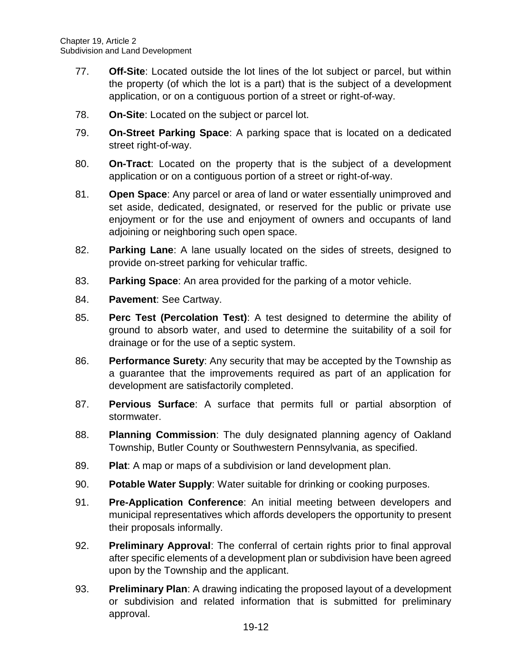- 77. **Off-Site**: Located outside the lot lines of the lot subject or parcel, but within the property (of which the lot is a part) that is the subject of a development application, or on a contiguous portion of a street or right-of-way.
- 78. **On-Site**: Located on the subject or parcel lot.
- 79. **On-Street Parking Space**: A parking space that is located on a dedicated street right-of-way.
- 80. **On-Tract**: Located on the property that is the subject of a development application or on a contiguous portion of a street or right-of-way.
- 81. **Open Space**: Any parcel or area of land or water essentially unimproved and set aside, dedicated, designated, or reserved for the public or private use enjoyment or for the use and enjoyment of owners and occupants of land adjoining or neighboring such open space.
- 82. **Parking Lane**: A lane usually located on the sides of streets, designed to provide on-street parking for vehicular traffic.
- 83. **Parking Space**: An area provided for the parking of a motor vehicle.
- 84. **Pavement**: See Cartway.
- 85. **Perc Test (Percolation Test)**: A test designed to determine the ability of ground to absorb water, and used to determine the suitability of a soil for drainage or for the use of a septic system.
- 86. **Performance Surety**: Any security that may be accepted by the Township as a guarantee that the improvements required as part of an application for development are satisfactorily completed.
- 87. **Pervious Surface**: A surface that permits full or partial absorption of stormwater.
- 88. **Planning Commission**: The duly designated planning agency of Oakland Township, Butler County or Southwestern Pennsylvania, as specified.
- 89. **Plat**: A map or maps of a subdivision or land development plan.
- 90. **Potable Water Supply**: Water suitable for drinking or cooking purposes.
- 91. **Pre-Application Conference**: An initial meeting between developers and municipal representatives which affords developers the opportunity to present their proposals informally.
- 92. **Preliminary Approval**: The conferral of certain rights prior to final approval after specific elements of a development plan or subdivision have been agreed upon by the Township and the applicant.
- 93. **Preliminary Plan**: A drawing indicating the proposed layout of a development or subdivision and related information that is submitted for preliminary approval.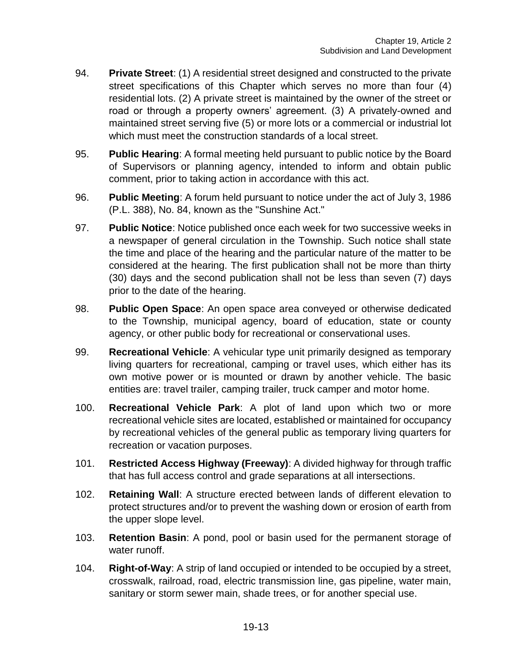- 94. **Private Street**: (1) A residential street designed and constructed to the private street specifications of this Chapter which serves no more than four (4) residential lots. (2) A private street is maintained by the owner of the street or road or through a property owners' agreement. (3) A privately-owned and maintained street serving five (5) or more lots or a commercial or industrial lot which must meet the construction standards of a local street.
- 95. **Public Hearing**: A formal meeting held pursuant to public notice by the Board of Supervisors or planning agency, intended to inform and obtain public comment, prior to taking action in accordance with this act.
- 96. **Public Meeting**: A forum held pursuant to notice under the act of July 3, 1986 (P.L. 388), No. 84, known as the "Sunshine Act."
- 97. **Public Notice**: Notice published once each week for two successive weeks in a newspaper of general circulation in the Township. Such notice shall state the time and place of the hearing and the particular nature of the matter to be considered at the hearing. The first publication shall not be more than thirty (30) days and the second publication shall not be less than seven (7) days prior to the date of the hearing.
- 98. **Public Open Space**: An open space area conveyed or otherwise dedicated to the Township, municipal agency, board of education, state or county agency, or other public body for recreational or conservational uses.
- 99. **Recreational Vehicle**: A vehicular type unit primarily designed as temporary living quarters for recreational, camping or travel uses, which either has its own motive power or is mounted or drawn by another vehicle. The basic entities are: travel trailer, camping trailer, truck camper and motor home.
- 100. **Recreational Vehicle Park**: A plot of land upon which two or more recreational vehicle sites are located, established or maintained for occupancy by recreational vehicles of the general public as temporary living quarters for recreation or vacation purposes.
- 101. **Restricted Access Highway (Freeway)**: A divided highway for through traffic that has full access control and grade separations at all intersections.
- 102. **Retaining Wall**: A structure erected between lands of different elevation to protect structures and/or to prevent the washing down or erosion of earth from the upper slope level.
- 103. **Retention Basin**: A pond, pool or basin used for the permanent storage of water runoff.
- 104. **Right-of-Way**: A strip of land occupied or intended to be occupied by a street, crosswalk, railroad, road, electric transmission line, gas pipeline, water main, sanitary or storm sewer main, shade trees, or for another special use.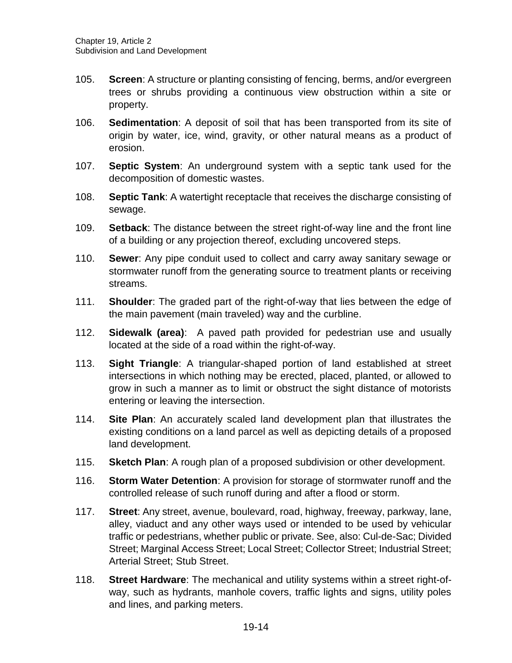- 105. **Screen**: A structure or planting consisting of fencing, berms, and/or evergreen trees or shrubs providing a continuous view obstruction within a site or property.
- 106. **Sedimentation**: A deposit of soil that has been transported from its site of origin by water, ice, wind, gravity, or other natural means as a product of erosion.
- 107. **Septic System**: An underground system with a septic tank used for the decomposition of domestic wastes.
- 108. **Septic Tank**: A watertight receptacle that receives the discharge consisting of sewage.
- 109. **Setback**: The distance between the street right-of-way line and the front line of a building or any projection thereof, excluding uncovered steps.
- 110. **Sewer**: Any pipe conduit used to collect and carry away sanitary sewage or stormwater runoff from the generating source to treatment plants or receiving streams.
- 111. **Shoulder**: The graded part of the right-of-way that lies between the edge of the main pavement (main traveled) way and the curbline.
- 112. **Sidewalk (area)**: A paved path provided for pedestrian use and usually located at the side of a road within the right-of-way.
- 113. **Sight Triangle**: A triangular-shaped portion of land established at street intersections in which nothing may be erected, placed, planted, or allowed to grow in such a manner as to limit or obstruct the sight distance of motorists entering or leaving the intersection.
- 114. **Site Plan**: An accurately scaled land development plan that illustrates the existing conditions on a land parcel as well as depicting details of a proposed land development.
- 115. **Sketch Plan**: A rough plan of a proposed subdivision or other development.
- 116. **Storm Water Detention**: A provision for storage of stormwater runoff and the controlled release of such runoff during and after a flood or storm.
- 117. **Street**: Any street, avenue, boulevard, road, highway, freeway, parkway, lane, alley, viaduct and any other ways used or intended to be used by vehicular traffic or pedestrians, whether public or private. See, also: Cul-de-Sac; Divided Street; Marginal Access Street; Local Street; Collector Street; Industrial Street; Arterial Street; Stub Street.
- 118. **Street Hardware**: The mechanical and utility systems within a street right-ofway, such as hydrants, manhole covers, traffic lights and signs, utility poles and lines, and parking meters.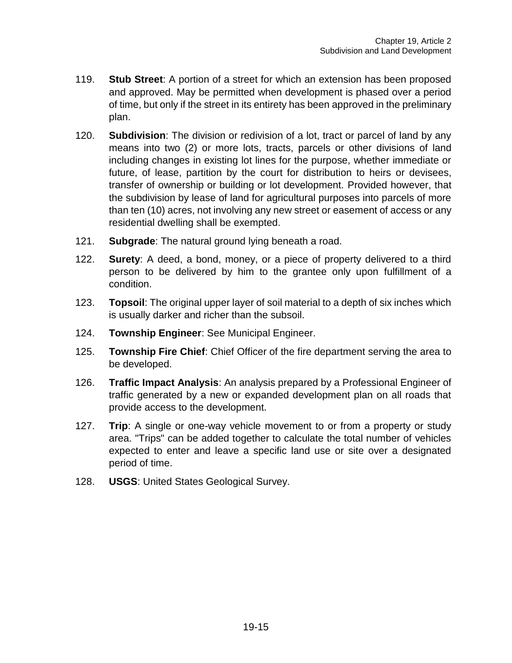- 119. **Stub Street**: A portion of a street for which an extension has been proposed and approved. May be permitted when development is phased over a period of time, but only if the street in its entirety has been approved in the preliminary plan.
- 120. **Subdivision**: The division or redivision of a lot, tract or parcel of land by any means into two (2) or more lots, tracts, parcels or other divisions of land including changes in existing lot lines for the purpose, whether immediate or future, of lease, partition by the court for distribution to heirs or devisees, transfer of ownership or building or lot development. Provided however, that the subdivision by lease of land for agricultural purposes into parcels of more than ten (10) acres, not involving any new street or easement of access or any residential dwelling shall be exempted.
- 121. **Subgrade**: The natural ground lying beneath a road.
- 122. **Surety**: A deed, a bond, money, or a piece of property delivered to a third person to be delivered by him to the grantee only upon fulfillment of a condition.
- 123. **Topsoil**: The original upper layer of soil material to a depth of six inches which is usually darker and richer than the subsoil.
- 124. **Township Engineer**: See Municipal Engineer.
- 125. **Township Fire Chief**: Chief Officer of the fire department serving the area to be developed.
- 126. **Traffic Impact Analysis**: An analysis prepared by a Professional Engineer of traffic generated by a new or expanded development plan on all roads that provide access to the development.
- 127. **Trip**: A single or one-way vehicle movement to or from a property or study area. "Trips" can be added together to calculate the total number of vehicles expected to enter and leave a specific land use or site over a designated period of time.
- 128. **USGS**: United States Geological Survey.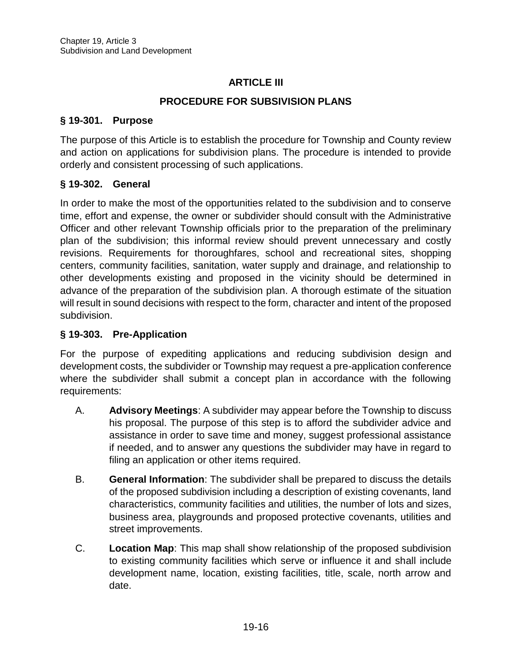## **ARTICLE III**

## **PROCEDURE FOR SUBSIVISION PLANS**

### **§ 19-301. Purpose**

The purpose of this Article is to establish the procedure for Township and County review and action on applications for subdivision plans. The procedure is intended to provide orderly and consistent processing of such applications.

### **§ 19-302. General**

In order to make the most of the opportunities related to the subdivision and to conserve time, effort and expense, the owner or subdivider should consult with the Administrative Officer and other relevant Township officials prior to the preparation of the preliminary plan of the subdivision; this informal review should prevent unnecessary and costly revisions. Requirements for thoroughfares, school and recreational sites, shopping centers, community facilities, sanitation, water supply and drainage, and relationship to other developments existing and proposed in the vicinity should be determined in advance of the preparation of the subdivision plan. A thorough estimate of the situation will result in sound decisions with respect to the form, character and intent of the proposed subdivision.

#### **§ 19-303. Pre-Application**

For the purpose of expediting applications and reducing subdivision design and development costs, the subdivider or Township may request a pre-application conference where the subdivider shall submit a concept plan in accordance with the following requirements:

- A. **Advisory Meetings**: A subdivider may appear before the Township to discuss his proposal. The purpose of this step is to afford the subdivider advice and assistance in order to save time and money, suggest professional assistance if needed, and to answer any questions the subdivider may have in regard to filing an application or other items required.
- B. **General Information**: The subdivider shall be prepared to discuss the details of the proposed subdivision including a description of existing covenants, land characteristics, community facilities and utilities, the number of lots and sizes, business area, playgrounds and proposed protective covenants, utilities and street improvements.
- C. **Location Map**: This map shall show relationship of the proposed subdivision to existing community facilities which serve or influence it and shall include development name, location, existing facilities, title, scale, north arrow and date.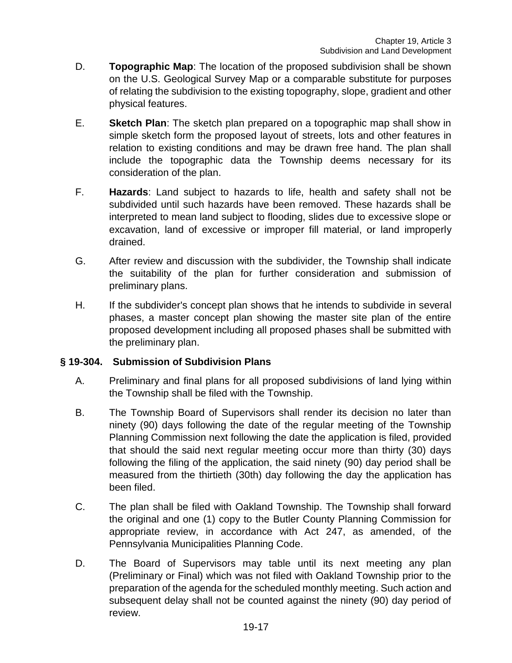- D. **Topographic Map**: The location of the proposed subdivision shall be shown on the U.S. Geological Survey Map or a comparable substitute for purposes of relating the subdivision to the existing topography, slope, gradient and other physical features.
- E. **Sketch Plan**: The sketch plan prepared on a topographic map shall show in simple sketch form the proposed layout of streets, lots and other features in relation to existing conditions and may be drawn free hand. The plan shall include the topographic data the Township deems necessary for its consideration of the plan.
- F. **Hazards**: Land subject to hazards to life, health and safety shall not be subdivided until such hazards have been removed. These hazards shall be interpreted to mean land subject to flooding, slides due to excessive slope or excavation, land of excessive or improper fill material, or land improperly drained.
- G. After review and discussion with the subdivider, the Township shall indicate the suitability of the plan for further consideration and submission of preliminary plans.
- H. If the subdivider's concept plan shows that he intends to subdivide in several phases, a master concept plan showing the master site plan of the entire proposed development including all proposed phases shall be submitted with the preliminary plan.

#### **§ 19-304. Submission of Subdivision Plans**

- A. Preliminary and final plans for all proposed subdivisions of land lying within the Township shall be filed with the Township.
- B. The Township Board of Supervisors shall render its decision no later than ninety (90) days following the date of the regular meeting of the Township Planning Commission next following the date the application is filed, provided that should the said next regular meeting occur more than thirty (30) days following the filing of the application, the said ninety (90) day period shall be measured from the thirtieth (30th) day following the day the application has been filed.
- C. The plan shall be filed with Oakland Township. The Township shall forward the original and one (1) copy to the Butler County Planning Commission for appropriate review, in accordance with Act 247, as amended, of the Pennsylvania Municipalities Planning Code.
- D. The Board of Supervisors may table until its next meeting any plan (Preliminary or Final) which was not filed with Oakland Township prior to the preparation of the agenda for the scheduled monthly meeting. Such action and subsequent delay shall not be counted against the ninety (90) day period of review.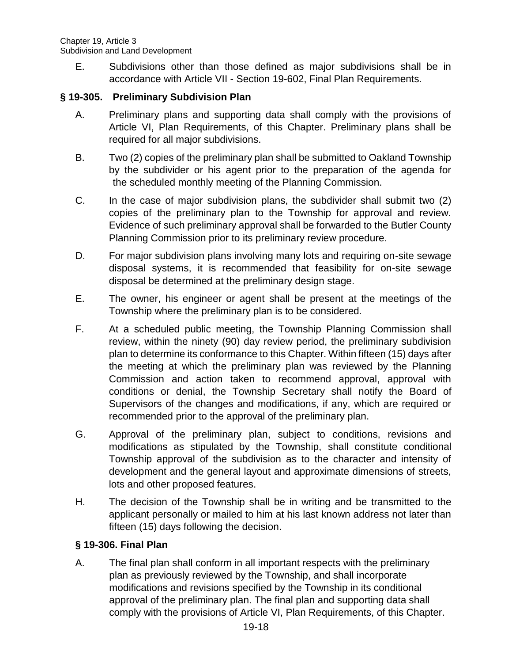Chapter 19, Article 3 Subdivision and Land Development

> E. Subdivisions other than those defined as major subdivisions shall be in accordance with Article VII - Section 19-602, Final Plan Requirements.

## **§ 19-305. Preliminary Subdivision Plan**

- A. Preliminary plans and supporting data shall comply with the provisions of Article VI, Plan Requirements, of this Chapter. Preliminary plans shall be required for all major subdivisions.
- B. Two (2) copies of the preliminary plan shall be submitted to Oakland Township by the subdivider or his agent prior to the preparation of the agenda for the scheduled monthly meeting of the Planning Commission.
- C. In the case of major subdivision plans, the subdivider shall submit two (2) copies of the preliminary plan to the Township for approval and review. Evidence of such preliminary approval shall be forwarded to the Butler County Planning Commission prior to its preliminary review procedure.
- D. For major subdivision plans involving many lots and requiring on-site sewage disposal systems, it is recommended that feasibility for on-site sewage disposal be determined at the preliminary design stage.
- E. The owner, his engineer or agent shall be present at the meetings of the Township where the preliminary plan is to be considered.
- F. At a scheduled public meeting, the Township Planning Commission shall review, within the ninety (90) day review period, the preliminary subdivision plan to determine its conformance to this Chapter. Within fifteen (15) days after the meeting at which the preliminary plan was reviewed by the Planning Commission and action taken to recommend approval, approval with conditions or denial, the Township Secretary shall notify the Board of Supervisors of the changes and modifications, if any, which are required or recommended prior to the approval of the preliminary plan.
- G. Approval of the preliminary plan, subject to conditions, revisions and modifications as stipulated by the Township, shall constitute conditional Township approval of the subdivision as to the character and intensity of development and the general layout and approximate dimensions of streets, lots and other proposed features.
- H. The decision of the Township shall be in writing and be transmitted to the applicant personally or mailed to him at his last known address not later than fifteen (15) days following the decision.

## **§ 19-306. Final Plan**

A. The final plan shall conform in all important respects with the preliminary plan as previously reviewed by the Township, and shall incorporate modifications and revisions specified by the Township in its conditional approval of the preliminary plan. The final plan and supporting data shall comply with the provisions of Article VI, Plan Requirements, of this Chapter.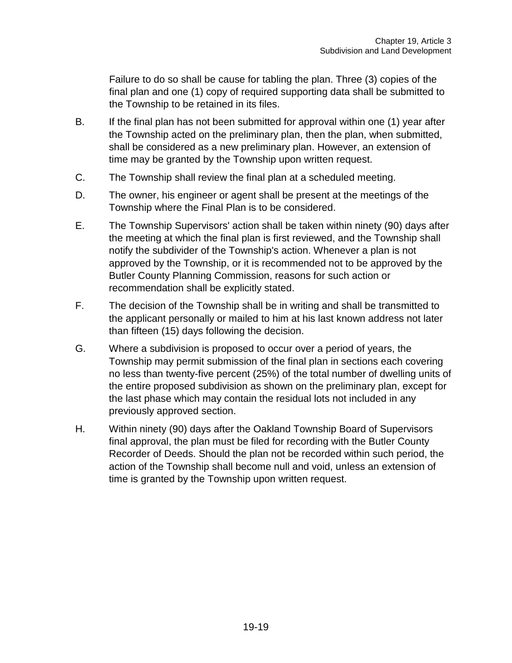Failure to do so shall be cause for tabling the plan. Three (3) copies of the final plan and one (1) copy of required supporting data shall be submitted to the Township to be retained in its files.

- B. If the final plan has not been submitted for approval within one (1) year after the Township acted on the preliminary plan, then the plan, when submitted, shall be considered as a new preliminary plan. However, an extension of time may be granted by the Township upon written request.
- C. The Township shall review the final plan at a scheduled meeting.
- D. The owner, his engineer or agent shall be present at the meetings of the Township where the Final Plan is to be considered.
- E. The Township Supervisors' action shall be taken within ninety (90) days after the meeting at which the final plan is first reviewed, and the Township shall notify the subdivider of the Township's action. Whenever a plan is not approved by the Township, or it is recommended not to be approved by the Butler County Planning Commission, reasons for such action or recommendation shall be explicitly stated.
- F. The decision of the Township shall be in writing and shall be transmitted to the applicant personally or mailed to him at his last known address not later than fifteen (15) days following the decision.
- G. Where a subdivision is proposed to occur over a period of years, the Township may permit submission of the final plan in sections each covering no less than twenty-five percent (25%) of the total number of dwelling units of the entire proposed subdivision as shown on the preliminary plan, except for the last phase which may contain the residual lots not included in any previously approved section.
- H. Within ninety (90) days after the Oakland Township Board of Supervisors final approval, the plan must be filed for recording with the Butler County Recorder of Deeds. Should the plan not be recorded within such period, the action of the Township shall become null and void, unless an extension of time is granted by the Township upon written request.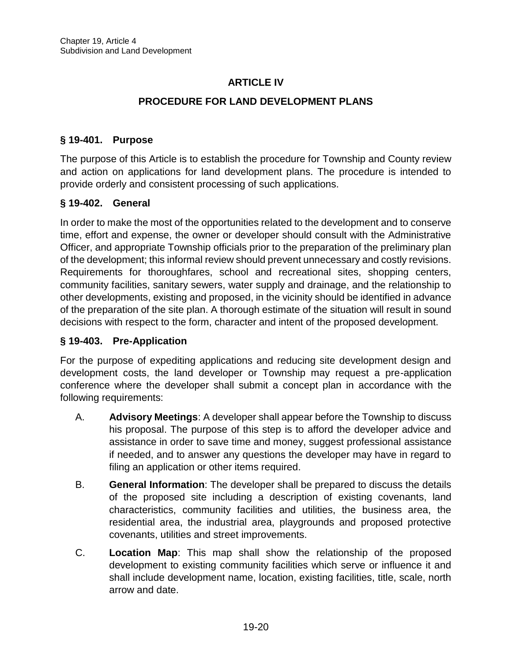## **ARTICLE IV**

## **PROCEDURE FOR LAND DEVELOPMENT PLANS**

### **§ 19-401. Purpose**

The purpose of this Article is to establish the procedure for Township and County review and action on applications for land development plans. The procedure is intended to provide orderly and consistent processing of such applications.

### **§ 19-402. General**

In order to make the most of the opportunities related to the development and to conserve time, effort and expense, the owner or developer should consult with the Administrative Officer, and appropriate Township officials prior to the preparation of the preliminary plan of the development; this informal review should prevent unnecessary and costly revisions. Requirements for thoroughfares, school and recreational sites, shopping centers, community facilities, sanitary sewers, water supply and drainage, and the relationship to other developments, existing and proposed, in the vicinity should be identified in advance of the preparation of the site plan. A thorough estimate of the situation will result in sound decisions with respect to the form, character and intent of the proposed development.

#### **§ 19-403. Pre-Application**

For the purpose of expediting applications and reducing site development design and development costs, the land developer or Township may request a pre-application conference where the developer shall submit a concept plan in accordance with the following requirements:

- A. **Advisory Meetings**: A developer shall appear before the Township to discuss his proposal. The purpose of this step is to afford the developer advice and assistance in order to save time and money, suggest professional assistance if needed, and to answer any questions the developer may have in regard to filing an application or other items required.
- B. **General Information**: The developer shall be prepared to discuss the details of the proposed site including a description of existing covenants, land characteristics, community facilities and utilities, the business area, the residential area, the industrial area, playgrounds and proposed protective covenants, utilities and street improvements.
- C. **Location Map**: This map shall show the relationship of the proposed development to existing community facilities which serve or influence it and shall include development name, location, existing facilities, title, scale, north arrow and date.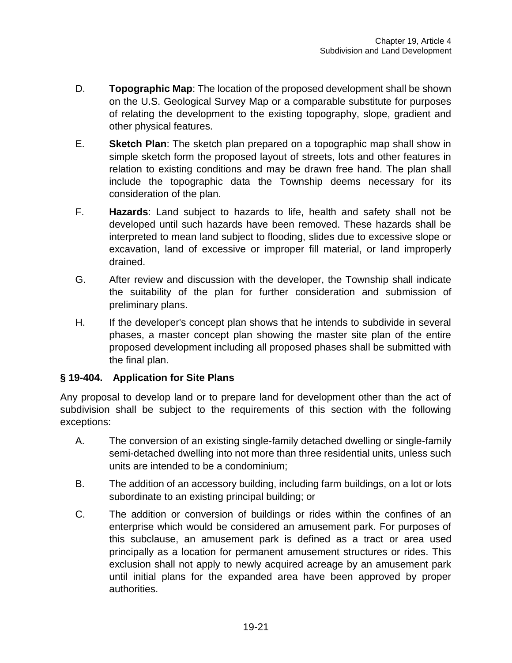- D. **Topographic Map**: The location of the proposed development shall be shown on the U.S. Geological Survey Map or a comparable substitute for purposes of relating the development to the existing topography, slope, gradient and other physical features.
- E. **Sketch Plan**: The sketch plan prepared on a topographic map shall show in simple sketch form the proposed layout of streets, lots and other features in relation to existing conditions and may be drawn free hand. The plan shall include the topographic data the Township deems necessary for its consideration of the plan.
- F. **Hazards**: Land subject to hazards to life, health and safety shall not be developed until such hazards have been removed. These hazards shall be interpreted to mean land subject to flooding, slides due to excessive slope or excavation, land of excessive or improper fill material, or land improperly drained.
- G. After review and discussion with the developer, the Township shall indicate the suitability of the plan for further consideration and submission of preliminary plans.
- H. If the developer's concept plan shows that he intends to subdivide in several phases, a master concept plan showing the master site plan of the entire proposed development including all proposed phases shall be submitted with the final plan.

## **§ 19-404. Application for Site Plans**

Any proposal to develop land or to prepare land for development other than the act of subdivision shall be subject to the requirements of this section with the following exceptions:

- A. The conversion of an existing single-family detached dwelling or single-family semi-detached dwelling into not more than three residential units, unless such units are intended to be a condominium;
- B. The addition of an accessory building, including farm buildings, on a lot or lots subordinate to an existing principal building; or
- C. The addition or conversion of buildings or rides within the confines of an enterprise which would be considered an amusement park. For purposes of this subclause, an amusement park is defined as a tract or area used principally as a location for permanent amusement structures or rides. This exclusion shall not apply to newly acquired acreage by an amusement park until initial plans for the expanded area have been approved by proper authorities.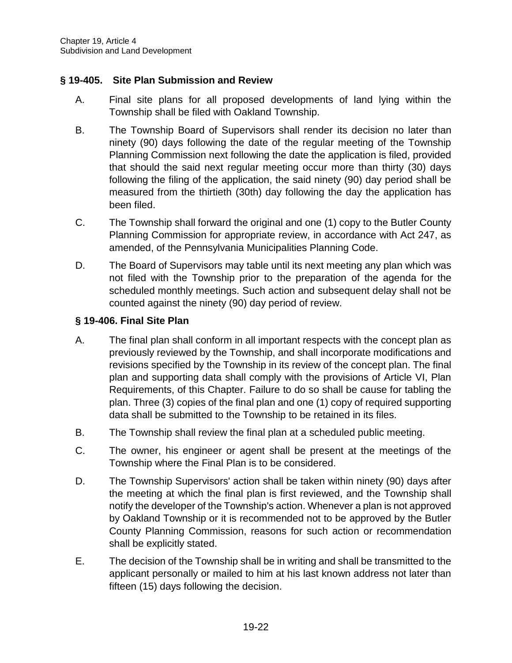### **§ 19-405. Site Plan Submission and Review**

- A. Final site plans for all proposed developments of land lying within the Township shall be filed with Oakland Township.
- B. The Township Board of Supervisors shall render its decision no later than ninety (90) days following the date of the regular meeting of the Township Planning Commission next following the date the application is filed, provided that should the said next regular meeting occur more than thirty (30) days following the filing of the application, the said ninety (90) day period shall be measured from the thirtieth (30th) day following the day the application has been filed.
- C. The Township shall forward the original and one (1) copy to the Butler County Planning Commission for appropriate review, in accordance with Act 247, as amended, of the Pennsylvania Municipalities Planning Code.
- D. The Board of Supervisors may table until its next meeting any plan which was not filed with the Township prior to the preparation of the agenda for the scheduled monthly meetings. Such action and subsequent delay shall not be counted against the ninety (90) day period of review.

### **§ 19-406. Final Site Plan**

- A. The final plan shall conform in all important respects with the concept plan as previously reviewed by the Township, and shall incorporate modifications and revisions specified by the Township in its review of the concept plan. The final plan and supporting data shall comply with the provisions of Article VI, Plan Requirements, of this Chapter. Failure to do so shall be cause for tabling the plan. Three (3) copies of the final plan and one (1) copy of required supporting data shall be submitted to the Township to be retained in its files.
- B. The Township shall review the final plan at a scheduled public meeting.
- C. The owner, his engineer or agent shall be present at the meetings of the Township where the Final Plan is to be considered.
- D. The Township Supervisors' action shall be taken within ninety (90) days after the meeting at which the final plan is first reviewed, and the Township shall notify the developer of the Township's action. Whenever a plan is not approved by Oakland Township or it is recommended not to be approved by the Butler County Planning Commission, reasons for such action or recommendation shall be explicitly stated.
- E. The decision of the Township shall be in writing and shall be transmitted to the applicant personally or mailed to him at his last known address not later than fifteen (15) days following the decision.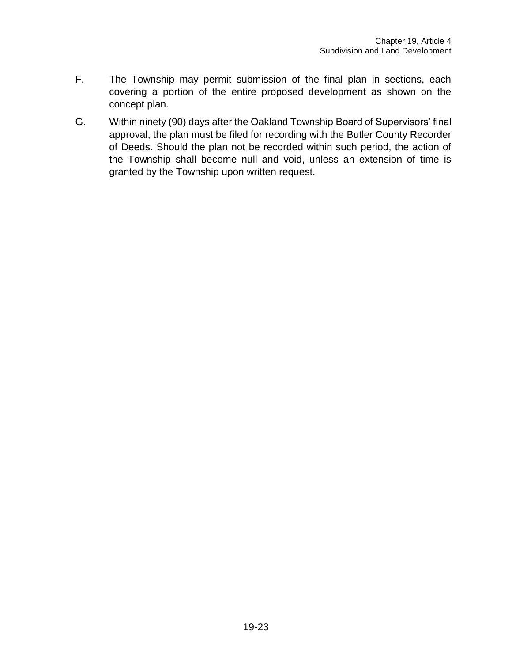- F. The Township may permit submission of the final plan in sections, each covering a portion of the entire proposed development as shown on the concept plan.
- G. Within ninety (90) days after the Oakland Township Board of Supervisors' final approval, the plan must be filed for recording with the Butler County Recorder of Deeds. Should the plan not be recorded within such period, the action of the Township shall become null and void, unless an extension of time is granted by the Township upon written request.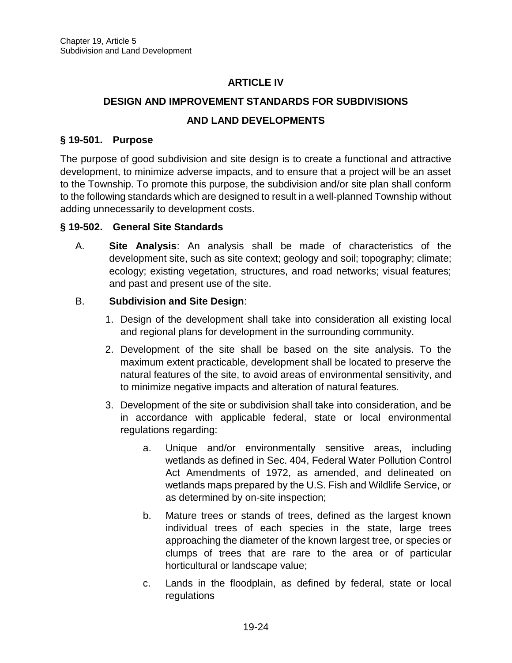## **ARTICLE IV**

# **DESIGN AND IMPROVEMENT STANDARDS FOR SUBDIVISIONS**

## **AND LAND DEVELOPMENTS**

### **§ 19-501. Purpose**

The purpose of good subdivision and site design is to create a functional and attractive development, to minimize adverse impacts, and to ensure that a project will be an asset to the Township. To promote this purpose, the subdivision and/or site plan shall conform to the following standards which are designed to result in a well-planned Township without adding unnecessarily to development costs.

#### **§ 19-502. General Site Standards**

A. **Site Analysis**: An analysis shall be made of characteristics of the development site, such as site context; geology and soil; topography; climate; ecology; existing vegetation, structures, and road networks; visual features; and past and present use of the site.

### B. **Subdivision and Site Design**:

- 1. Design of the development shall take into consideration all existing local and regional plans for development in the surrounding community.
- 2. Development of the site shall be based on the site analysis. To the maximum extent practicable, development shall be located to preserve the natural features of the site, to avoid areas of environmental sensitivity, and to minimize negative impacts and alteration of natural features.
- 3. Development of the site or subdivision shall take into consideration, and be in accordance with applicable federal, state or local environmental regulations regarding:
	- a. Unique and/or environmentally sensitive areas, including wetlands as defined in Sec. 404, Federal Water Pollution Control Act Amendments of 1972, as amended, and delineated on wetlands maps prepared by the U.S. Fish and Wildlife Service, or as determined by on-site inspection;
	- b. Mature trees or stands of trees, defined as the largest known individual trees of each species in the state, large trees approaching the diameter of the known largest tree, or species or clumps of trees that are rare to the area or of particular horticultural or landscape value;
	- c. Lands in the floodplain, as defined by federal, state or local regulations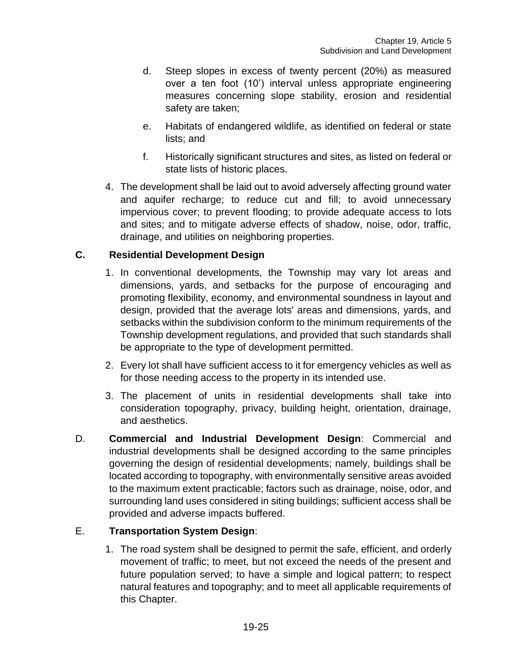- d. Steep slopes in excess of twenty percent (20%) as measured over a ten foot (10') interval unless appropriate engineering measures concerning slope stability, erosion and residential safety are taken;
- e. Habitats of endangered wildlife, as identified on federal or state lists; and
- f. Historically significant structures and sites, as listed on federal or state lists of historic places.
- 4. The development shall be laid out to avoid adversely affecting ground water and aquifer recharge; to reduce cut and fill; to avoid unnecessary impervious cover; to prevent flooding; to provide adequate access to lots and sites; and to mitigate adverse effects of shadow, noise, odor, traffic, drainage, and utilities on neighboring properties.

## **C. Residential Development Design**

- 1. In conventional developments, the Township may vary lot areas and dimensions, yards, and setbacks for the purpose of encouraging and promoting flexibility, economy, and environmental soundness in layout and design, provided that the average lots' areas and dimensions, yards, and setbacks within the subdivision conform to the minimum requirements of the Township development regulations, and provided that such standards shall be appropriate to the type of development permitted.
- 2. Every lot shall have sufficient access to it for emergency vehicles as well as for those needing access to the property in its intended use.
- 3. The placement of units in residential developments shall take into consideration topography, privacy, building height, orientation, drainage, and aesthetics.
- D. **Commercial and Industrial Development Design**: Commercial and industrial developments shall be designed according to the same principles governing the design of residential developments; namely, buildings shall be located according to topography, with environmentally sensitive areas avoided to the maximum extent practicable; factors such as drainage, noise, odor, and surrounding land uses considered in siting buildings; sufficient access shall be provided and adverse impacts buffered.

## E. **Transportation System Design**:

1. The road system shall be designed to permit the safe, efficient, and orderly movement of traffic; to meet, but not exceed the needs of the present and future population served; to have a simple and logical pattern; to respect natural features and topography; and to meet all applicable requirements of this Chapter.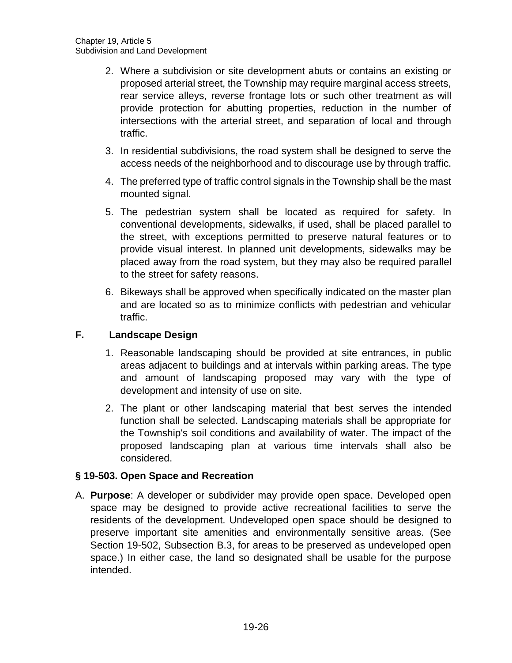- 2. Where a subdivision or site development abuts or contains an existing or proposed arterial street, the Township may require marginal access streets, rear service alleys, reverse frontage lots or such other treatment as will provide protection for abutting properties, reduction in the number of intersections with the arterial street, and separation of local and through traffic.
- 3. In residential subdivisions, the road system shall be designed to serve the access needs of the neighborhood and to discourage use by through traffic.
- 4. The preferred type of traffic control signals in the Township shall be the mast mounted signal.
- 5. The pedestrian system shall be located as required for safety. In conventional developments, sidewalks, if used, shall be placed parallel to the street, with exceptions permitted to preserve natural features or to provide visual interest. In planned unit developments, sidewalks may be placed away from the road system, but they may also be required parallel to the street for safety reasons.
- 6. Bikeways shall be approved when specifically indicated on the master plan and are located so as to minimize conflicts with pedestrian and vehicular traffic.

## **F. Landscape Design**

- 1. Reasonable landscaping should be provided at site entrances, in public areas adjacent to buildings and at intervals within parking areas. The type and amount of landscaping proposed may vary with the type of development and intensity of use on site.
- 2. The plant or other landscaping material that best serves the intended function shall be selected. Landscaping materials shall be appropriate for the Township's soil conditions and availability of water. The impact of the proposed landscaping plan at various time intervals shall also be considered.

## **§ 19-503. Open Space and Recreation**

A. **Purpose**: A developer or subdivider may provide open space. Developed open space may be designed to provide active recreational facilities to serve the residents of the development. Undeveloped open space should be designed to preserve important site amenities and environmentally sensitive areas. (See Section 19-502, Subsection B.3, for areas to be preserved as undeveloped open space.) In either case, the land so designated shall be usable for the purpose intended.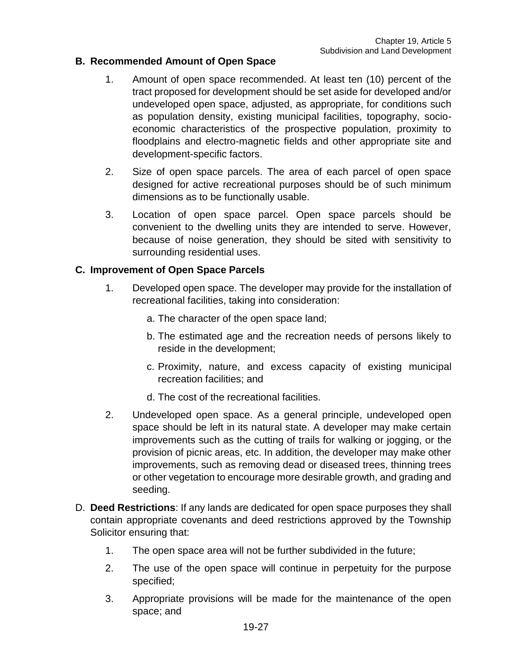#### **B. Recommended Amount of Open Space**

- 1. Amount of open space recommended. At least ten (10) percent of the tract proposed for development should be set aside for developed and/or undeveloped open space, adjusted, as appropriate, for conditions such as population density, existing municipal facilities, topography, socioeconomic characteristics of the prospective population, proximity to floodplains and electro-magnetic fields and other appropriate site and development-specific factors.
- 2. Size of open space parcels. The area of each parcel of open space designed for active recreational purposes should be of such minimum dimensions as to be functionally usable.
- 3. Location of open space parcel. Open space parcels should be convenient to the dwelling units they are intended to serve. However, because of noise generation, they should be sited with sensitivity to surrounding residential uses.

#### **C. Improvement of Open Space Parcels**

- 1. Developed open space. The developer may provide for the installation of recreational facilities, taking into consideration:
	- a. The character of the open space land;
	- b. The estimated age and the recreation needs of persons likely to reside in the development;
	- c. Proximity, nature, and excess capacity of existing municipal recreation facilities; and
	- d. The cost of the recreational facilities.
- 2. Undeveloped open space. As a general principle, undeveloped open space should be left in its natural state. A developer may make certain improvements such as the cutting of trails for walking or jogging, or the provision of picnic areas, etc. In addition, the developer may make other improvements, such as removing dead or diseased trees, thinning trees or other vegetation to encourage more desirable growth, and grading and seeding.
- D. **Deed Restrictions**: If any lands are dedicated for open space purposes they shall contain appropriate covenants and deed restrictions approved by the Township Solicitor ensuring that:
	- 1. The open space area will not be further subdivided in the future;
	- 2. The use of the open space will continue in perpetuity for the purpose specified;
	- 3. Appropriate provisions will be made for the maintenance of the open space; and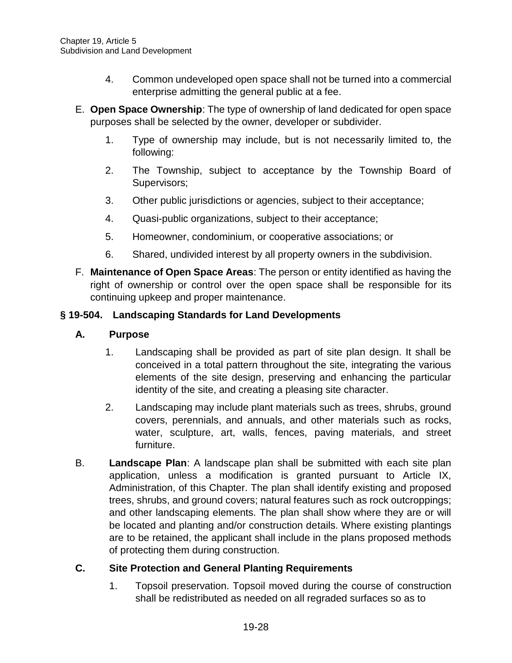- 4. Common undeveloped open space shall not be turned into a commercial enterprise admitting the general public at a fee.
- E. **Open Space Ownership**: The type of ownership of land dedicated for open space purposes shall be selected by the owner, developer or subdivider.
	- 1. Type of ownership may include, but is not necessarily limited to, the following:
	- 2. The Township, subject to acceptance by the Township Board of Supervisors;
	- 3. Other public jurisdictions or agencies, subject to their acceptance;
	- 4. Quasi-public organizations, subject to their acceptance;
	- 5. Homeowner, condominium, or cooperative associations; or
	- 6. Shared, undivided interest by all property owners in the subdivision.
- F. **Maintenance of Open Space Areas**: The person or entity identified as having the right of ownership or control over the open space shall be responsible for its continuing upkeep and proper maintenance.

## **§ 19-504. Landscaping Standards for Land Developments**

- **A. Purpose**
	- 1. Landscaping shall be provided as part of site plan design. It shall be conceived in a total pattern throughout the site, integrating the various elements of the site design, preserving and enhancing the particular identity of the site, and creating a pleasing site character.
	- 2. Landscaping may include plant materials such as trees, shrubs, ground covers, perennials, and annuals, and other materials such as rocks, water, sculpture, art, walls, fences, paving materials, and street furniture.
- B. **Landscape Plan**: A landscape plan shall be submitted with each site plan application, unless a modification is granted pursuant to Article IX, Administration, of this Chapter. The plan shall identify existing and proposed trees, shrubs, and ground covers; natural features such as rock outcroppings; and other landscaping elements. The plan shall show where they are or will be located and planting and/or construction details. Where existing plantings are to be retained, the applicant shall include in the plans proposed methods of protecting them during construction.

## **C. Site Protection and General Planting Requirements**

1. Topsoil preservation. Topsoil moved during the course of construction shall be redistributed as needed on all regraded surfaces so as to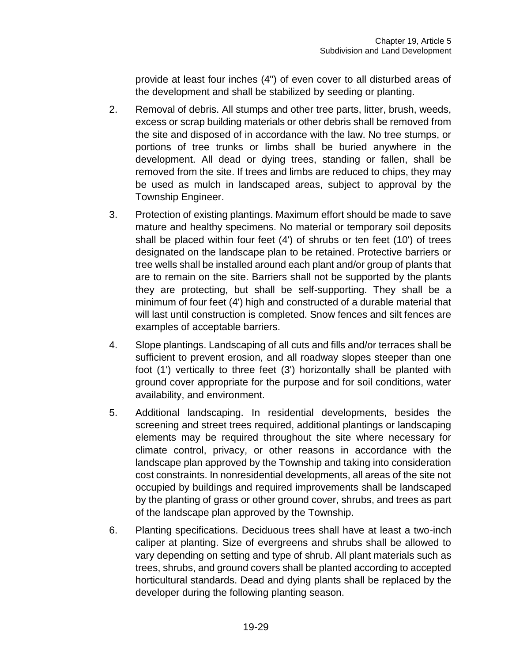provide at least four inches (4") of even cover to all disturbed areas of the development and shall be stabilized by seeding or planting.

- 2. Removal of debris. All stumps and other tree parts, litter, brush, weeds, excess or scrap building materials or other debris shall be removed from the site and disposed of in accordance with the law. No tree stumps, or portions of tree trunks or limbs shall be buried anywhere in the development. All dead or dying trees, standing or fallen, shall be removed from the site. If trees and limbs are reduced to chips, they may be used as mulch in landscaped areas, subject to approval by the Township Engineer.
- 3. Protection of existing plantings. Maximum effort should be made to save mature and healthy specimens. No material or temporary soil deposits shall be placed within four feet (4') of shrubs or ten feet (10') of trees designated on the landscape plan to be retained. Protective barriers or tree wells shall be installed around each plant and/or group of plants that are to remain on the site. Barriers shall not be supported by the plants they are protecting, but shall be self-supporting. They shall be a minimum of four feet (4') high and constructed of a durable material that will last until construction is completed. Snow fences and silt fences are examples of acceptable barriers.
- 4. Slope plantings. Landscaping of all cuts and fills and/or terraces shall be sufficient to prevent erosion, and all roadway slopes steeper than one foot (1') vertically to three feet (3') horizontally shall be planted with ground cover appropriate for the purpose and for soil conditions, water availability, and environment.
- 5. Additional landscaping. In residential developments, besides the screening and street trees required, additional plantings or landscaping elements may be required throughout the site where necessary for climate control, privacy, or other reasons in accordance with the landscape plan approved by the Township and taking into consideration cost constraints. In nonresidential developments, all areas of the site not occupied by buildings and required improvements shall be landscaped by the planting of grass or other ground cover, shrubs, and trees as part of the landscape plan approved by the Township.
- 6. Planting specifications. Deciduous trees shall have at least a two-inch caliper at planting. Size of evergreens and shrubs shall be allowed to vary depending on setting and type of shrub. All plant materials such as trees, shrubs, and ground covers shall be planted according to accepted horticultural standards. Dead and dying plants shall be replaced by the developer during the following planting season.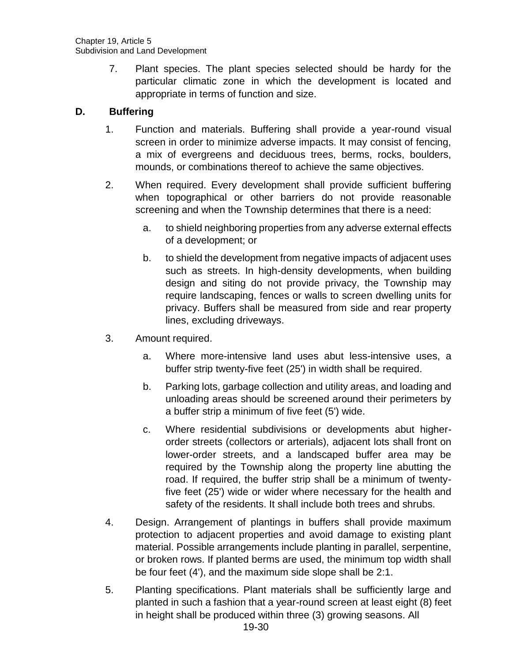7. Plant species. The plant species selected should be hardy for the particular climatic zone in which the development is located and appropriate in terms of function and size.

### **D. Buffering**

- 1. Function and materials. Buffering shall provide a year-round visual screen in order to minimize adverse impacts. It may consist of fencing, a mix of evergreens and deciduous trees, berms, rocks, boulders, mounds, or combinations thereof to achieve the same objectives.
- 2. When required. Every development shall provide sufficient buffering when topographical or other barriers do not provide reasonable screening and when the Township determines that there is a need:
	- a. to shield neighboring properties from any adverse external effects of a development; or
	- b. to shield the development from negative impacts of adjacent uses such as streets. In high-density developments, when building design and siting do not provide privacy, the Township may require landscaping, fences or walls to screen dwelling units for privacy. Buffers shall be measured from side and rear property lines, excluding driveways.
- 3. Amount required.
	- a. Where more-intensive land uses abut less-intensive uses, a buffer strip twenty-five feet (25') in width shall be required.
	- b. Parking lots, garbage collection and utility areas, and loading and unloading areas should be screened around their perimeters by a buffer strip a minimum of five feet (5') wide.
	- c. Where residential subdivisions or developments abut higherorder streets (collectors or arterials), adjacent lots shall front on lower-order streets, and a landscaped buffer area may be required by the Township along the property line abutting the road. If required, the buffer strip shall be a minimum of twentyfive feet (25') wide or wider where necessary for the health and safety of the residents. It shall include both trees and shrubs.
- 4. Design. Arrangement of plantings in buffers shall provide maximum protection to adjacent properties and avoid damage to existing plant material. Possible arrangements include planting in parallel, serpentine, or broken rows. If planted berms are used, the minimum top width shall be four feet (4'), and the maximum side slope shall be 2:1.
- 5. Planting specifications. Plant materials shall be sufficiently large and planted in such a fashion that a year-round screen at least eight (8) feet in height shall be produced within three (3) growing seasons. All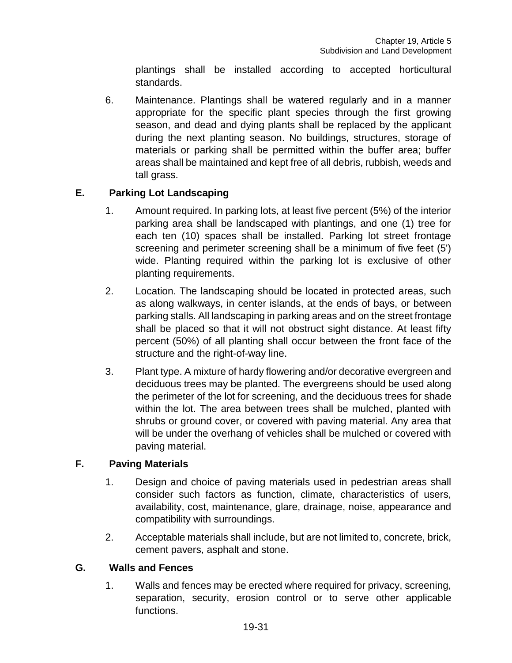plantings shall be installed according to accepted horticultural standards.

6. Maintenance. Plantings shall be watered regularly and in a manner appropriate for the specific plant species through the first growing season, and dead and dying plants shall be replaced by the applicant during the next planting season. No buildings, structures, storage of materials or parking shall be permitted within the buffer area; buffer areas shall be maintained and kept free of all debris, rubbish, weeds and tall grass.

## **E. Parking Lot Landscaping**

- 1. Amount required. In parking lots, at least five percent (5%) of the interior parking area shall be landscaped with plantings, and one (1) tree for each ten (10) spaces shall be installed. Parking lot street frontage screening and perimeter screening shall be a minimum of five feet (5') wide. Planting required within the parking lot is exclusive of other planting requirements.
- 2. Location. The landscaping should be located in protected areas, such as along walkways, in center islands, at the ends of bays, or between parking stalls. All landscaping in parking areas and on the street frontage shall be placed so that it will not obstruct sight distance. At least fifty percent (50%) of all planting shall occur between the front face of the structure and the right-of-way line.
- 3. Plant type. A mixture of hardy flowering and/or decorative evergreen and deciduous trees may be planted. The evergreens should be used along the perimeter of the lot for screening, and the deciduous trees for shade within the lot. The area between trees shall be mulched, planted with shrubs or ground cover, or covered with paving material. Any area that will be under the overhang of vehicles shall be mulched or covered with paving material.

## **F. Paving Materials**

- 1. Design and choice of paving materials used in pedestrian areas shall consider such factors as function, climate, characteristics of users, availability, cost, maintenance, glare, drainage, noise, appearance and compatibility with surroundings.
- 2. Acceptable materials shall include, but are not limited to, concrete, brick, cement pavers, asphalt and stone.

### **G. Walls and Fences**

1. Walls and fences may be erected where required for privacy, screening, separation, security, erosion control or to serve other applicable functions.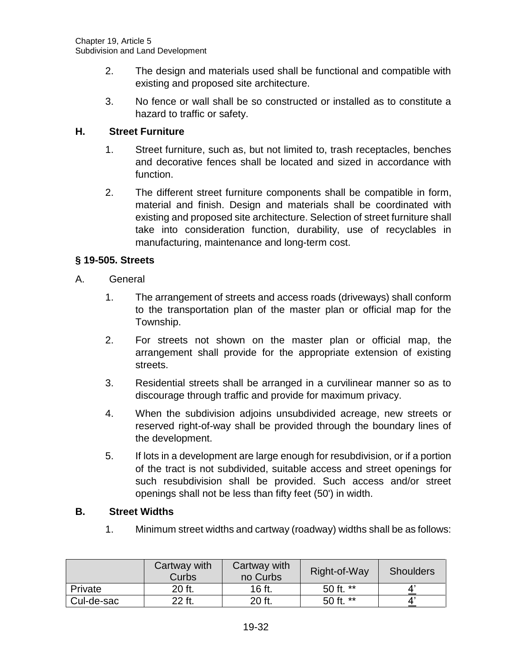- 2. The design and materials used shall be functional and compatible with existing and proposed site architecture.
- 3. No fence or wall shall be so constructed or installed as to constitute a hazard to traffic or safety.

### **H. Street Furniture**

- 1. Street furniture, such as, but not limited to, trash receptacles, benches and decorative fences shall be located and sized in accordance with function.
- 2. The different street furniture components shall be compatible in form, material and finish. Design and materials shall be coordinated with existing and proposed site architecture. Selection of street furniture shall take into consideration function, durability, use of recyclables in manufacturing, maintenance and long-term cost.

### **§ 19-505. Streets**

- A. General
	- 1. The arrangement of streets and access roads (driveways) shall conform to the transportation plan of the master plan or official map for the Township.
	- 2. For streets not shown on the master plan or official map, the arrangement shall provide for the appropriate extension of existing streets.
	- 3. Residential streets shall be arranged in a curvilinear manner so as to discourage through traffic and provide for maximum privacy.
	- 4. When the subdivision adjoins unsubdivided acreage, new streets or reserved right-of-way shall be provided through the boundary lines of the development.
	- 5. If lots in a development are large enough for resubdivision, or if a portion of the tract is not subdivided, suitable access and street openings for such resubdivision shall be provided. Such access and/or street openings shall not be less than fifty feet (50') in width.

#### **B. Street Widths**

1. Minimum street widths and cartway (roadway) widths shall be as follows:

|            | Cartway with<br>Curbs | Cartway with<br>no Curbs | Right-of-Way | <b>Shoulders</b> |
|------------|-----------------------|--------------------------|--------------|------------------|
| Private    | 20 ft.                | 16 ft.                   | 50 ft. **    |                  |
| Cul-de-sac | 22 ft.                | 20 ft.                   | 50 ft. **    |                  |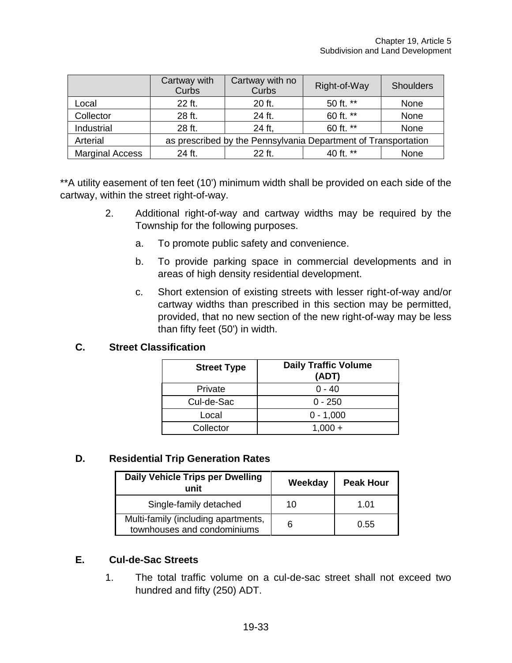|                        | Cartway with<br>Curbs                                          | Cartway with no<br>Curbs | Right-of-Way | <b>Shoulders</b> |
|------------------------|----------------------------------------------------------------|--------------------------|--------------|------------------|
| Local                  | 22 ft.                                                         | 20 ft.                   | 50 ft. **    | None             |
| Collector              | 28 ft.                                                         | 24 ft.                   | 60 ft. **    | None             |
| Industrial             | 28 ft.                                                         | 24 ft,                   | 60 ft. **    | None             |
| Arterial               | as prescribed by the Pennsylvania Department of Transportation |                          |              |                  |
| <b>Marginal Access</b> | 24 ft.                                                         | 22 ft.                   | 40 ft. **    | None             |

\*\*A utility easement of ten feet (10') minimum width shall be provided on each side of the cartway, within the street right-of-way.

- 2. Additional right-of-way and cartway widths may be required by the Township for the following purposes.
	- a. To promote public safety and convenience.
	- b. To provide parking space in commercial developments and in areas of high density residential development.
	- c. Short extension of existing streets with lesser right-of-way and/or cartway widths than prescribed in this section may be permitted, provided, that no new section of the new right-of-way may be less than fifty feet (50') in width.

## **C. Street Classification**

| <b>Street Type</b> | <b>Daily Traffic Volume</b><br>(ADT) |
|--------------------|--------------------------------------|
| Private            | $0 - 40$                             |
| Cul-de-Sac         | $0 - 250$                            |
| Local              | $0 - 1,000$                          |
| Collector          | $1.000 +$                            |

#### **D. Residential Trip Generation Rates**

| Daily Vehicle Trips per Dwelling<br>unit                           | Weekday | <b>Peak Hour</b> |
|--------------------------------------------------------------------|---------|------------------|
| Single-family detached                                             | 10      | 1.01             |
| Multi-family (including apartments,<br>townhouses and condominiums | 6       | 0.55             |

## **E. Cul-de-Sac Streets**

1. The total traffic volume on a cul-de-sac street shall not exceed two hundred and fifty (250) ADT.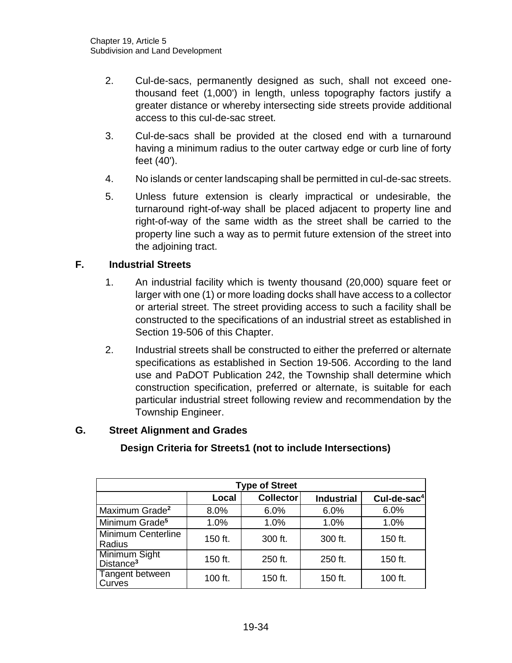- 2. Cul-de-sacs, permanently designed as such, shall not exceed onethousand feet (1,000') in length, unless topography factors justify a greater distance or whereby intersecting side streets provide additional access to this cul-de-sac street.
- 3. Cul-de-sacs shall be provided at the closed end with a turnaround having a minimum radius to the outer cartway edge or curb line of forty feet (40').
- 4. No islands or center landscaping shall be permitted in cul-de-sac streets.
- 5. Unless future extension is clearly impractical or undesirable, the turnaround right-of-way shall be placed adjacent to property line and right-of-way of the same width as the street shall be carried to the property line such a way as to permit future extension of the street into the adjoining tract.

### **F. Industrial Streets**

- 1. An industrial facility which is twenty thousand (20,000) square feet or larger with one (1) or more loading docks shall have access to a collector or arterial street. The street providing access to such a facility shall be constructed to the specifications of an industrial street as established in Section 19-506 of this Chapter.
- 2. Industrial streets shall be constructed to either the preferred or alternate specifications as established in Section 19-506. According to the land use and PaDOT Publication 242, the Township shall determine which construction specification, preferred or alternate, is suitable for each particular industrial street following review and recommendation by the Township Engineer.

#### **G. Street Alignment and Grades**

| <b>Type of Street</b>                  |         |                  |                   |               |
|----------------------------------------|---------|------------------|-------------------|---------------|
|                                        | Local   | <b>Collector</b> | <b>Industrial</b> | $Cul-de-sac4$ |
| Maximum Grade <sup>2</sup>             | 8.0%    | 6.0%             | 6.0%              | 6.0%          |
| Minimum Grade <sup>5</sup>             | 1.0%    | 1.0%             | 1.0%              | 1.0%          |
| Minimum Centerline<br>Radius           | 150 ft. | 300 ft.          | 300 ft.           | 150 ft.       |
| Minimum Sight<br>Distance <sup>3</sup> | 150 ft. | 250 ft.          | 250 ft.           | 150 ft.       |
| Tangent between<br>Curves              | 100 ft. | 150 ft.          | 150 ft.           | 100 ft.       |

## **Design Criteria for Streets1 (not to include Intersections)**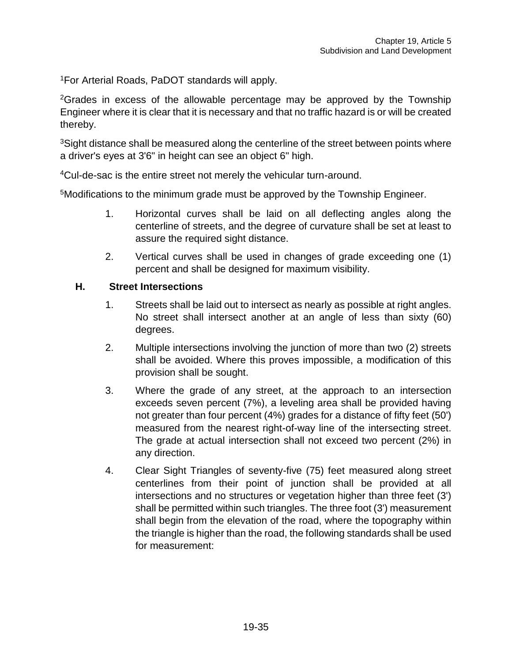<sup>1</sup>For Arterial Roads, PaDOT standards will apply.

<sup>2</sup>Grades in excess of the allowable percentage may be approved by the Township Engineer where it is clear that it is necessary and that no traffic hazard is or will be created thereby.

<sup>3</sup>Sight distance shall be measured along the centerline of the street between points where a driver's eyes at 3'6" in height can see an object 6" high.

<sup>4</sup>Cul-de-sac is the entire street not merely the vehicular turn-around.

<sup>5</sup>Modifications to the minimum grade must be approved by the Township Engineer.

- 1. Horizontal curves shall be laid on all deflecting angles along the centerline of streets, and the degree of curvature shall be set at least to assure the required sight distance.
- 2. Vertical curves shall be used in changes of grade exceeding one (1) percent and shall be designed for maximum visibility.

### **H. Street Intersections**

- 1. Streets shall be laid out to intersect as nearly as possible at right angles. No street shall intersect another at an angle of less than sixty (60) degrees.
- 2. Multiple intersections involving the junction of more than two (2) streets shall be avoided. Where this proves impossible, a modification of this provision shall be sought.
- 3. Where the grade of any street, at the approach to an intersection exceeds seven percent (7%), a leveling area shall be provided having not greater than four percent (4%) grades for a distance of fifty feet (50') measured from the nearest right-of-way line of the intersecting street. The grade at actual intersection shall not exceed two percent (2%) in any direction.
- 4. Clear Sight Triangles of seventy-five (75) feet measured along street centerlines from their point of junction shall be provided at all intersections and no structures or vegetation higher than three feet (3') shall be permitted within such triangles. The three foot (3') measurement shall begin from the elevation of the road, where the topography within the triangle is higher than the road, the following standards shall be used for measurement: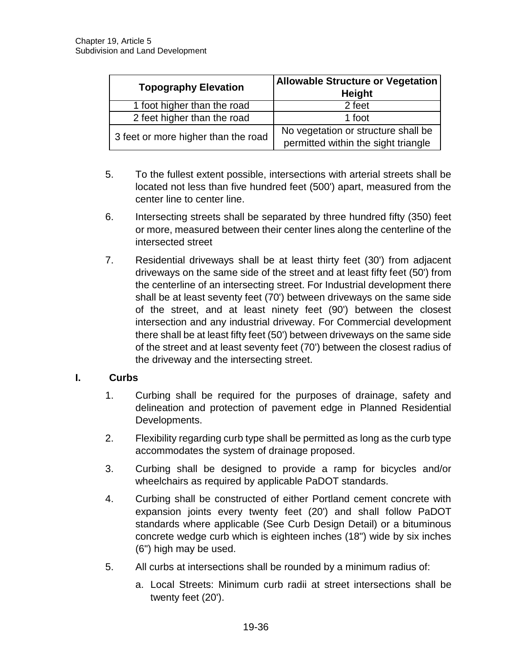| <b>Topography Elevation</b>         | <b>Allowable Structure or Vegetation</b><br><b>Height</b> |  |
|-------------------------------------|-----------------------------------------------------------|--|
| 1 foot higher than the road         | 2 feet                                                    |  |
| 2 feet higher than the road         | 1 foot                                                    |  |
| 3 feet or more higher than the road | No vegetation or structure shall be                       |  |
|                                     | permitted within the sight triangle                       |  |

- 5. To the fullest extent possible, intersections with arterial streets shall be located not less than five hundred feet (500') apart, measured from the center line to center line.
- 6. Intersecting streets shall be separated by three hundred fifty (350) feet or more, measured between their center lines along the centerline of the intersected street
- 7. Residential driveways shall be at least thirty feet (30') from adjacent driveways on the same side of the street and at least fifty feet (50') from the centerline of an intersecting street. For Industrial development there shall be at least seventy feet (70') between driveways on the same side of the street, and at least ninety feet (90') between the closest intersection and any industrial driveway. For Commercial development there shall be at least fifty feet (50') between driveways on the same side of the street and at least seventy feet (70') between the closest radius of the driveway and the intersecting street.

#### **I. Curbs**

- 1. Curbing shall be required for the purposes of drainage, safety and delineation and protection of pavement edge in Planned Residential Developments.
- 2. Flexibility regarding curb type shall be permitted as long as the curb type accommodates the system of drainage proposed.
- 3. Curbing shall be designed to provide a ramp for bicycles and/or wheelchairs as required by applicable PaDOT standards.
- 4. Curbing shall be constructed of either Portland cement concrete with expansion joints every twenty feet (20') and shall follow PaDOT standards where applicable (See Curb Design Detail) or a bituminous concrete wedge curb which is eighteen inches (18") wide by six inches (6") high may be used.
- 5. All curbs at intersections shall be rounded by a minimum radius of:
	- a. Local Streets: Minimum curb radii at street intersections shall be twenty feet (20').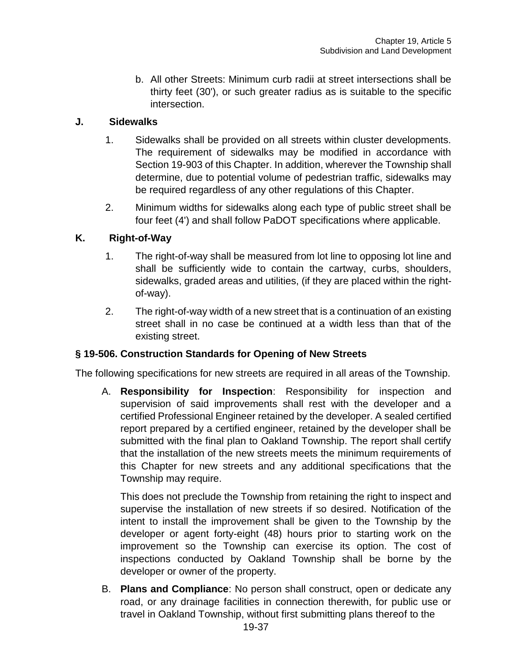b. All other Streets: Minimum curb radii at street intersections shall be thirty feet (30'), or such greater radius as is suitable to the specific intersection.

## **J. Sidewalks**

- 1. Sidewalks shall be provided on all streets within cluster developments. The requirement of sidewalks may be modified in accordance with Section 19-903 of this Chapter. In addition, wherever the Township shall determine, due to potential volume of pedestrian traffic, sidewalks may be required regardless of any other regulations of this Chapter.
- 2. Minimum widths for sidewalks along each type of public street shall be four feet (4') and shall follow PaDOT specifications where applicable.

#### **K. Right-of-Way**

- 1. The right-of-way shall be measured from lot line to opposing lot line and shall be sufficiently wide to contain the cartway, curbs, shoulders, sidewalks, graded areas and utilities, (if they are placed within the rightof-way).
- 2. The right-of-way width of a new street that is a continuation of an existing street shall in no case be continued at a width less than that of the existing street.

## **§ 19-506. Construction Standards for Opening of New Streets**

The following specifications for new streets are required in all areas of the Township.

A. **Responsibility for Inspection**: Responsibility for inspection and supervision of said improvements shall rest with the developer and a certified Professional Engineer retained by the developer. A sealed certified report prepared by a certified engineer, retained by the developer shall be submitted with the final plan to Oakland Township. The report shall certify that the installation of the new streets meets the minimum requirements of this Chapter for new streets and any additional specifications that the Township may require.

This does not preclude the Township from retaining the right to inspect and supervise the installation of new streets if so desired. Notification of the intent to install the improvement shall be given to the Township by the developer or agent forty-eight (48) hours prior to starting work on the improvement so the Township can exercise its option. The cost of inspections conducted by Oakland Township shall be borne by the developer or owner of the property.

B. **Plans and Compliance**: No person shall construct, open or dedicate any road, or any drainage facilities in connection therewith, for public use or travel in Oakland Township, without first submitting plans thereof to the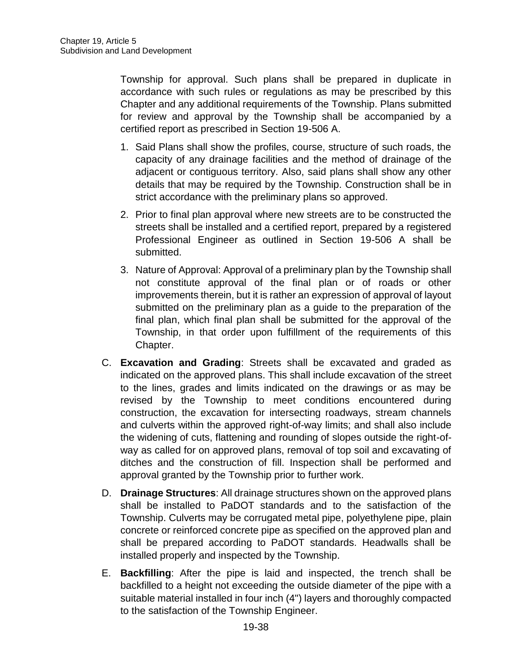Township for approval. Such plans shall be prepared in duplicate in accordance with such rules or regulations as may be prescribed by this Chapter and any additional requirements of the Township. Plans submitted for review and approval by the Township shall be accompanied by a certified report as prescribed in Section 19-506 A.

- 1. Said Plans shall show the profiles, course, structure of such roads, the capacity of any drainage facilities and the method of drainage of the adjacent or contiguous territory. Also, said plans shall show any other details that may be required by the Township. Construction shall be in strict accordance with the preliminary plans so approved.
- 2. Prior to final plan approval where new streets are to be constructed the streets shall be installed and a certified report, prepared by a registered Professional Engineer as outlined in Section 19-506 A shall be submitted.
- 3. Nature of Approval: Approval of a preliminary plan by the Township shall not constitute approval of the final plan or of roads or other improvements therein, but it is rather an expression of approval of layout submitted on the preliminary plan as a guide to the preparation of the final plan, which final plan shall be submitted for the approval of the Township, in that order upon fulfillment of the requirements of this Chapter.
- C. **Excavation and Grading**: Streets shall be excavated and graded as indicated on the approved plans. This shall include excavation of the street to the lines, grades and limits indicated on the drawings or as may be revised by the Township to meet conditions encountered during construction, the excavation for intersecting roadways, stream channels and culverts within the approved right-of-way limits; and shall also include the widening of cuts, flattening and rounding of slopes outside the right-ofway as called for on approved plans, removal of top soil and excavating of ditches and the construction of fill. Inspection shall be performed and approval granted by the Township prior to further work.
- D. **Drainage Structures**: All drainage structures shown on the approved plans shall be installed to PaDOT standards and to the satisfaction of the Township. Culverts may be corrugated metal pipe, polyethylene pipe, plain concrete or reinforced concrete pipe as specified on the approved plan and shall be prepared according to PaDOT standards. Headwalls shall be installed properly and inspected by the Township.
- E. **Backfilling**: After the pipe is laid and inspected, the trench shall be backfilled to a height not exceeding the outside diameter of the pipe with a suitable material installed in four inch (4") layers and thoroughly compacted to the satisfaction of the Township Engineer.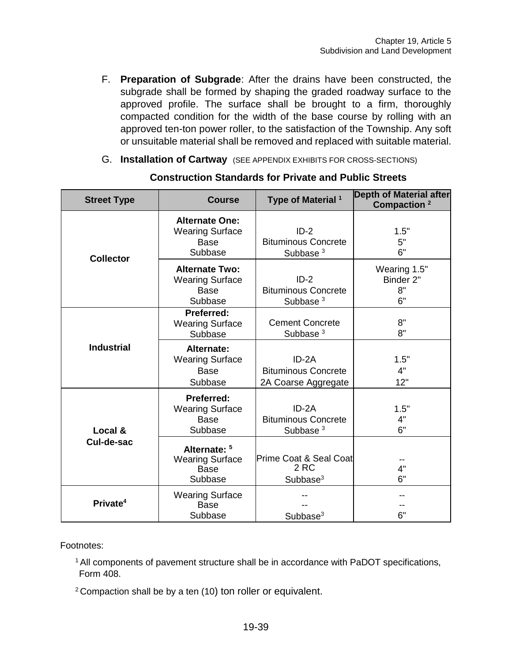- F. **Preparation of Subgrade**: After the drains have been constructed, the subgrade shall be formed by shaping the graded roadway surface to the approved profile. The surface shall be brought to a firm, thoroughly compacted condition for the width of the base course by rolling with an approved ten-ton power roller, to the satisfaction of the Township. Any soft or unsuitable material shall be removed and replaced with suitable material.
- G. **Installation of Cartway** (SEE APPENDIX EXHIBITS FOR CROSS-SECTIONS)

| <b>Street Type</b>    | <b>Course</b>                                                             | Type of Material <sup>1</sup>                                     | <b>Depth of Material after</b><br>Compaction <sup>2</sup> |
|-----------------------|---------------------------------------------------------------------------|-------------------------------------------------------------------|-----------------------------------------------------------|
| <b>Collector</b>      | <b>Alternate One:</b><br><b>Wearing Surface</b><br><b>Base</b><br>Subbase | $ID-2$<br><b>Bituminous Concrete</b><br>Subbase <sup>3</sup>      | 1.5"<br>5"<br>6"                                          |
|                       | <b>Alternate Two:</b><br><b>Wearing Surface</b><br><b>Base</b><br>Subbase | $ID-2$<br><b>Bituminous Concrete</b><br>Subbase <sup>3</sup>      | Wearing 1.5"<br>Binder 2"<br>8"<br>6"                     |
| <b>Industrial</b>     | Preferred:<br><b>Wearing Surface</b><br>Subbase                           | <b>Cement Concrete</b><br>Subbase <sup>3</sup>                    | 8"<br>8"                                                  |
|                       | Alternate:<br><b>Wearing Surface</b><br><b>Base</b><br>Subbase            | $ID-2A$<br><b>Bituminous Concrete</b><br>2A Coarse Aggregate      | 1.5"<br>4"<br>12"                                         |
| Local &<br>Cul-de-sac | Preferred:<br><b>Wearing Surface</b><br><b>Base</b><br>Subbase            | $ID-2A$<br><b>Bituminous Concrete</b><br>Subbase <sup>3</sup>     | 1.5"<br>4"<br>6"                                          |
|                       | Alternate: 5<br><b>Wearing Surface</b><br><b>Base</b><br>Subbase          | Prime Coat & Seal Coat<br>2 <sub>RC</sub><br>Subbase <sup>3</sup> | 4"<br>6"                                                  |
| Private <sup>4</sup>  | <b>Wearing Surface</b><br>Base<br>Subbase                                 | Subbase <sup>3</sup>                                              | 6"                                                        |

#### **Construction Standards for Private and Public Streets**

Footnotes:

 $1$  All components of pavement structure shall be in accordance with PaDOT specifications, Form 408.

 $2$  Compaction shall be by a ten (10) ton roller or equivalent.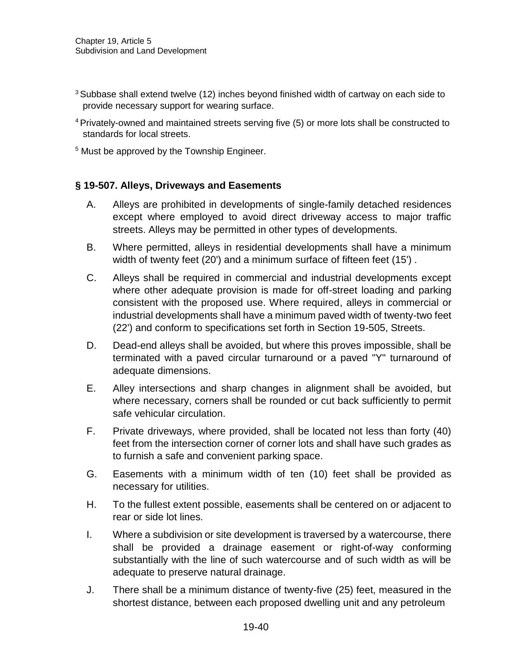- <sup>3</sup> Subbase shall extend twelve (12) inches beyond finished width of cartway on each side to provide necessary support for wearing surface.
- <sup>4</sup> Privately-owned and maintained streets serving five (5) or more lots shall be constructed to standards for local streets.
- <sup>5</sup> Must be approved by the Township Engineer.

#### **§ 19-507. Alleys, Driveways and Easements**

- A. Alleys are prohibited in developments of single-family detached residences except where employed to avoid direct driveway access to major traffic streets. Alleys may be permitted in other types of developments.
- B. Where permitted, alleys in residential developments shall have a minimum width of twenty feet (20') and a minimum surface of fifteen feet (15') .
- C. Alleys shall be required in commercial and industrial developments except where other adequate provision is made for off-street loading and parking consistent with the proposed use. Where required, alleys in commercial or industrial developments shall have a minimum paved width of twenty-two feet (22') and conform to specifications set forth in Section 19-505, Streets.
- D. Dead-end alleys shall be avoided, but where this proves impossible, shall be terminated with a paved circular turnaround or a paved "Y" turnaround of adequate dimensions.
- E. Alley intersections and sharp changes in alignment shall be avoided, but where necessary, corners shall be rounded or cut back sufficiently to permit safe vehicular circulation.
- F. Private driveways, where provided, shall be located not less than forty (40) feet from the intersection corner of corner lots and shall have such grades as to furnish a safe and convenient parking space.
- G. Easements with a minimum width of ten (10) feet shall be provided as necessary for utilities.
- H. To the fullest extent possible, easements shall be centered on or adjacent to rear or side lot lines.
- I. Where a subdivision or site development is traversed by a watercourse, there shall be provided a drainage easement or right-of-way conforming substantially with the line of such watercourse and of such width as will be adequate to preserve natural drainage.
- J. There shall be a minimum distance of twenty-five (25) feet, measured in the shortest distance, between each proposed dwelling unit and any petroleum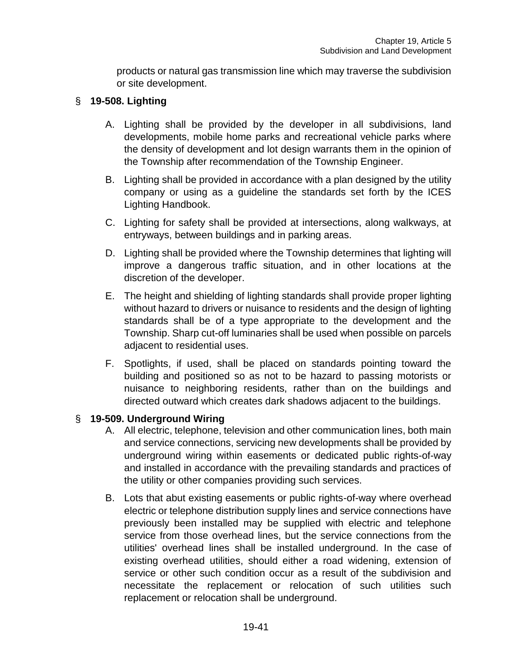products or natural gas transmission line which may traverse the subdivision or site development.

# § **19-508. Lighting**

- A. Lighting shall be provided by the developer in all subdivisions, land developments, mobile home parks and recreational vehicle parks where the density of development and lot design warrants them in the opinion of the Township after recommendation of the Township Engineer.
- B. Lighting shall be provided in accordance with a plan designed by the utility company or using as a guideline the standards set forth by the ICES Lighting Handbook.
- C. Lighting for safety shall be provided at intersections, along walkways, at entryways, between buildings and in parking areas.
- D. Lighting shall be provided where the Township determines that lighting will improve a dangerous traffic situation, and in other locations at the discretion of the developer.
- E. The height and shielding of lighting standards shall provide proper lighting without hazard to drivers or nuisance to residents and the design of lighting standards shall be of a type appropriate to the development and the Township. Sharp cut-off luminaries shall be used when possible on parcels adjacent to residential uses.
- F. Spotlights, if used, shall be placed on standards pointing toward the building and positioned so as not to be hazard to passing motorists or nuisance to neighboring residents, rather than on the buildings and directed outward which creates dark shadows adjacent to the buildings.

## § **19-509. Underground Wiring**

- A. All electric, telephone, television and other communication lines, both main and service connections, servicing new developments shall be provided by underground wiring within easements or dedicated public rights-of-way and installed in accordance with the prevailing standards and practices of the utility or other companies providing such services.
- B. Lots that abut existing easements or public rights-of-way where overhead electric or telephone distribution supply lines and service connections have previously been installed may be supplied with electric and telephone service from those overhead lines, but the service connections from the utilities' overhead lines shall be installed underground. In the case of existing overhead utilities, should either a road widening, extension of service or other such condition occur as a result of the subdivision and necessitate the replacement or relocation of such utilities such replacement or relocation shall be underground.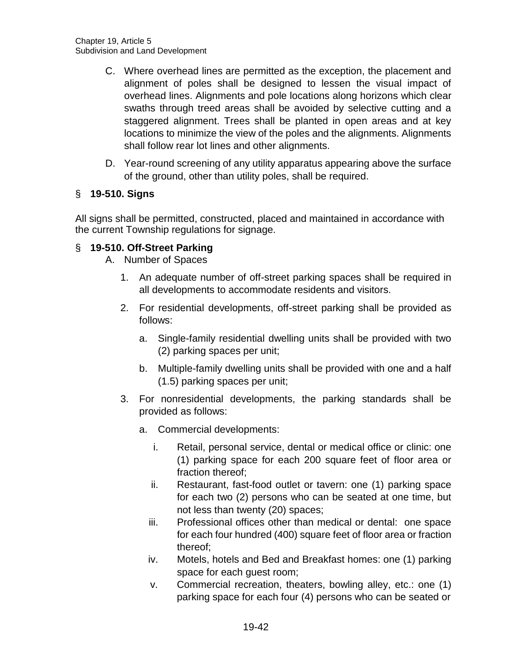- C. Where overhead lines are permitted as the exception, the placement and alignment of poles shall be designed to lessen the visual impact of overhead lines. Alignments and pole locations along horizons which clear swaths through treed areas shall be avoided by selective cutting and a staggered alignment. Trees shall be planted in open areas and at key locations to minimize the view of the poles and the alignments. Alignments shall follow rear lot lines and other alignments.
- D. Year-round screening of any utility apparatus appearing above the surface of the ground, other than utility poles, shall be required.

## § **19-510. Signs**

All signs shall be permitted, constructed, placed and maintained in accordance with the current Township regulations for signage.

## § **19-510. Off-Street Parking**

- A. Number of Spaces
	- 1. An adequate number of off-street parking spaces shall be required in all developments to accommodate residents and visitors.
	- 2. For residential developments, off-street parking shall be provided as follows:
		- a. Single-family residential dwelling units shall be provided with two (2) parking spaces per unit;
		- b. Multiple-family dwelling units shall be provided with one and a half (1.5) parking spaces per unit;
	- 3. For nonresidential developments, the parking standards shall be provided as follows:
		- a. Commercial developments:
			- i. Retail, personal service, dental or medical office or clinic: one (1) parking space for each 200 square feet of floor area or fraction thereof;
			- ii. Restaurant, fast-food outlet or tavern: one (1) parking space for each two (2) persons who can be seated at one time, but not less than twenty (20) spaces;
			- iii. Professional offices other than medical or dental: one space for each four hundred (400) square feet of floor area or fraction thereof;
			- iv. Motels, hotels and Bed and Breakfast homes: one (1) parking space for each guest room;
			- v. Commercial recreation, theaters, bowling alley, etc.: one (1) parking space for each four (4) persons who can be seated or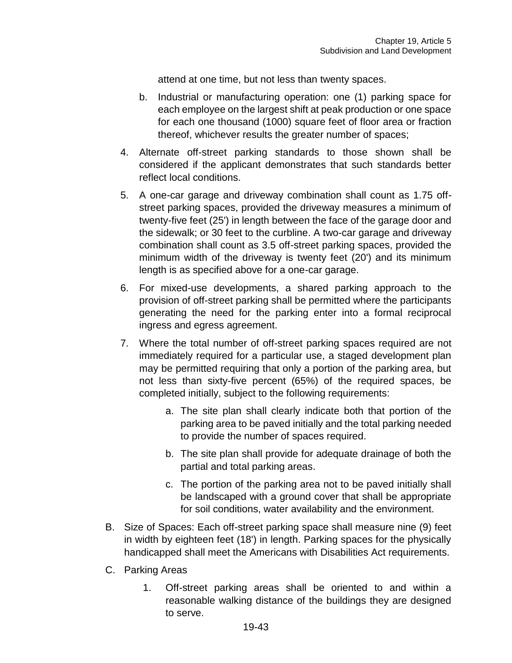attend at one time, but not less than twenty spaces.

- b. Industrial or manufacturing operation: one (1) parking space for each employee on the largest shift at peak production or one space for each one thousand (1000) square feet of floor area or fraction thereof, whichever results the greater number of spaces;
- 4. Alternate off-street parking standards to those shown shall be considered if the applicant demonstrates that such standards better reflect local conditions.
- 5. A one-car garage and driveway combination shall count as 1.75 offstreet parking spaces, provided the driveway measures a minimum of twenty-five feet (25') in length between the face of the garage door and the sidewalk; or 30 feet to the curbline. A two-car garage and driveway combination shall count as 3.5 off-street parking spaces, provided the minimum width of the driveway is twenty feet (20') and its minimum length is as specified above for a one-car garage.
- 6. For mixed-use developments, a shared parking approach to the provision of off-street parking shall be permitted where the participants generating the need for the parking enter into a formal reciprocal ingress and egress agreement.
- 7. Where the total number of off-street parking spaces required are not immediately required for a particular use, a staged development plan may be permitted requiring that only a portion of the parking area, but not less than sixty-five percent (65%) of the required spaces, be completed initially, subject to the following requirements:
	- a. The site plan shall clearly indicate both that portion of the parking area to be paved initially and the total parking needed to provide the number of spaces required.
	- b. The site plan shall provide for adequate drainage of both the partial and total parking areas.
	- c. The portion of the parking area not to be paved initially shall be landscaped with a ground cover that shall be appropriate for soil conditions, water availability and the environment.
- B. Size of Spaces: Each off-street parking space shall measure nine (9) feet in width by eighteen feet (18') in length. Parking spaces for the physically handicapped shall meet the Americans with Disabilities Act requirements.
- C. Parking Areas
	- 1. Off-street parking areas shall be oriented to and within a reasonable walking distance of the buildings they are designed to serve.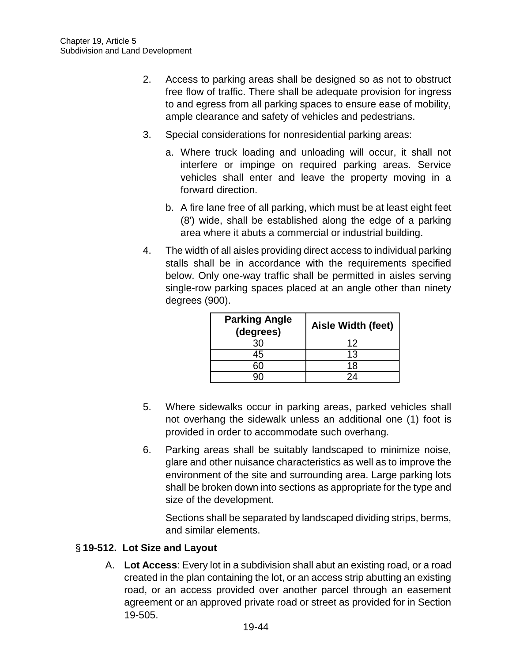- 2. Access to parking areas shall be designed so as not to obstruct free flow of traffic. There shall be adequate provision for ingress to and egress from all parking spaces to ensure ease of mobility, ample clearance and safety of vehicles and pedestrians.
- 3. Special considerations for nonresidential parking areas:
	- a. Where truck loading and unloading will occur, it shall not interfere or impinge on required parking areas. Service vehicles shall enter and leave the property moving in a forward direction.
	- b. A fire lane free of all parking, which must be at least eight feet (8') wide, shall be established along the edge of a parking area where it abuts a commercial or industrial building.
- 4. The width of all aisles providing direct access to individual parking stalls shall be in accordance with the requirements specified below. Only one-way traffic shall be permitted in aisles serving single-row parking spaces placed at an angle other than ninety degrees (900).

| <b>Parking Angle</b><br>(degrees) | Aisle Width (feet) |  |
|-----------------------------------|--------------------|--|
| 30                                | 12                 |  |
| 45                                | 13                 |  |
|                                   | 18                 |  |
|                                   |                    |  |

- 5. Where sidewalks occur in parking areas, parked vehicles shall not overhang the sidewalk unless an additional one (1) foot is provided in order to accommodate such overhang.
- 6. Parking areas shall be suitably landscaped to minimize noise, glare and other nuisance characteristics as well as to improve the environment of the site and surrounding area. Large parking lots shall be broken down into sections as appropriate for the type and size of the development.

Sections shall be separated by landscaped dividing strips, berms, and similar elements.

#### § **19-512. Lot Size and Layout**

A. **Lot Access**: Every lot in a subdivision shall abut an existing road, or a road created in the plan containing the lot, or an access strip abutting an existing road, or an access provided over another parcel through an easement agreement or an approved private road or street as provided for in Section 19-505.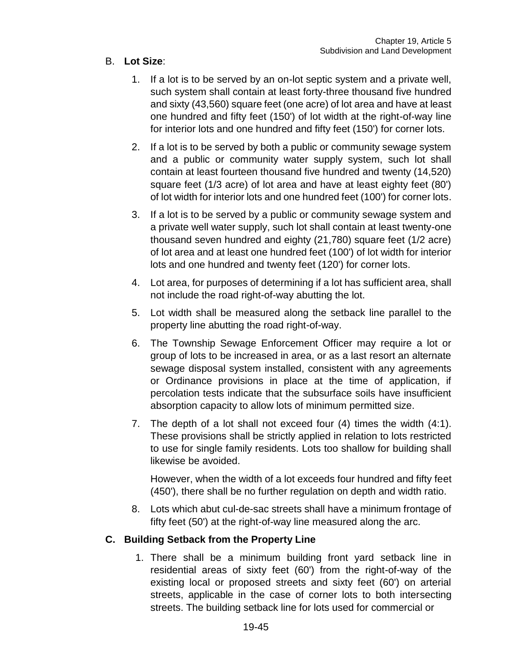## B. **Lot Size**:

- 1. If a lot is to be served by an on-lot septic system and a private well, such system shall contain at least forty-three thousand five hundred and sixty (43,560) square feet (one acre) of lot area and have at least one hundred and fifty feet (150') of lot width at the right-of-way line for interior lots and one hundred and fifty feet (150') for corner lots.
- 2. If a lot is to be served by both a public or community sewage system and a public or community water supply system, such lot shall contain at least fourteen thousand five hundred and twenty (14,520) square feet (1/3 acre) of lot area and have at least eighty feet (80') of lot width for interior lots and one hundred feet (100') for corner lots.
- 3. If a lot is to be served by a public or community sewage system and a private well water supply, such lot shall contain at least twenty-one thousand seven hundred and eighty (21,780) square feet (1/2 acre) of lot area and at least one hundred feet (100') of lot width for interior lots and one hundred and twenty feet (120') for corner lots.
- 4. Lot area, for purposes of determining if a lot has sufficient area, shall not include the road right-of-way abutting the lot.
- 5. Lot width shall be measured along the setback line parallel to the property line abutting the road right-of-way.
- 6. The Township Sewage Enforcement Officer may require a lot or group of lots to be increased in area, or as a last resort an alternate sewage disposal system installed, consistent with any agreements or Ordinance provisions in place at the time of application, if percolation tests indicate that the subsurface soils have insufficient absorption capacity to allow lots of minimum permitted size.
- 7. The depth of a lot shall not exceed four (4) times the width (4:1). These provisions shall be strictly applied in relation to lots restricted to use for single family residents. Lots too shallow for building shall likewise be avoided.

However, when the width of a lot exceeds four hundred and fifty feet (450'), there shall be no further regulation on depth and width ratio.

8. Lots which abut cul-de-sac streets shall have a minimum frontage of fifty feet (50') at the right-of-way line measured along the arc.

#### **C. Building Setback from the Property Line**

1. There shall be a minimum building front yard setback line in residential areas of sixty feet (60') from the right-of-way of the existing local or proposed streets and sixty feet (60') on arterial streets, applicable in the case of corner lots to both intersecting streets. The building setback line for lots used for commercial or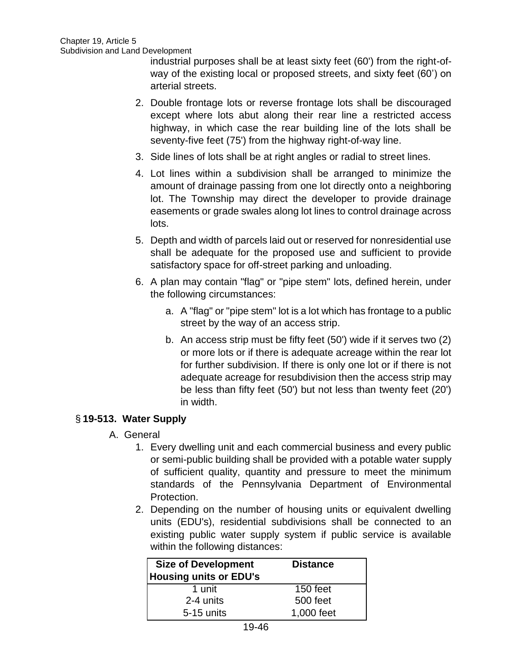industrial purposes shall be at least sixty feet (60') from the right-ofway of the existing local or proposed streets, and sixty feet (60') on arterial streets.

- 2. Double frontage lots or reverse frontage lots shall be discouraged except where lots abut along their rear line a restricted access highway, in which case the rear building line of the lots shall be seventy-five feet (75') from the highway right-of-way line.
- 3. Side lines of lots shall be at right angles or radial to street lines.
- 4. Lot lines within a subdivision shall be arranged to minimize the amount of drainage passing from one lot directly onto a neighboring lot. The Township may direct the developer to provide drainage easements or grade swales along lot lines to control drainage across lots.
- 5. Depth and width of parcels laid out or reserved for nonresidential use shall be adequate for the proposed use and sufficient to provide satisfactory space for off-street parking and unloading.
- 6. A plan may contain "flag" or "pipe stem" lots, defined herein, under the following circumstances:
	- a. A "flag" or "pipe stem" lot is a lot which has frontage to a public street by the way of an access strip.
	- b. An access strip must be fifty feet (50') wide if it serves two (2) or more lots or if there is adequate acreage within the rear lot for further subdivision. If there is only one lot or if there is not adequate acreage for resubdivision then the access strip may be less than fifty feet (50') but not less than twenty feet (20') in width.

## § **19-513. Water Supply**

- A. General
	- 1. Every dwelling unit and each commercial business and every public or semi-public building shall be provided with a potable water supply of sufficient quality, quantity and pressure to meet the minimum standards of the Pennsylvania Department of Environmental Protection.
	- 2. Depending on the number of housing units or equivalent dwelling units (EDU's), residential subdivisions shall be connected to an existing public water supply system if public service is available within the following distances:

| <b>Size of Development</b>    | <b>Distance</b> |  |
|-------------------------------|-----------------|--|
| <b>Housing units or EDU's</b> |                 |  |
| 1 unit                        | 150 feet        |  |
| 2-4 units                     | 500 feet        |  |
| 5-15 units                    | 1,000 feet      |  |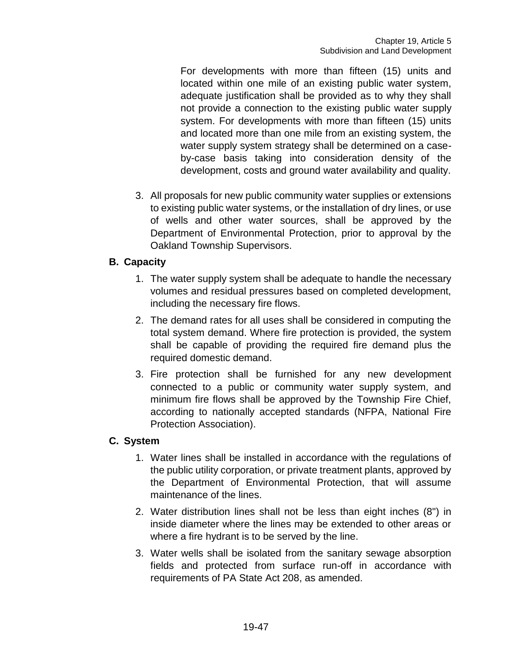For developments with more than fifteen (15) units and located within one mile of an existing public water system, adequate justification shall be provided as to why they shall not provide a connection to the existing public water supply system. For developments with more than fifteen (15) units and located more than one mile from an existing system, the water supply system strategy shall be determined on a caseby-case basis taking into consideration density of the development, costs and ground water availability and quality.

3. All proposals for new public community water supplies or extensions to existing public water systems, or the installation of dry lines, or use of wells and other water sources, shall be approved by the Department of Environmental Protection, prior to approval by the Oakland Township Supervisors.

#### **B. Capacity**

- 1. The water supply system shall be adequate to handle the necessary volumes and residual pressures based on completed development, including the necessary fire flows.
- 2. The demand rates for all uses shall be considered in computing the total system demand. Where fire protection is provided, the system shall be capable of providing the required fire demand plus the required domestic demand.
- 3. Fire protection shall be furnished for any new development connected to a public or community water supply system, and minimum fire flows shall be approved by the Township Fire Chief, according to nationally accepted standards (NFPA, National Fire Protection Association).

#### **C. System**

- 1. Water lines shall be installed in accordance with the regulations of the public utility corporation, or private treatment plants, approved by the Department of Environmental Protection, that will assume maintenance of the lines.
- 2. Water distribution lines shall not be less than eight inches (8") in inside diameter where the lines may be extended to other areas or where a fire hydrant is to be served by the line.
- 3. Water wells shall be isolated from the sanitary sewage absorption fields and protected from surface run-off in accordance with requirements of PA State Act 208, as amended.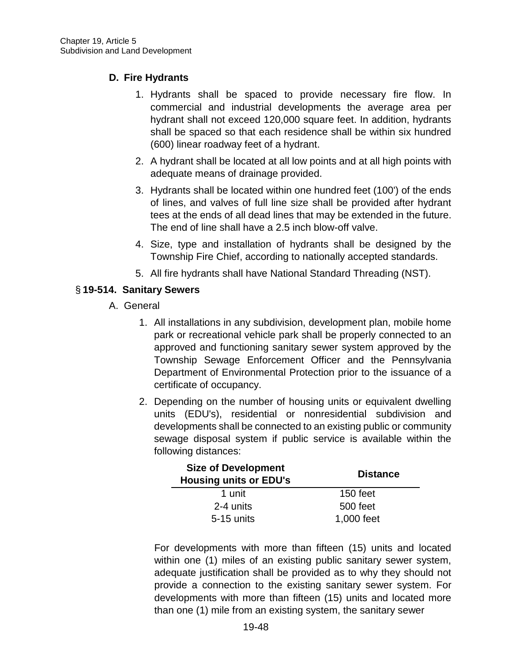# **D. Fire Hydrants**

- 1. Hydrants shall be spaced to provide necessary fire flow. In commercial and industrial developments the average area per hydrant shall not exceed 120,000 square feet. In addition, hydrants shall be spaced so that each residence shall be within six hundred (600) linear roadway feet of a hydrant.
- 2. A hydrant shall be located at all low points and at all high points with adequate means of drainage provided.
- 3. Hydrants shall be located within one hundred feet (100') of the ends of lines, and valves of full line size shall be provided after hydrant tees at the ends of all dead lines that may be extended in the future. The end of line shall have a 2.5 inch blow-off valve.
- 4. Size, type and installation of hydrants shall be designed by the Township Fire Chief, according to nationally accepted standards.
- 5. All fire hydrants shall have National Standard Threading (NST).

# § **19-514. Sanitary Sewers**

- A. General
	- 1. All installations in any subdivision, development plan, mobile home park or recreational vehicle park shall be properly connected to an approved and functioning sanitary sewer system approved by the Township Sewage Enforcement Officer and the Pennsylvania Department of Environmental Protection prior to the issuance of a certificate of occupancy.
	- 2. Depending on the number of housing units or equivalent dwelling units (EDU's), residential or nonresidential subdivision and developments shall be connected to an existing public or community sewage disposal system if public service is available within the following distances:

| <b>Size of Development</b><br><b>Housing units or EDU's</b> | <b>Distance</b> |  |
|-------------------------------------------------------------|-----------------|--|
| 1 unit                                                      | 150 feet        |  |
| 2-4 units                                                   | 500 feet        |  |
| $5-15$ units                                                | 1,000 feet      |  |

For developments with more than fifteen (15) units and located within one (1) miles of an existing public sanitary sewer system, adequate justification shall be provided as to why they should not provide a connection to the existing sanitary sewer system. For developments with more than fifteen (15) units and located more than one (1) mile from an existing system, the sanitary sewer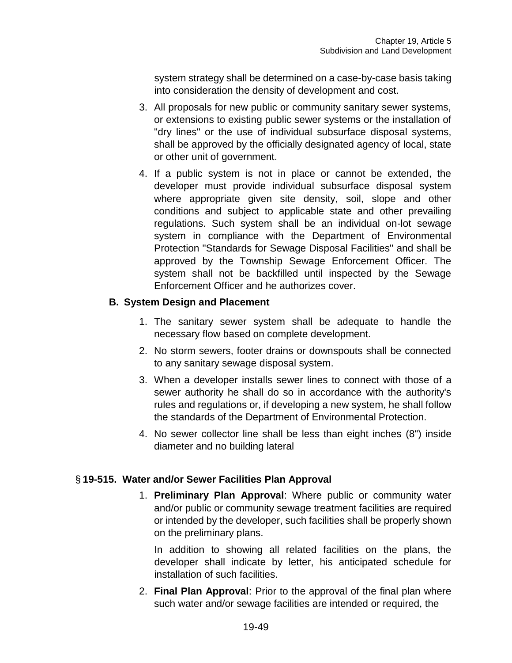system strategy shall be determined on a case-by-case basis taking into consideration the density of development and cost.

- 3. All proposals for new public or community sanitary sewer systems, or extensions to existing public sewer systems or the installation of "dry lines" or the use of individual subsurface disposal systems, shall be approved by the officially designated agency of local, state or other unit of government.
- 4. If a public system is not in place or cannot be extended, the developer must provide individual subsurface disposal system where appropriate given site density, soil, slope and other conditions and subject to applicable state and other prevailing regulations. Such system shall be an individual on-lot sewage system in compliance with the Department of Environmental Protection "Standards for Sewage Disposal Facilities" and shall be approved by the Township Sewage Enforcement Officer. The system shall not be backfilled until inspected by the Sewage Enforcement Officer and he authorizes cover.

#### **B. System Design and Placement**

- 1. The sanitary sewer system shall be adequate to handle the necessary flow based on complete development.
- 2. No storm sewers, footer drains or downspouts shall be connected to any sanitary sewage disposal system.
- 3. When a developer installs sewer lines to connect with those of a sewer authority he shall do so in accordance with the authority's rules and regulations or, if developing a new system, he shall follow the standards of the Department of Environmental Protection.
- 4. No sewer collector line shall be less than eight inches (8") inside diameter and no building lateral

#### § **19-515. Water and/or Sewer Facilities Plan Approval**

1. **Preliminary Plan Approval**: Where public or community water and/or public or community sewage treatment facilities are required or intended by the developer, such facilities shall be properly shown on the preliminary plans.

In addition to showing all related facilities on the plans, the developer shall indicate by letter, his anticipated schedule for installation of such facilities.

2. **Final Plan Approval**: Prior to the approval of the final plan where such water and/or sewage facilities are intended or required, the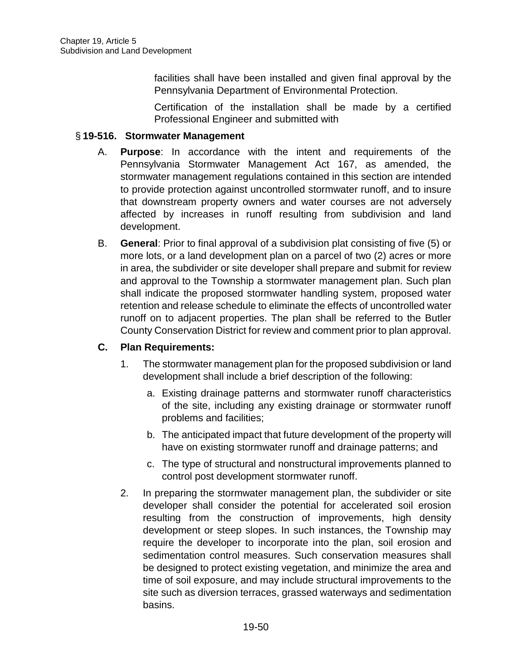facilities shall have been installed and given final approval by the Pennsylvania Department of Environmental Protection.

Certification of the installation shall be made by a certified Professional Engineer and submitted with

# § **19-516. Stormwater Management**

- A. **Purpose**: In accordance with the intent and requirements of the Pennsylvania Stormwater Management Act 167, as amended, the stormwater management regulations contained in this section are intended to provide protection against uncontrolled stormwater runoff, and to insure that downstream property owners and water courses are not adversely affected by increases in runoff resulting from subdivision and land development.
- B. **General**: Prior to final approval of a subdivision plat consisting of five (5) or more lots, or a land development plan on a parcel of two (2) acres or more in area, the subdivider or site developer shall prepare and submit for review and approval to the Township a stormwater management plan. Such plan shall indicate the proposed stormwater handling system, proposed water retention and release schedule to eliminate the effects of uncontrolled water runoff on to adjacent properties. The plan shall be referred to the Butler County Conservation District for review and comment prior to plan approval.

## **C. Plan Requirements:**

- 1. The stormwater management plan for the proposed subdivision or land development shall include a brief description of the following:
	- a. Existing drainage patterns and stormwater runoff characteristics of the site, including any existing drainage or stormwater runoff problems and facilities;
	- b. The anticipated impact that future development of the property will have on existing stormwater runoff and drainage patterns; and
	- c. The type of structural and nonstructural improvements planned to control post development stormwater runoff.
- 2. In preparing the stormwater management plan, the subdivider or site developer shall consider the potential for accelerated soil erosion resulting from the construction of improvements, high density development or steep slopes. In such instances, the Township may require the developer to incorporate into the plan, soil erosion and sedimentation control measures. Such conservation measures shall be designed to protect existing vegetation, and minimize the area and time of soil exposure, and may include structural improvements to the site such as diversion terraces, grassed waterways and sedimentation basins.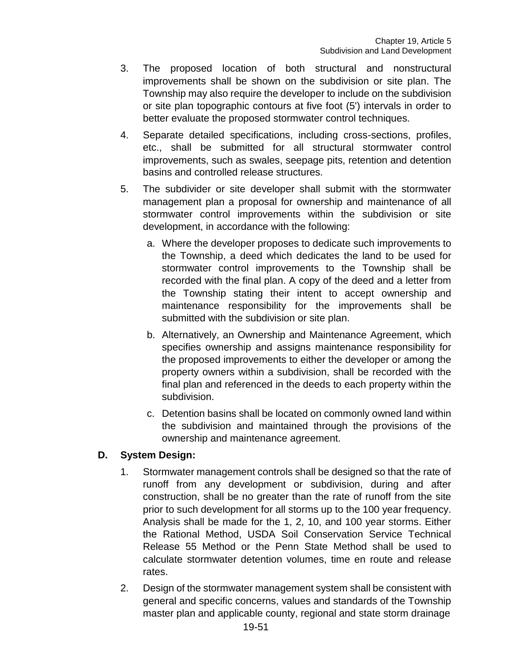- 3. The proposed location of both structural and nonstructural improvements shall be shown on the subdivision or site plan. The Township may also require the developer to include on the subdivision or site plan topographic contours at five foot (5') intervals in order to better evaluate the proposed stormwater control techniques.
- 4. Separate detailed specifications, including cross-sections, profiles, etc., shall be submitted for all structural stormwater control improvements, such as swales, seepage pits, retention and detention basins and controlled release structures.
- 5. The subdivider or site developer shall submit with the stormwater management plan a proposal for ownership and maintenance of all stormwater control improvements within the subdivision or site development, in accordance with the following:
	- a. Where the developer proposes to dedicate such improvements to the Township, a deed which dedicates the land to be used for stormwater control improvements to the Township shall be recorded with the final plan. A copy of the deed and a letter from the Township stating their intent to accept ownership and maintenance responsibility for the improvements shall be submitted with the subdivision or site plan.
	- b. Alternatively, an Ownership and Maintenance Agreement, which specifies ownership and assigns maintenance responsibility for the proposed improvements to either the developer or among the property owners within a subdivision, shall be recorded with the final plan and referenced in the deeds to each property within the subdivision.
	- c. Detention basins shall be located on commonly owned land within the subdivision and maintained through the provisions of the ownership and maintenance agreement.

## **D. System Design:**

- 1. Stormwater management controls shall be designed so that the rate of runoff from any development or subdivision, during and after construction, shall be no greater than the rate of runoff from the site prior to such development for all storms up to the 100 year frequency. Analysis shall be made for the 1, 2, 10, and 100 year storms. Either the Rational Method, USDA Soil Conservation Service Technical Release 55 Method or the Penn State Method shall be used to calculate stormwater detention volumes, time en route and release rates.
- 2. Design of the stormwater management system shall be consistent with general and specific concerns, values and standards of the Township master plan and applicable county, regional and state storm drainage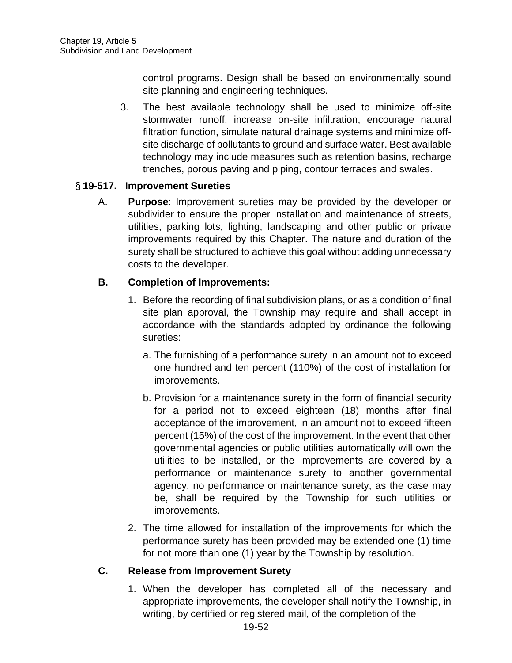control programs. Design shall be based on environmentally sound site planning and engineering techniques.

3. The best available technology shall be used to minimize off-site stormwater runoff, increase on-site infiltration, encourage natural filtration function, simulate natural drainage systems and minimize offsite discharge of pollutants to ground and surface water. Best available technology may include measures such as retention basins, recharge trenches, porous paving and piping, contour terraces and swales.

## § **19-517. Improvement Sureties**

A. **Purpose**: Improvement sureties may be provided by the developer or subdivider to ensure the proper installation and maintenance of streets, utilities, parking lots, lighting, landscaping and other public or private improvements required by this Chapter. The nature and duration of the surety shall be structured to achieve this goal without adding unnecessary costs to the developer.

## **B. Completion of Improvements:**

- 1. Before the recording of final subdivision plans, or as a condition of final site plan approval, the Township may require and shall accept in accordance with the standards adopted by ordinance the following sureties:
	- a. The furnishing of a performance surety in an amount not to exceed one hundred and ten percent (110%) of the cost of installation for improvements.
	- b. Provision for a maintenance surety in the form of financial security for a period not to exceed eighteen (18) months after final acceptance of the improvement, in an amount not to exceed fifteen percent (15%) of the cost of the improvement. In the event that other governmental agencies or public utilities automatically will own the utilities to be installed, or the improvements are covered by a performance or maintenance surety to another governmental agency, no performance or maintenance surety, as the case may be, shall be required by the Township for such utilities or improvements.
- 2. The time allowed for installation of the improvements for which the performance surety has been provided may be extended one (1) time for not more than one (1) year by the Township by resolution.

## **C. Release from Improvement Surety**

1. When the developer has completed all of the necessary and appropriate improvements, the developer shall notify the Township, in writing, by certified or registered mail, of the completion of the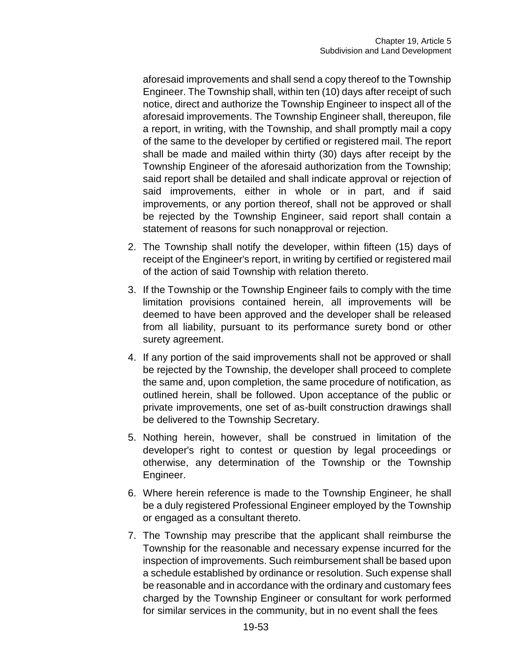aforesaid improvements and shall send a copy thereof to the Township Engineer. The Township shall, within ten (10) days after receipt of such notice, direct and authorize the Township Engineer to inspect all of the aforesaid improvements. The Township Engineer shall, thereupon, file a report, in writing, with the Township, and shall promptly mail a copy of the same to the developer by certified or registered mail. The report shall be made and mailed within thirty (30) days after receipt by the Township Engineer of the aforesaid authorization from the Township; said report shall be detailed and shall indicate approval or rejection of said improvements, either in whole or in part, and if said improvements, or any portion thereof, shall not be approved or shall be rejected by the Township Engineer, said report shall contain a statement of reasons for such nonapproval or rejection.

- 2. The Township shall notify the developer, within fifteen (15) days of receipt of the Engineer's report, in writing by certified or registered mail of the action of said Township with relation thereto.
- 3. If the Township or the Township Engineer fails to comply with the time limitation provisions contained herein, all improvements will be deemed to have been approved and the developer shall be released from all liability, pursuant to its performance surety bond or other surety agreement.
- 4. If any portion of the said improvements shall not be approved or shall be rejected by the Township, the developer shall proceed to complete the same and, upon completion, the same procedure of notification, as outlined herein, shall be followed. Upon acceptance of the public or private improvements, one set of as-built construction drawings shall be delivered to the Township Secretary.
- 5. Nothing herein, however, shall be construed in limitation of the developer's right to contest or question by legal proceedings or otherwise, any determination of the Township or the Township Engineer.
- 6. Where herein reference is made to the Township Engineer, he shall be a duly registered Professional Engineer employed by the Township or engaged as a consultant thereto.
- 7. The Township may prescribe that the applicant shall reimburse the Township for the reasonable and necessary expense incurred for the inspection of improvements. Such reimbursement shall be based upon a schedule established by ordinance or resolution. Such expense shall be reasonable and in accordance with the ordinary and customary fees charged by the Township Engineer or consultant for work performed for similar services in the community, but in no event shall the fees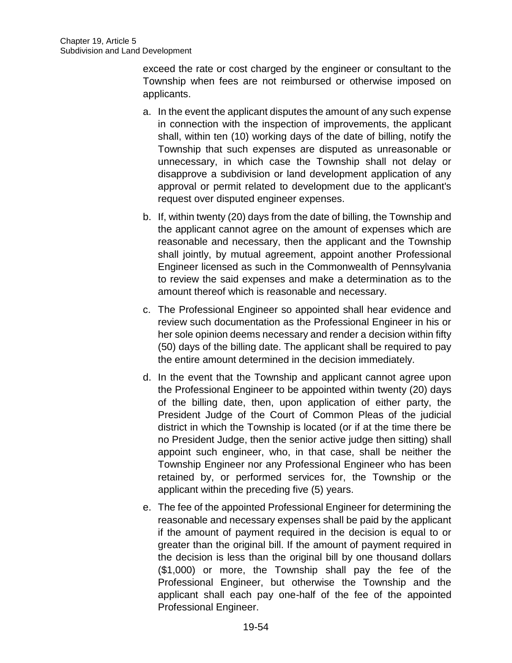exceed the rate or cost charged by the engineer or consultant to the Township when fees are not reimbursed or otherwise imposed on applicants.

- a. In the event the applicant disputes the amount of any such expense in connection with the inspection of improvements, the applicant shall, within ten (10) working days of the date of billing, notify the Township that such expenses are disputed as unreasonable or unnecessary, in which case the Township shall not delay or disapprove a subdivision or land development application of any approval or permit related to development due to the applicant's request over disputed engineer expenses.
- b. If, within twenty (20) days from the date of billing, the Township and the applicant cannot agree on the amount of expenses which are reasonable and necessary, then the applicant and the Township shall jointly, by mutual agreement, appoint another Professional Engineer licensed as such in the Commonwealth of Pennsylvania to review the said expenses and make a determination as to the amount thereof which is reasonable and necessary.
- c. The Professional Engineer so appointed shall hear evidence and review such documentation as the Professional Engineer in his or her sole opinion deems necessary and render a decision within fifty (50) days of the billing date. The applicant shall be required to pay the entire amount determined in the decision immediately.
- d. In the event that the Township and applicant cannot agree upon the Professional Engineer to be appointed within twenty (20) days of the billing date, then, upon application of either party, the President Judge of the Court of Common Pleas of the judicial district in which the Township is located (or if at the time there be no President Judge, then the senior active judge then sitting) shall appoint such engineer, who, in that case, shall be neither the Township Engineer nor any Professional Engineer who has been retained by, or performed services for, the Township or the applicant within the preceding five (5) years.
- e. The fee of the appointed Professional Engineer for determining the reasonable and necessary expenses shall be paid by the applicant if the amount of payment required in the decision is equal to or greater than the original bill. If the amount of payment required in the decision is less than the original bill by one thousand dollars (\$1,000) or more, the Township shall pay the fee of the Professional Engineer, but otherwise the Township and the applicant shall each pay one-half of the fee of the appointed Professional Engineer.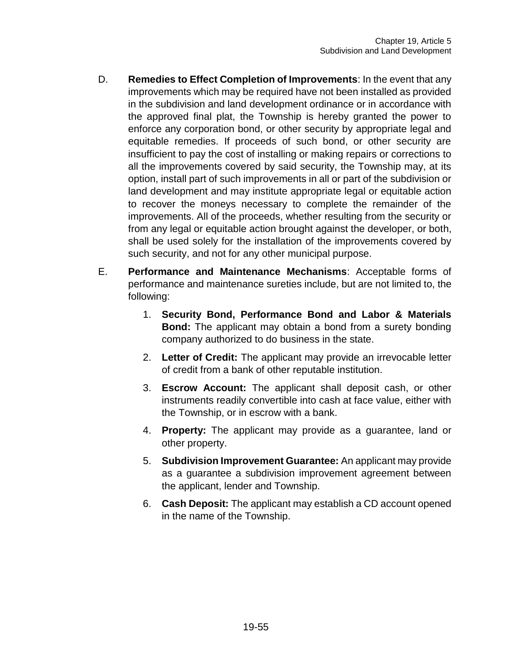- D. **Remedies to Effect Completion of Improvements**: In the event that any improvements which may be required have not been installed as provided in the subdivision and land development ordinance or in accordance with the approved final plat, the Township is hereby granted the power to enforce any corporation bond, or other security by appropriate legal and equitable remedies. If proceeds of such bond, or other security are insufficient to pay the cost of installing or making repairs or corrections to all the improvements covered by said security, the Township may, at its option, install part of such improvements in all or part of the subdivision or land development and may institute appropriate legal or equitable action to recover the moneys necessary to complete the remainder of the improvements. All of the proceeds, whether resulting from the security or from any legal or equitable action brought against the developer, or both, shall be used solely for the installation of the improvements covered by such security, and not for any other municipal purpose.
- E. **Performance and Maintenance Mechanisms**: Acceptable forms of performance and maintenance sureties include, but are not limited to, the following:
	- 1. **Security Bond, Performance Bond and Labor & Materials Bond:** The applicant may obtain a bond from a surety bonding company authorized to do business in the state.
	- 2. **Letter of Credit:** The applicant may provide an irrevocable letter of credit from a bank of other reputable institution.
	- 3. **Escrow Account:** The applicant shall deposit cash, or other instruments readily convertible into cash at face value, either with the Township, or in escrow with a bank.
	- 4. **Property:** The applicant may provide as a guarantee, land or other property.
	- 5. **Subdivision Improvement Guarantee:** An applicant may provide as a guarantee a subdivision improvement agreement between the applicant, lender and Township.
	- 6. **Cash Deposit:** The applicant may establish a CD account opened in the name of the Township.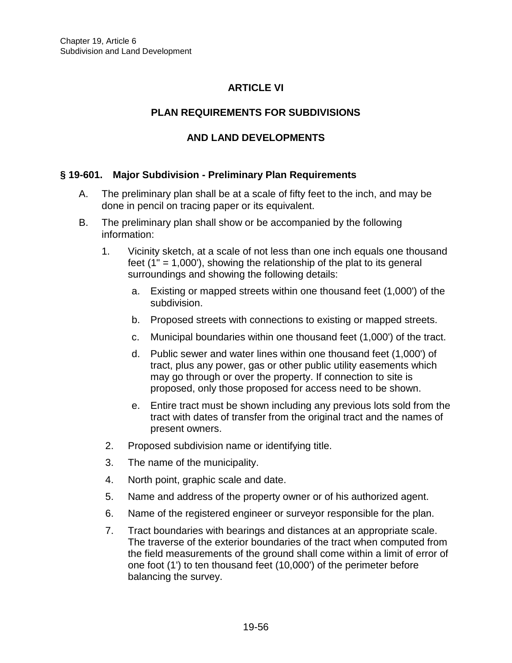# **ARTICLE VI**

# **PLAN REQUIREMENTS FOR SUBDIVISIONS**

# **AND LAND DEVELOPMENTS**

#### **§ 19-601. Major Subdivision - Preliminary Plan Requirements**

- A. The preliminary plan shall be at a scale of fifty feet to the inch, and may be done in pencil on tracing paper or its equivalent.
- B. The preliminary plan shall show or be accompanied by the following information:
	- 1. Vicinity sketch, at a scale of not less than one inch equals one thousand feet  $(1" = 1,000')$ , showing the relationship of the plat to its general surroundings and showing the following details:
		- a. Existing or mapped streets within one thousand feet (1,000') of the subdivision.
		- b. Proposed streets with connections to existing or mapped streets.
		- c. Municipal boundaries within one thousand feet (1,000') of the tract.
		- d. Public sewer and water lines within one thousand feet (1,000') of tract, plus any power, gas or other public utility easements which may go through or over the property. If connection to site is proposed, only those proposed for access need to be shown.
		- e. Entire tract must be shown including any previous lots sold from the tract with dates of transfer from the original tract and the names of present owners.
	- 2. Proposed subdivision name or identifying title.
	- 3. The name of the municipality.
	- 4. North point, graphic scale and date.
	- 5. Name and address of the property owner or of his authorized agent.
	- 6. Name of the registered engineer or surveyor responsible for the plan.
	- 7. Tract boundaries with bearings and distances at an appropriate scale. The traverse of the exterior boundaries of the tract when computed from the field measurements of the ground shall come within a limit of error of one foot (1') to ten thousand feet (10,000') of the perimeter before balancing the survey.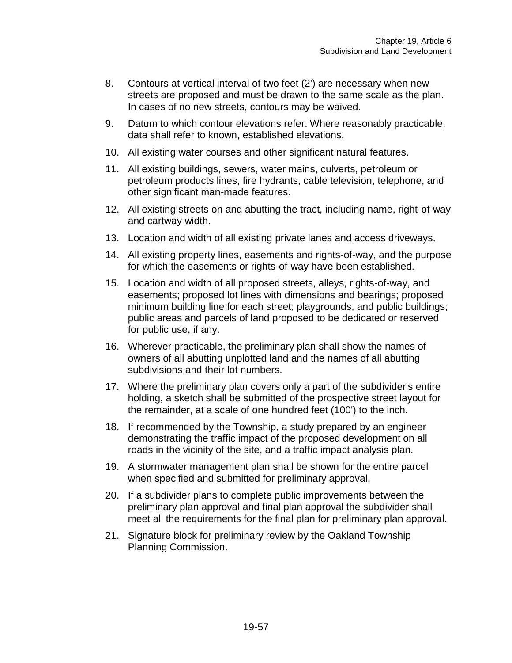- 8. Contours at vertical interval of two feet (2') are necessary when new streets are proposed and must be drawn to the same scale as the plan. In cases of no new streets, contours may be waived.
- 9. Datum to which contour elevations refer. Where reasonably practicable, data shall refer to known, established elevations.
- 10. All existing water courses and other significant natural features.
- 11. All existing buildings, sewers, water mains, culverts, petroleum or petroleum products lines, fire hydrants, cable television, telephone, and other significant man-made features.
- 12. All existing streets on and abutting the tract, including name, right-of-way and cartway width.
- 13. Location and width of all existing private lanes and access driveways.
- 14. All existing property lines, easements and rights-of-way, and the purpose for which the easements or rights-of-way have been established.
- 15. Location and width of all proposed streets, alleys, rights-of-way, and easements; proposed lot lines with dimensions and bearings; proposed minimum building line for each street; playgrounds, and public buildings; public areas and parcels of land proposed to be dedicated or reserved for public use, if any.
- 16. Wherever practicable, the preliminary plan shall show the names of owners of all abutting unplotted land and the names of all abutting subdivisions and their lot numbers.
- 17. Where the preliminary plan covers only a part of the subdivider's entire holding, a sketch shall be submitted of the prospective street layout for the remainder, at a scale of one hundred feet (100') to the inch.
- 18. If recommended by the Township, a study prepared by an engineer demonstrating the traffic impact of the proposed development on all roads in the vicinity of the site, and a traffic impact analysis plan.
- 19. A stormwater management plan shall be shown for the entire parcel when specified and submitted for preliminary approval.
- 20. If a subdivider plans to complete public improvements between the preliminary plan approval and final plan approval the subdivider shall meet all the requirements for the final plan for preliminary plan approval.
- 21. Signature block for preliminary review by the Oakland Township Planning Commission.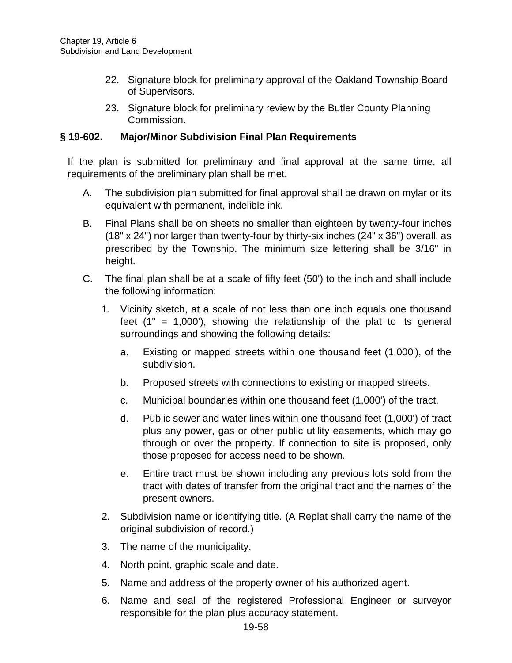- 22. Signature block for preliminary approval of the Oakland Township Board of Supervisors.
- 23. Signature block for preliminary review by the Butler County Planning Commission.

#### **§ 19-602. Major/Minor Subdivision Final Plan Requirements**

If the plan is submitted for preliminary and final approval at the same time, all requirements of the preliminary plan shall be met.

- A. The subdivision plan submitted for final approval shall be drawn on mylar or its equivalent with permanent, indelible ink.
- B. Final Plans shall be on sheets no smaller than eighteen by twenty-four inches (18" x 24") nor larger than twenty-four by thirty-six inches (24" x 36") overall, as prescribed by the Township. The minimum size lettering shall be 3/16" in height.
- C. The final plan shall be at a scale of fifty feet (50') to the inch and shall include the following information:
	- 1. Vicinity sketch, at a scale of not less than one inch equals one thousand feet  $(1" = 1,000')$ , showing the relationship of the plat to its general surroundings and showing the following details:
		- a. Existing or mapped streets within one thousand feet (1,000'), of the subdivision.
		- b. Proposed streets with connections to existing or mapped streets.
		- c. Municipal boundaries within one thousand feet (1,000') of the tract.
		- d. Public sewer and water lines within one thousand feet (1,000') of tract plus any power, gas or other public utility easements, which may go through or over the property. If connection to site is proposed, only those proposed for access need to be shown.
		- e. Entire tract must be shown including any previous lots sold from the tract with dates of transfer from the original tract and the names of the present owners.
	- 2. Subdivision name or identifying title. (A Replat shall carry the name of the original subdivision of record.)
	- 3. The name of the municipality.
	- 4. North point, graphic scale and date.
	- 5. Name and address of the property owner of his authorized agent.
	- 6. Name and seal of the registered Professional Engineer or surveyor responsible for the plan plus accuracy statement.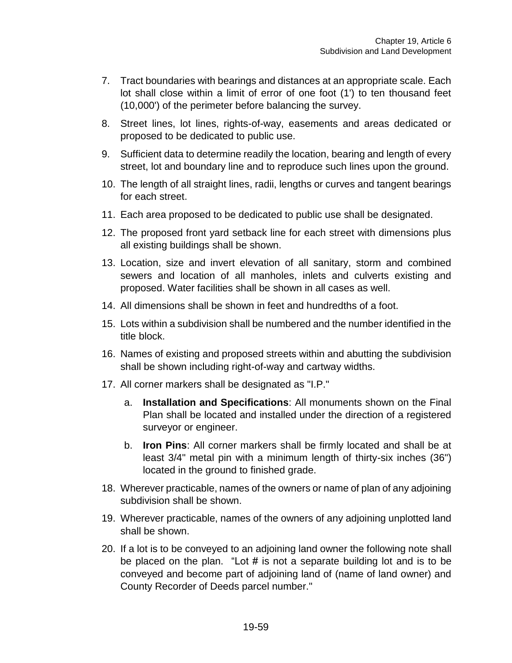- 7. Tract boundaries with bearings and distances at an appropriate scale. Each lot shall close within a limit of error of one foot (1') to ten thousand feet (10,000') of the perimeter before balancing the survey.
- 8. Street lines, lot lines, rights-of-way, easements and areas dedicated or proposed to be dedicated to public use.
- 9. Sufficient data to determine readily the location, bearing and length of every street, lot and boundary line and to reproduce such lines upon the ground.
- 10. The length of all straight lines, radii, lengths or curves and tangent bearings for each street.
- 11. Each area proposed to be dedicated to public use shall be designated.
- 12. The proposed front yard setback line for each street with dimensions plus all existing buildings shall be shown.
- 13. Location, size and invert elevation of all sanitary, storm and combined sewers and location of all manholes, inlets and culverts existing and proposed. Water facilities shall be shown in all cases as well.
- 14. All dimensions shall be shown in feet and hundredths of a foot.
- 15. Lots within a subdivision shall be numbered and the number identified in the title block.
- 16. Names of existing and proposed streets within and abutting the subdivision shall be shown including right-of-way and cartway widths.
- 17. All corner markers shall be designated as "I.P."
	- a. **Installation and Specifications**: All monuments shown on the Final Plan shall be located and installed under the direction of a registered surveyor or engineer.
	- b. **Iron Pins**: All corner markers shall be firmly located and shall be at least 3/4" metal pin with a minimum length of thirty-six inches (36") located in the ground to finished grade.
- 18. Wherever practicable, names of the owners or name of plan of any adjoining subdivision shall be shown.
- 19. Wherever practicable, names of the owners of any adjoining unplotted land shall be shown.
- 20. If a lot is to be conveyed to an adjoining land owner the following note shall be placed on the plan. "Lot  $#$  is not a separate building lot and is to be conveyed and become part of adjoining land of (name of land owner) and County Recorder of Deeds parcel number."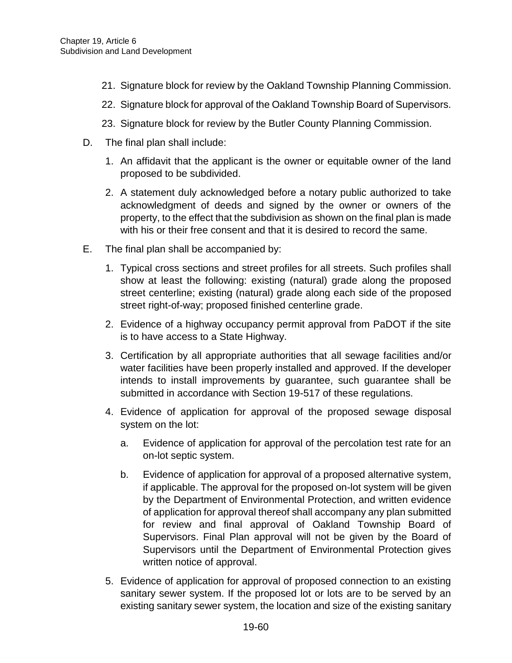- 21. Signature block for review by the Oakland Township Planning Commission.
- 22. Signature block for approval of the Oakland Township Board of Supervisors.
- 23. Signature block for review by the Butler County Planning Commission.
- D. The final plan shall include:
	- 1. An affidavit that the applicant is the owner or equitable owner of the land proposed to be subdivided.
	- 2. A statement duly acknowledged before a notary public authorized to take acknowledgment of deeds and signed by the owner or owners of the property, to the effect that the subdivision as shown on the final plan is made with his or their free consent and that it is desired to record the same.
- E. The final plan shall be accompanied by:
	- 1. Typical cross sections and street profiles for all streets. Such profiles shall show at least the following: existing (natural) grade along the proposed street centerline; existing (natural) grade along each side of the proposed street right-of-way; proposed finished centerline grade.
	- 2. Evidence of a highway occupancy permit approval from PaDOT if the site is to have access to a State Highway.
	- 3. Certification by all appropriate authorities that all sewage facilities and/or water facilities have been properly installed and approved. If the developer intends to install improvements by guarantee, such guarantee shall be submitted in accordance with Section 19-517 of these regulations.
	- 4. Evidence of application for approval of the proposed sewage disposal system on the lot:
		- a. Evidence of application for approval of the percolation test rate for an on-lot septic system.
		- b. Evidence of application for approval of a proposed alternative system, if applicable. The approval for the proposed on-lot system will be given by the Department of Environmental Protection, and written evidence of application for approval thereof shall accompany any plan submitted for review and final approval of Oakland Township Board of Supervisors. Final Plan approval will not be given by the Board of Supervisors until the Department of Environmental Protection gives written notice of approval.
	- 5. Evidence of application for approval of proposed connection to an existing sanitary sewer system. If the proposed lot or lots are to be served by an existing sanitary sewer system, the location and size of the existing sanitary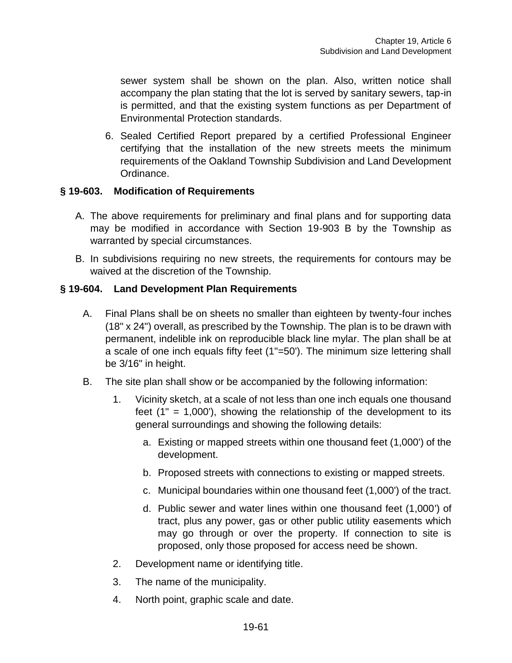sewer system shall be shown on the plan. Also, written notice shall accompany the plan stating that the lot is served by sanitary sewers, tap-in is permitted, and that the existing system functions as per Department of Environmental Protection standards.

6. Sealed Certified Report prepared by a certified Professional Engineer certifying that the installation of the new streets meets the minimum requirements of the Oakland Township Subdivision and Land Development Ordinance.

#### **§ 19-603. Modification of Requirements**

- A. The above requirements for preliminary and final plans and for supporting data may be modified in accordance with Section 19-903 B by the Township as warranted by special circumstances.
- B. In subdivisions requiring no new streets, the requirements for contours may be waived at the discretion of the Township.

#### **§ 19-604. Land Development Plan Requirements**

- A. Final Plans shall be on sheets no smaller than eighteen by twenty-four inches (18" x 24") overall, as prescribed by the Township. The plan is to be drawn with permanent, indelible ink on reproducible black line mylar. The plan shall be at a scale of one inch equals fifty feet (1"=50'). The minimum size lettering shall be 3/16" in height.
- B. The site plan shall show or be accompanied by the following information:
	- 1. Vicinity sketch, at a scale of not less than one inch equals one thousand feet  $(1" = 1,000')$ , showing the relationship of the development to its general surroundings and showing the following details:
		- a. Existing or mapped streets within one thousand feet (1,000') of the development.
		- b. Proposed streets with connections to existing or mapped streets.
		- c. Municipal boundaries within one thousand feet (1,000') of the tract.
		- d. Public sewer and water lines within one thousand feet (1,000') of tract, plus any power, gas or other public utility easements which may go through or over the property. If connection to site is proposed, only those proposed for access need be shown.
	- 2. Development name or identifying title.
	- 3. The name of the municipality.
	- 4. North point, graphic scale and date.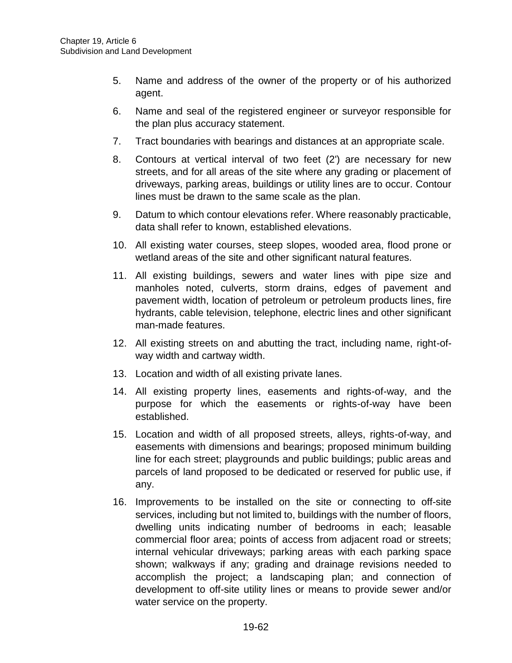- 5. Name and address of the owner of the property or of his authorized agent.
- 6. Name and seal of the registered engineer or surveyor responsible for the plan plus accuracy statement.
- 7. Tract boundaries with bearings and distances at an appropriate scale.
- 8. Contours at vertical interval of two feet (2') are necessary for new streets, and for all areas of the site where any grading or placement of driveways, parking areas, buildings or utility lines are to occur. Contour lines must be drawn to the same scale as the plan.
- 9. Datum to which contour elevations refer. Where reasonably practicable, data shall refer to known, established elevations.
- 10. All existing water courses, steep slopes, wooded area, flood prone or wetland areas of the site and other significant natural features.
- 11. All existing buildings, sewers and water lines with pipe size and manholes noted, culverts, storm drains, edges of pavement and pavement width, location of petroleum or petroleum products lines, fire hydrants, cable television, telephone, electric lines and other significant man-made features.
- 12. All existing streets on and abutting the tract, including name, right-ofway width and cartway width.
- 13. Location and width of all existing private lanes.
- 14. All existing property lines, easements and rights-of-way, and the purpose for which the easements or rights-of-way have been established.
- 15. Location and width of all proposed streets, alleys, rights-of-way, and easements with dimensions and bearings; proposed minimum building line for each street; playgrounds and public buildings; public areas and parcels of land proposed to be dedicated or reserved for public use, if any.
- 16. Improvements to be installed on the site or connecting to off-site services, including but not limited to, buildings with the number of floors, dwelling units indicating number of bedrooms in each; leasable commercial floor area; points of access from adjacent road or streets; internal vehicular driveways; parking areas with each parking space shown; walkways if any; grading and drainage revisions needed to accomplish the project; a landscaping plan; and connection of development to off-site utility lines or means to provide sewer and/or water service on the property.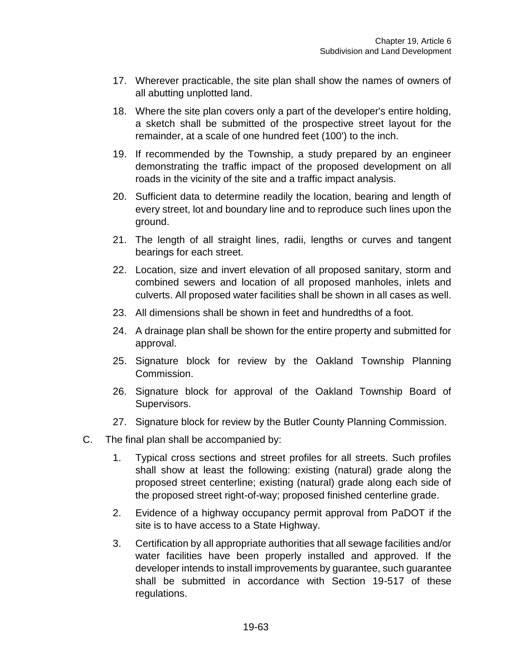- 17. Wherever practicable, the site plan shall show the names of owners of all abutting unplotted land.
- 18. Where the site plan covers only a part of the developer's entire holding, a sketch shall be submitted of the prospective street layout for the remainder, at a scale of one hundred feet (100') to the inch.
- 19. If recommended by the Township, a study prepared by an engineer demonstrating the traffic impact of the proposed development on all roads in the vicinity of the site and a traffic impact analysis.
- 20. Sufficient data to determine readily the location, bearing and length of every street, lot and boundary line and to reproduce such lines upon the ground.
- 21. The length of all straight lines, radii, lengths or curves and tangent bearings for each street.
- 22. Location, size and invert elevation of all proposed sanitary, storm and combined sewers and location of all proposed manholes, inlets and culverts. All proposed water facilities shall be shown in all cases as well.
- 23. All dimensions shall be shown in feet and hundredths of a foot.
- 24. A drainage plan shall be shown for the entire property and submitted for approval.
- 25. Signature block for review by the Oakland Township Planning Commission.
- 26. Signature block for approval of the Oakland Township Board of Supervisors.
- 27. Signature block for review by the Butler County Planning Commission.
- C. The final plan shall be accompanied by:
	- 1. Typical cross sections and street profiles for all streets. Such profiles shall show at least the following: existing (natural) grade along the proposed street centerline; existing (natural) grade along each side of the proposed street right-of-way; proposed finished centerline grade.
	- 2. Evidence of a highway occupancy permit approval from PaDOT if the site is to have access to a State Highway.
	- 3. Certification by all appropriate authorities that all sewage facilities and/or water facilities have been properly installed and approved. If the developer intends to install improvements by guarantee, such guarantee shall be submitted in accordance with Section 19-517 of these regulations.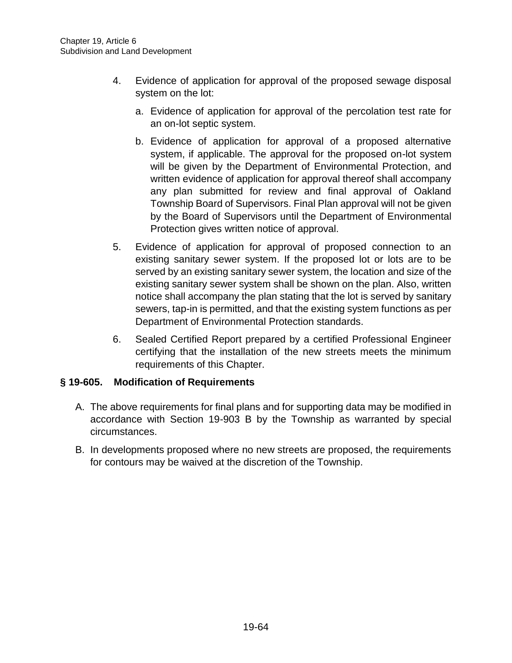- 4. Evidence of application for approval of the proposed sewage disposal system on the lot:
	- a. Evidence of application for approval of the percolation test rate for an on-lot septic system.
	- b. Evidence of application for approval of a proposed alternative system, if applicable. The approval for the proposed on-lot system will be given by the Department of Environmental Protection, and written evidence of application for approval thereof shall accompany any plan submitted for review and final approval of Oakland Township Board of Supervisors. Final Plan approval will not be given by the Board of Supervisors until the Department of Environmental Protection gives written notice of approval.
- 5. Evidence of application for approval of proposed connection to an existing sanitary sewer system. If the proposed lot or lots are to be served by an existing sanitary sewer system, the location and size of the existing sanitary sewer system shall be shown on the plan. Also, written notice shall accompany the plan stating that the lot is served by sanitary sewers, tap-in is permitted, and that the existing system functions as per Department of Environmental Protection standards.
- 6. Sealed Certified Report prepared by a certified Professional Engineer certifying that the installation of the new streets meets the minimum requirements of this Chapter.

## **§ 19-605. Modification of Requirements**

- A. The above requirements for final plans and for supporting data may be modified in accordance with Section 19-903 B by the Township as warranted by special circumstances.
- B. In developments proposed where no new streets are proposed, the requirements for contours may be waived at the discretion of the Township.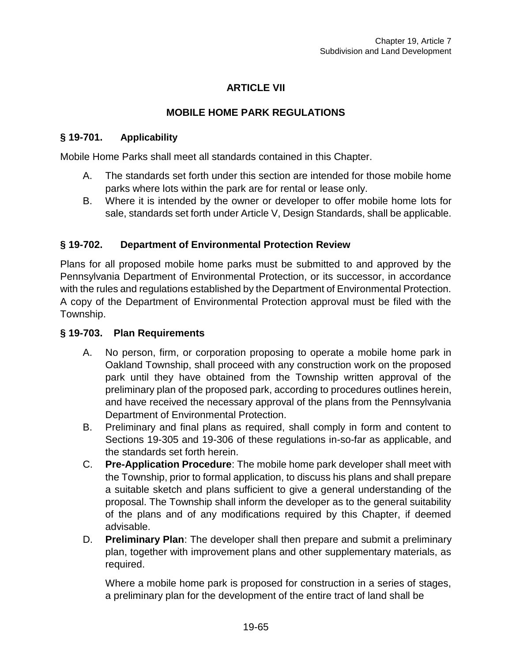# **ARTICLE VII**

## **MOBILE HOME PARK REGULATIONS**

#### **§ 19-701. Applicability**

Mobile Home Parks shall meet all standards contained in this Chapter.

- A. The standards set forth under this section are intended for those mobile home parks where lots within the park are for rental or lease only.
- B. Where it is intended by the owner or developer to offer mobile home lots for sale, standards set forth under Article V, Design Standards, shall be applicable.

#### **§ 19-702. Department of Environmental Protection Review**

Plans for all proposed mobile home parks must be submitted to and approved by the Pennsylvania Department of Environmental Protection, or its successor, in accordance with the rules and regulations established by the Department of Environmental Protection. A copy of the Department of Environmental Protection approval must be filed with the Township.

#### **§ 19-703. Plan Requirements**

- A. No person, firm, or corporation proposing to operate a mobile home park in Oakland Township, shall proceed with any construction work on the proposed park until they have obtained from the Township written approval of the preliminary plan of the proposed park, according to procedures outlines herein, and have received the necessary approval of the plans from the Pennsylvania Department of Environmental Protection.
- B. Preliminary and final plans as required, shall comply in form and content to Sections 19-305 and 19-306 of these regulations in-so-far as applicable, and the standards set forth herein.
- C. **Pre-Application Procedure**: The mobile home park developer shall meet with the Township, prior to formal application, to discuss his plans and shall prepare a suitable sketch and plans sufficient to give a general understanding of the proposal. The Township shall inform the developer as to the general suitability of the plans and of any modifications required by this Chapter, if deemed advisable.
- D. **Preliminary Plan**: The developer shall then prepare and submit a preliminary plan, together with improvement plans and other supplementary materials, as required.

Where a mobile home park is proposed for construction in a series of stages, a preliminary plan for the development of the entire tract of land shall be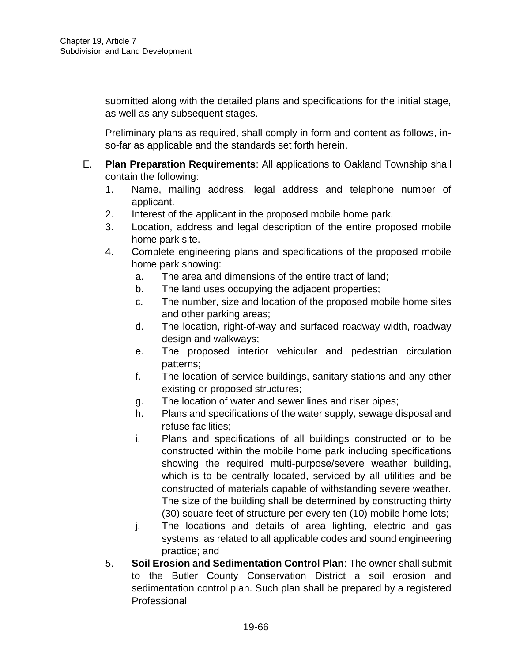submitted along with the detailed plans and specifications for the initial stage, as well as any subsequent stages.

Preliminary plans as required, shall comply in form and content as follows, inso-far as applicable and the standards set forth herein.

- E. **Plan Preparation Requirements**: All applications to Oakland Township shall contain the following:
	- 1. Name, mailing address, legal address and telephone number of applicant.
	- 2. Interest of the applicant in the proposed mobile home park.
	- 3. Location, address and legal description of the entire proposed mobile home park site.
	- 4. Complete engineering plans and specifications of the proposed mobile home park showing:
		- a. The area and dimensions of the entire tract of land;
		- b. The land uses occupying the adjacent properties;
		- c. The number, size and location of the proposed mobile home sites and other parking areas;
		- d. The location, right-of-way and surfaced roadway width, roadway design and walkways;
		- e. The proposed interior vehicular and pedestrian circulation patterns;
		- f. The location of service buildings, sanitary stations and any other existing or proposed structures;
		- g. The location of water and sewer lines and riser pipes;
		- h. Plans and specifications of the water supply, sewage disposal and refuse facilities;
		- i. Plans and specifications of all buildings constructed or to be constructed within the mobile home park including specifications showing the required multi-purpose/severe weather building, which is to be centrally located, serviced by all utilities and be constructed of materials capable of withstanding severe weather. The size of the building shall be determined by constructing thirty (30) square feet of structure per every ten (10) mobile home lots;
		- j. The locations and details of area lighting, electric and gas systems, as related to all applicable codes and sound engineering practice; and
	- 5. **Soil Erosion and Sedimentation Control Plan**: The owner shall submit to the Butler County Conservation District a soil erosion and sedimentation control plan. Such plan shall be prepared by a registered Professional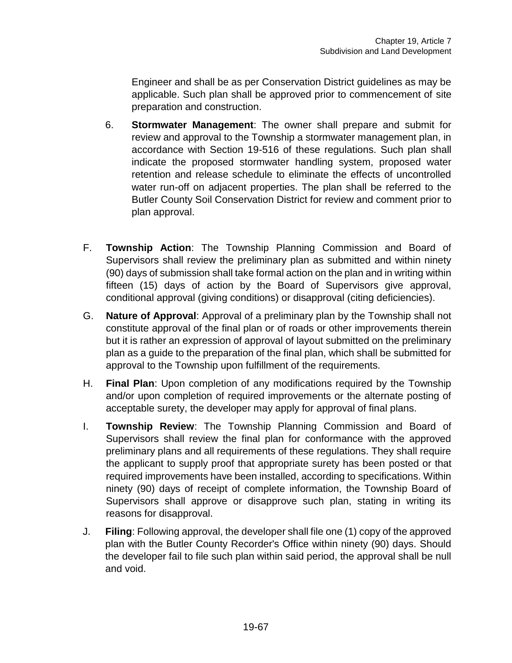Engineer and shall be as per Conservation District guidelines as may be applicable. Such plan shall be approved prior to commencement of site preparation and construction.

- 6. **Stormwater Management**: The owner shall prepare and submit for review and approval to the Township a stormwater management plan, in accordance with Section 19-516 of these regulations. Such plan shall indicate the proposed stormwater handling system, proposed water retention and release schedule to eliminate the effects of uncontrolled water run-off on adjacent properties. The plan shall be referred to the Butler County Soil Conservation District for review and comment prior to plan approval.
- F. **Township Action**: The Township Planning Commission and Board of Supervisors shall review the preliminary plan as submitted and within ninety (90) days of submission shall take formal action on the plan and in writing within fifteen (15) days of action by the Board of Supervisors give approval, conditional approval (giving conditions) or disapproval (citing deficiencies).
- G. **Nature of Approval**: Approval of a preliminary plan by the Township shall not constitute approval of the final plan or of roads or other improvements therein but it is rather an expression of approval of layout submitted on the preliminary plan as a guide to the preparation of the final plan, which shall be submitted for approval to the Township upon fulfillment of the requirements.
- H. **Final Plan**: Upon completion of any modifications required by the Township and/or upon completion of required improvements or the alternate posting of acceptable surety, the developer may apply for approval of final plans.
- I. **Township Review**: The Township Planning Commission and Board of Supervisors shall review the final plan for conformance with the approved preliminary plans and all requirements of these regulations. They shall require the applicant to supply proof that appropriate surety has been posted or that required improvements have been installed, according to specifications. Within ninety (90) days of receipt of complete information, the Township Board of Supervisors shall approve or disapprove such plan, stating in writing its reasons for disapproval.
- J. **Filing**: Following approval, the developer shall file one (1) copy of the approved plan with the Butler County Recorder's Office within ninety (90) days. Should the developer fail to file such plan within said period, the approval shall be null and void.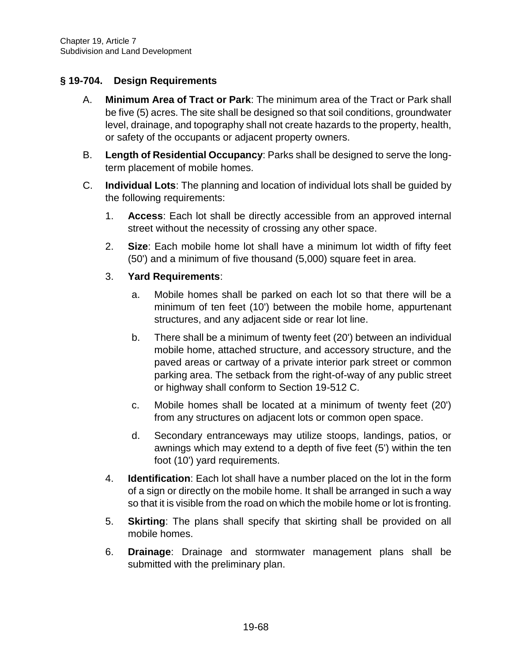#### **§ 19-704. Design Requirements**

- A. **Minimum Area of Tract or Park**: The minimum area of the Tract or Park shall be five (5) acres. The site shall be designed so that soil conditions, groundwater level, drainage, and topography shall not create hazards to the property, health, or safety of the occupants or adjacent property owners.
- B. **Length of Residential Occupancy**: Parks shall be designed to serve the longterm placement of mobile homes.
- C. **Individual Lots**: The planning and location of individual lots shall be guided by the following requirements:
	- 1. **Access**: Each lot shall be directly accessible from an approved internal street without the necessity of crossing any other space.
	- 2. **Size**: Each mobile home lot shall have a minimum lot width of fifty feet (50') and a minimum of five thousand (5,000) square feet in area.

#### 3. **Yard Requirements**:

- a. Mobile homes shall be parked on each lot so that there will be a minimum of ten feet (10') between the mobile home, appurtenant structures, and any adjacent side or rear lot line.
- b. There shall be a minimum of twenty feet (20') between an individual mobile home, attached structure, and accessory structure, and the paved areas or cartway of a private interior park street or common parking area. The setback from the right-of-way of any public street or highway shall conform to Section 19-512 C.
- c. Mobile homes shall be located at a minimum of twenty feet (20') from any structures on adjacent lots or common open space.
- d. Secondary entranceways may utilize stoops, landings, patios, or awnings which may extend to a depth of five feet (5') within the ten foot (10') yard requirements.
- 4. **Identification**: Each lot shall have a number placed on the lot in the form of a sign or directly on the mobile home. It shall be arranged in such a way so that it is visible from the road on which the mobile home or lot is fronting.
- 5. **Skirting**: The plans shall specify that skirting shall be provided on all mobile homes.
- 6. **Drainage**: Drainage and stormwater management plans shall be submitted with the preliminary plan.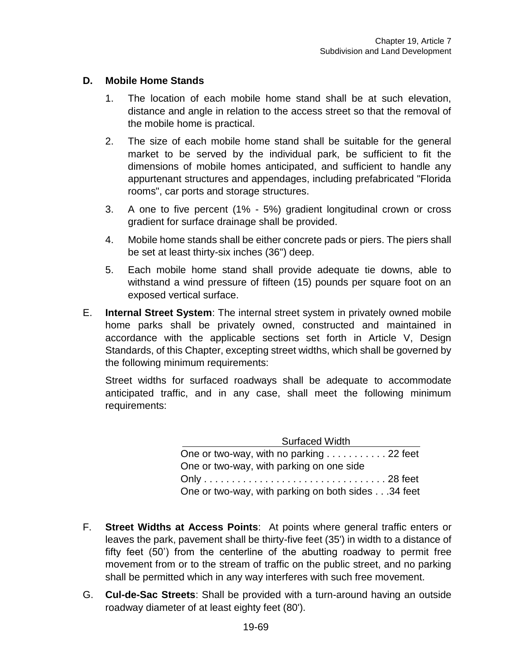## **D. Mobile Home Stands**

- 1. The location of each mobile home stand shall be at such elevation, distance and angle in relation to the access street so that the removal of the mobile home is practical.
- 2. The size of each mobile home stand shall be suitable for the general market to be served by the individual park, be sufficient to fit the dimensions of mobile homes anticipated, and sufficient to handle any appurtenant structures and appendages, including prefabricated "Florida rooms", car ports and storage structures.
- 3. A one to five percent (1% 5%) gradient longitudinal crown or cross gradient for surface drainage shall be provided.
- 4. Mobile home stands shall be either concrete pads or piers. The piers shall be set at least thirty-six inches (36") deep.
- 5. Each mobile home stand shall provide adequate tie downs, able to withstand a wind pressure of fifteen (15) pounds per square foot on an exposed vertical surface.
- E. **Internal Street System**: The internal street system in privately owned mobile home parks shall be privately owned, constructed and maintained in accordance with the applicable sections set forth in Article V, Design Standards, of this Chapter, excepting street widths, which shall be governed by the following minimum requirements:

Street widths for surfaced roadways shall be adequate to accommodate anticipated traffic, and in any case, shall meet the following minimum requirements:

| <b>Surfaced Width</b>                                       |  |
|-------------------------------------------------------------|--|
| One or two-way, with no parking $\dots \dots \dots 22$ feet |  |
| One or two-way, with parking on one side                    |  |
|                                                             |  |
| One or two-way, with parking on both sides34 feet           |  |

- F. **Street Widths at Access Points**: At points where general traffic enters or leaves the park, pavement shall be thirty-five feet (35') in width to a distance of fifty feet (50') from the centerline of the abutting roadway to permit free movement from or to the stream of traffic on the public street, and no parking shall be permitted which in any way interferes with such free movement.
- G. **Cul-de-Sac Streets**: Shall be provided with a turn-around having an outside roadway diameter of at least eighty feet (80').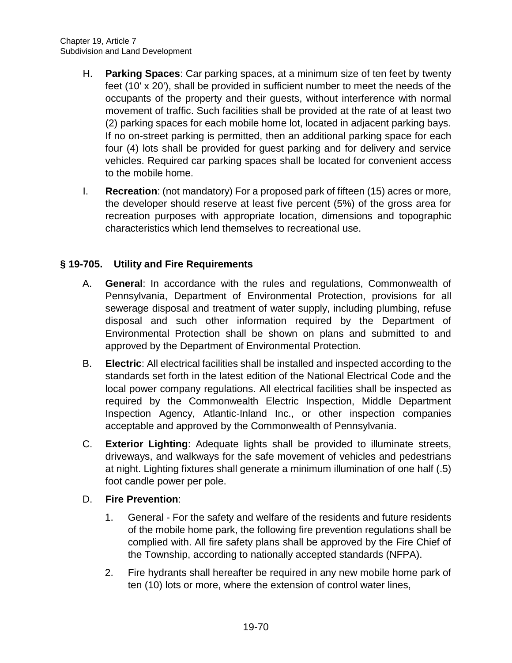- H. **Parking Spaces**: Car parking spaces, at a minimum size of ten feet by twenty feet (10' x 20'), shall be provided in sufficient number to meet the needs of the occupants of the property and their guests, without interference with normal movement of traffic. Such facilities shall be provided at the rate of at least two (2) parking spaces for each mobile home lot, located in adjacent parking bays. If no on-street parking is permitted, then an additional parking space for each four (4) lots shall be provided for guest parking and for delivery and service vehicles. Required car parking spaces shall be located for convenient access to the mobile home.
- I. **Recreation**: (not mandatory) For a proposed park of fifteen (15) acres or more, the developer should reserve at least five percent (5%) of the gross area for recreation purposes with appropriate location, dimensions and topographic characteristics which lend themselves to recreational use.

# **§ 19-705. Utility and Fire Requirements**

- A. **General**: In accordance with the rules and regulations, Commonwealth of Pennsylvania, Department of Environmental Protection, provisions for all sewerage disposal and treatment of water supply, including plumbing, refuse disposal and such other information required by the Department of Environmental Protection shall be shown on plans and submitted to and approved by the Department of Environmental Protection.
- B. **Electric**: All electrical facilities shall be installed and inspected according to the standards set forth in the latest edition of the National Electrical Code and the local power company regulations. All electrical facilities shall be inspected as required by the Commonwealth Electric Inspection, Middle Department Inspection Agency, Atlantic-Inland Inc., or other inspection companies acceptable and approved by the Commonwealth of Pennsylvania.
- C. **Exterior Lighting**: Adequate lights shall be provided to illuminate streets, driveways, and walkways for the safe movement of vehicles and pedestrians at night. Lighting fixtures shall generate a minimum illumination of one half (.5) foot candle power per pole.
- D. **Fire Prevention**:
	- 1. General For the safety and welfare of the residents and future residents of the mobile home park, the following fire prevention regulations shall be complied with. All fire safety plans shall be approved by the Fire Chief of the Township, according to nationally accepted standards (NFPA).
	- 2. Fire hydrants shall hereafter be required in any new mobile home park of ten (10) lots or more, where the extension of control water lines,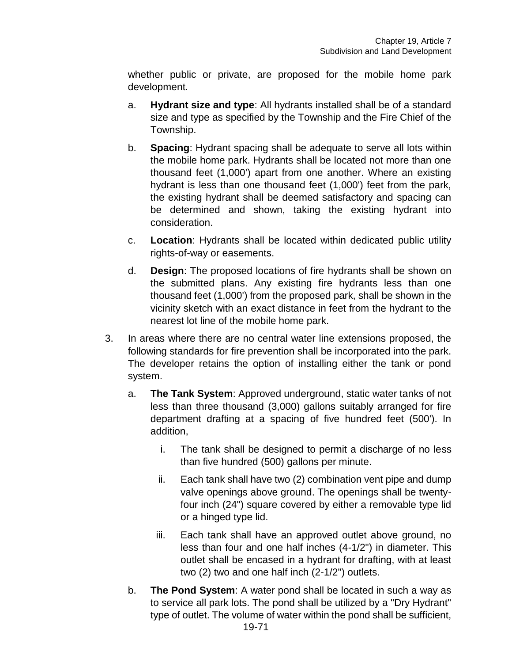whether public or private, are proposed for the mobile home park development.

- a. **Hydrant size and type**: All hydrants installed shall be of a standard size and type as specified by the Township and the Fire Chief of the Township.
- b. **Spacing**: Hydrant spacing shall be adequate to serve all lots within the mobile home park. Hydrants shall be located not more than one thousand feet (1,000') apart from one another. Where an existing hydrant is less than one thousand feet (1,000') feet from the park, the existing hydrant shall be deemed satisfactory and spacing can be determined and shown, taking the existing hydrant into consideration.
- c. **Location**: Hydrants shall be located within dedicated public utility rights-of-way or easements.
- d. **Design**: The proposed locations of fire hydrants shall be shown on the submitted plans. Any existing fire hydrants less than one thousand feet (1,000') from the proposed park, shall be shown in the vicinity sketch with an exact distance in feet from the hydrant to the nearest lot line of the mobile home park.
- 3. In areas where there are no central water line extensions proposed, the following standards for fire prevention shall be incorporated into the park. The developer retains the option of installing either the tank or pond system.
	- a. **The Tank System**: Approved underground, static water tanks of not less than three thousand (3,000) gallons suitably arranged for fire department drafting at a spacing of five hundred feet (500'). In addition,
		- i. The tank shall be designed to permit a discharge of no less than five hundred (500) gallons per minute.
		- ii. Each tank shall have two (2) combination vent pipe and dump valve openings above ground. The openings shall be twentyfour inch (24") square covered by either a removable type lid or a hinged type lid.
		- iii. Each tank shall have an approved outlet above ground, no less than four and one half inches (4-1/2") in diameter. This outlet shall be encased in a hydrant for drafting, with at least two (2) two and one half inch (2-1/2") outlets.
	- b. **The Pond System**: A water pond shall be located in such a way as to service all park lots. The pond shall be utilized by a "Dry Hydrant" type of outlet. The volume of water within the pond shall be sufficient,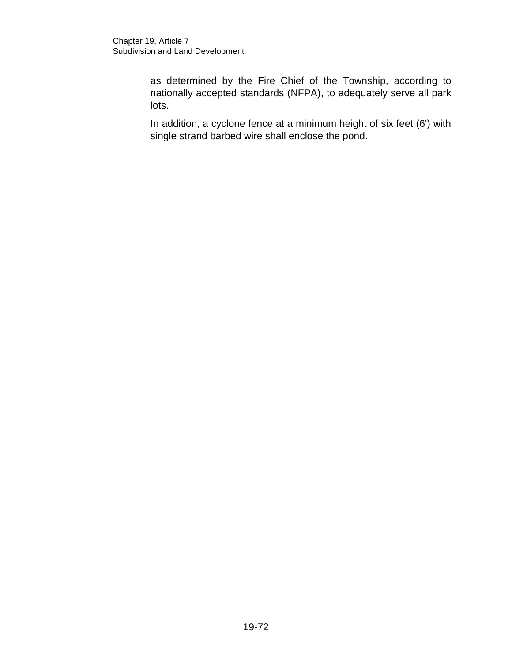as determined by the Fire Chief of the Township, according to nationally accepted standards (NFPA), to adequately serve all park lots.

In addition, a cyclone fence at a minimum height of six feet (6') with single strand barbed wire shall enclose the pond.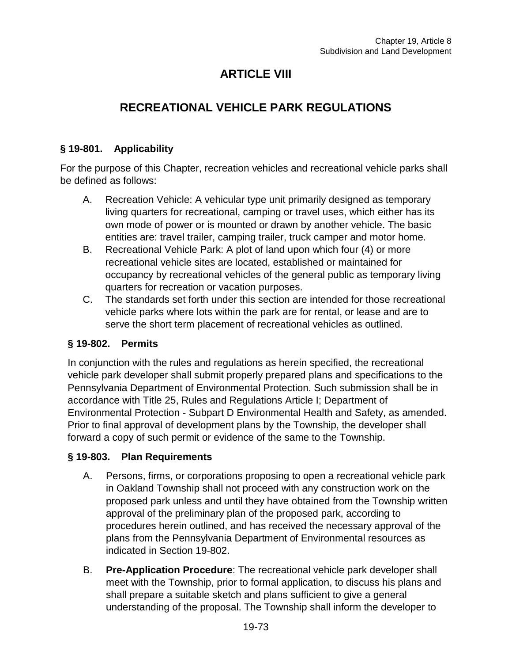## **ARTICLE VIII**

## **RECREATIONAL VEHICLE PARK REGULATIONS**

#### **§ 19-801. Applicability**

For the purpose of this Chapter, recreation vehicles and recreational vehicle parks shall be defined as follows:

- A. Recreation Vehicle: A vehicular type unit primarily designed as temporary living quarters for recreational, camping or travel uses, which either has its own mode of power or is mounted or drawn by another vehicle. The basic entities are: travel trailer, camping trailer, truck camper and motor home.
- B. Recreational Vehicle Park: A plot of land upon which four (4) or more recreational vehicle sites are located, established or maintained for occupancy by recreational vehicles of the general public as temporary living quarters for recreation or vacation purposes.
- C. The standards set forth under this section are intended for those recreational vehicle parks where lots within the park are for rental, or lease and are to serve the short term placement of recreational vehicles as outlined.

### **§ 19-802. Permits**

In conjunction with the rules and regulations as herein specified, the recreational vehicle park developer shall submit properly prepared plans and specifications to the Pennsylvania Department of Environmental Protection. Such submission shall be in accordance with Title 25, Rules and Regulations Article I; Department of Environmental Protection - Subpart D Environmental Health and Safety, as amended. Prior to final approval of development plans by the Township, the developer shall forward a copy of such permit or evidence of the same to the Township.

#### **§ 19-803. Plan Requirements**

- A. Persons, firms, or corporations proposing to open a recreational vehicle park in Oakland Township shall not proceed with any construction work on the proposed park unless and until they have obtained from the Township written approval of the preliminary plan of the proposed park, according to procedures herein outlined, and has received the necessary approval of the plans from the Pennsylvania Department of Environmental resources as indicated in Section 19-802.
- B. **Pre-Application Procedure**: The recreational vehicle park developer shall meet with the Township, prior to formal application, to discuss his plans and shall prepare a suitable sketch and plans sufficient to give a general understanding of the proposal. The Township shall inform the developer to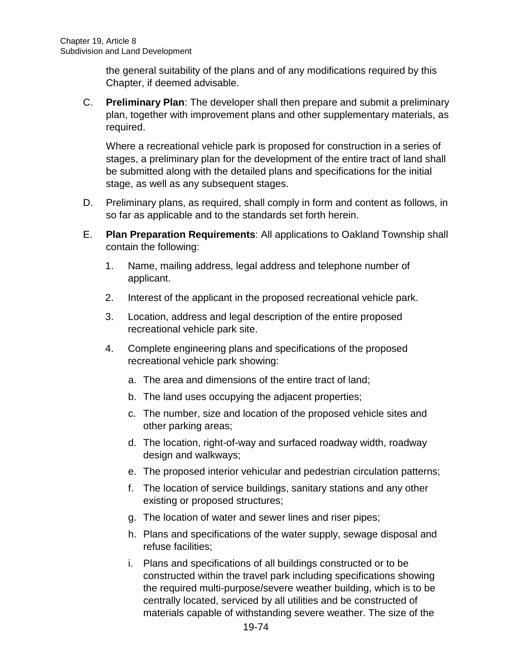the general suitability of the plans and of any modifications required by this Chapter, if deemed advisable.

C. **Preliminary Plan**: The developer shall then prepare and submit a preliminary plan, together with improvement plans and other supplementary materials, as required.

Where a recreational vehicle park is proposed for construction in a series of stages, a preliminary plan for the development of the entire tract of land shall be submitted along with the detailed plans and specifications for the initial stage, as well as any subsequent stages.

- D. Preliminary plans, as required, shall comply in form and content as follows, in so far as applicable and to the standards set forth herein.
- E. **Plan Preparation Requirements**: All applications to Oakland Township shall contain the following:
	- 1. Name, mailing address, legal address and telephone number of applicant.
	- 2. Interest of the applicant in the proposed recreational vehicle park.
	- 3. Location, address and legal description of the entire proposed recreational vehicle park site.
	- 4. Complete engineering plans and specifications of the proposed recreational vehicle park showing:
		- a. The area and dimensions of the entire tract of land;
		- b. The land uses occupying the adjacent properties;
		- c. The number, size and location of the proposed vehicle sites and other parking areas;
		- d. The location, right-of-way and surfaced roadway width, roadway design and walkways;
		- e. The proposed interior vehicular and pedestrian circulation patterns;
		- f. The location of service buildings, sanitary stations and any other existing or proposed structures;
		- g. The location of water and sewer lines and riser pipes;
		- h. Plans and specifications of the water supply, sewage disposal and refuse facilities;
		- i. Plans and specifications of all buildings constructed or to be constructed within the travel park including specifications showing the required multi-purpose/severe weather building, which is to be centrally located, serviced by all utilities and be constructed of materials capable of withstanding severe weather. The size of the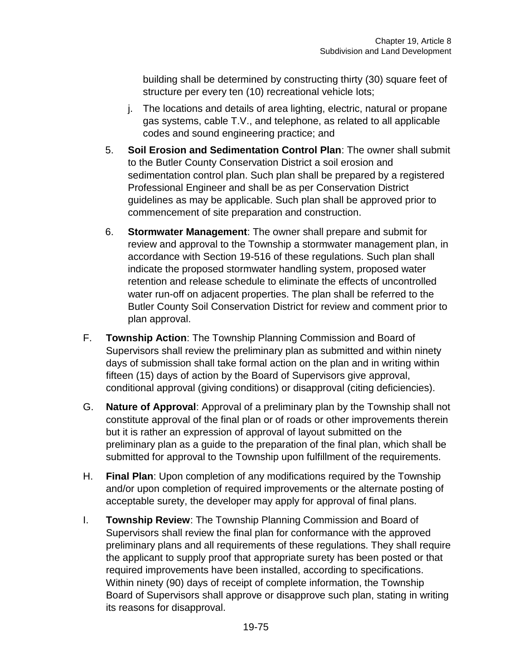building shall be determined by constructing thirty (30) square feet of structure per every ten (10) recreational vehicle lots;

- j. The locations and details of area lighting, electric, natural or propane gas systems, cable T.V., and telephone, as related to all applicable codes and sound engineering practice; and
- 5. **Soil Erosion and Sedimentation Control Plan**: The owner shall submit to the Butler County Conservation District a soil erosion and sedimentation control plan. Such plan shall be prepared by a registered Professional Engineer and shall be as per Conservation District guidelines as may be applicable. Such plan shall be approved prior to commencement of site preparation and construction.
- 6. **Stormwater Management**: The owner shall prepare and submit for review and approval to the Township a stormwater management plan, in accordance with Section 19-516 of these regulations. Such plan shall indicate the proposed stormwater handling system, proposed water retention and release schedule to eliminate the effects of uncontrolled water run-off on adjacent properties. The plan shall be referred to the Butler County Soil Conservation District for review and comment prior to plan approval.
- F. **Township Action**: The Township Planning Commission and Board of Supervisors shall review the preliminary plan as submitted and within ninety days of submission shall take formal action on the plan and in writing within fifteen (15) days of action by the Board of Supervisors give approval, conditional approval (giving conditions) or disapproval (citing deficiencies).
- G. **Nature of Approval**: Approval of a preliminary plan by the Township shall not constitute approval of the final plan or of roads or other improvements therein but it is rather an expression of approval of layout submitted on the preliminary plan as a guide to the preparation of the final plan, which shall be submitted for approval to the Township upon fulfillment of the requirements.
- H. **Final Plan**: Upon completion of any modifications required by the Township and/or upon completion of required improvements or the alternate posting of acceptable surety, the developer may apply for approval of final plans.
- I. **Township Review**: The Township Planning Commission and Board of Supervisors shall review the final plan for conformance with the approved preliminary plans and all requirements of these regulations. They shall require the applicant to supply proof that appropriate surety has been posted or that required improvements have been installed, according to specifications. Within ninety (90) days of receipt of complete information, the Township Board of Supervisors shall approve or disapprove such plan, stating in writing its reasons for disapproval.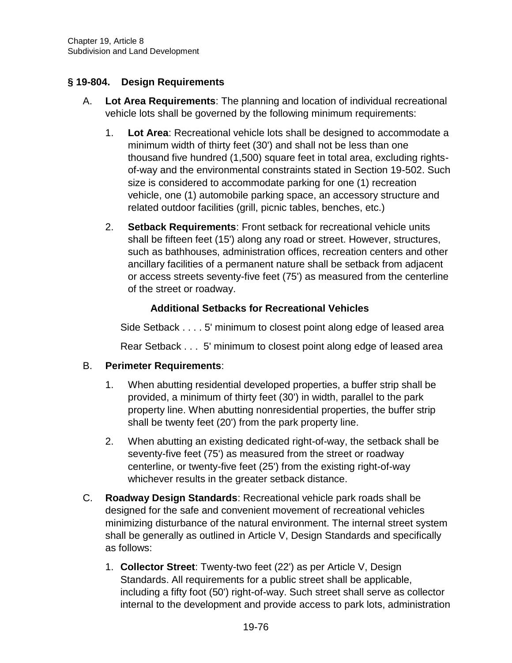## **§ 19-804. Design Requirements**

- A. **Lot Area Requirements**: The planning and location of individual recreational vehicle lots shall be governed by the following minimum requirements:
	- 1. **Lot Area**: Recreational vehicle lots shall be designed to accommodate a minimum width of thirty feet (30') and shall not be less than one thousand five hundred (1,500) square feet in total area, excluding rightsof-way and the environmental constraints stated in Section 19-502. Such size is considered to accommodate parking for one (1) recreation vehicle, one (1) automobile parking space, an accessory structure and related outdoor facilities (grill, picnic tables, benches, etc.)
	- 2. **Setback Requirements**: Front setback for recreational vehicle units shall be fifteen feet (15') along any road or street. However, structures, such as bathhouses, administration offices, recreation centers and other ancillary facilities of a permanent nature shall be setback from adjacent or access streets seventy-five feet (75') as measured from the centerline of the street or roadway.

### **Additional Setbacks for Recreational Vehicles**

Side Setback . . . . 5' minimum to closest point along edge of leased area

Rear Setback . . . 5' minimum to closest point along edge of leased area

### B. **Perimeter Requirements**:

- 1. When abutting residential developed properties, a buffer strip shall be provided, a minimum of thirty feet (30') in width, parallel to the park property line. When abutting nonresidential properties, the buffer strip shall be twenty feet (20') from the park property line.
- 2. When abutting an existing dedicated right-of-way, the setback shall be seventy-five feet (75') as measured from the street or roadway centerline, or twenty-five feet (25') from the existing right-of-way whichever results in the greater setback distance.
- C. **Roadway Design Standards**: Recreational vehicle park roads shall be designed for the safe and convenient movement of recreational vehicles minimizing disturbance of the natural environment. The internal street system shall be generally as outlined in Article V, Design Standards and specifically as follows:
	- 1. **Collector Street**: Twenty-two feet (22') as per Article V, Design Standards. All requirements for a public street shall be applicable, including a fifty foot (50') right-of-way. Such street shall serve as collector internal to the development and provide access to park lots, administration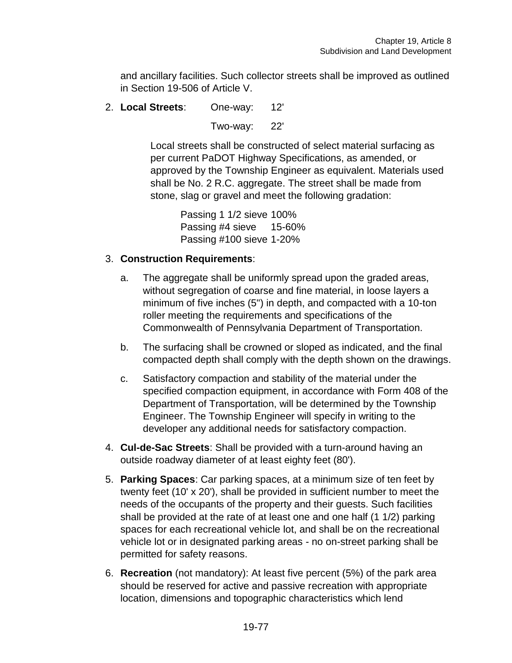and ancillary facilities. Such collector streets shall be improved as outlined in Section 19-506 of Article V.

2. **Local Streets**: One-way: 12'

Two-way: 22'

Local streets shall be constructed of select material surfacing as per current PaDOT Highway Specifications, as amended, or approved by the Township Engineer as equivalent. Materials used shall be No. 2 R.C. aggregate. The street shall be made from stone, slag or gravel and meet the following gradation:

> Passing 1 1/2 sieve 100% Passing #4 sieve 15-60% Passing #100 sieve 1-20%

### 3. **Construction Requirements**:

- a. The aggregate shall be uniformly spread upon the graded areas, without segregation of coarse and fine material, in loose layers a minimum of five inches (5") in depth, and compacted with a 10-ton roller meeting the requirements and specifications of the Commonwealth of Pennsylvania Department of Transportation.
- b. The surfacing shall be crowned or sloped as indicated, and the final compacted depth shall comply with the depth shown on the drawings.
- c. Satisfactory compaction and stability of the material under the specified compaction equipment, in accordance with Form 408 of the Department of Transportation, will be determined by the Township Engineer. The Township Engineer will specify in writing to the developer any additional needs for satisfactory compaction.
- 4. **Cul-de-Sac Streets**: Shall be provided with a turn-around having an outside roadway diameter of at least eighty feet (80').
- 5. **Parking Spaces**: Car parking spaces, at a minimum size of ten feet by twenty feet (10' x 20'), shall be provided in sufficient number to meet the needs of the occupants of the property and their guests. Such facilities shall be provided at the rate of at least one and one half (1 1/2) parking spaces for each recreational vehicle lot, and shall be on the recreational vehicle lot or in designated parking areas - no on-street parking shall be permitted for safety reasons.
- 6. **Recreation** (not mandatory): At least five percent (5%) of the park area should be reserved for active and passive recreation with appropriate location, dimensions and topographic characteristics which lend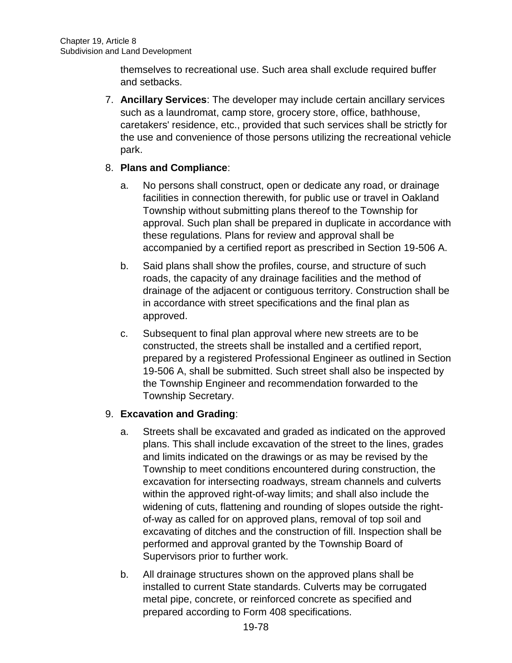themselves to recreational use. Such area shall exclude required buffer and setbacks.

7. **Ancillary Services**: The developer may include certain ancillary services such as a laundromat, camp store, grocery store, office, bathhouse, caretakers' residence, etc., provided that such services shall be strictly for the use and convenience of those persons utilizing the recreational vehicle park.

### 8. **Plans and Compliance**:

- a. No persons shall construct, open or dedicate any road, or drainage facilities in connection therewith, for public use or travel in Oakland Township without submitting plans thereof to the Township for approval. Such plan shall be prepared in duplicate in accordance with these regulations. Plans for review and approval shall be accompanied by a certified report as prescribed in Section 19-506 A.
- b. Said plans shall show the profiles, course, and structure of such roads, the capacity of any drainage facilities and the method of drainage of the adjacent or contiguous territory. Construction shall be in accordance with street specifications and the final plan as approved.
- c. Subsequent to final plan approval where new streets are to be constructed, the streets shall be installed and a certified report, prepared by a registered Professional Engineer as outlined in Section 19-506 A, shall be submitted. Such street shall also be inspected by the Township Engineer and recommendation forwarded to the Township Secretary.

### 9. **Excavation and Grading**:

- a. Streets shall be excavated and graded as indicated on the approved plans. This shall include excavation of the street to the lines, grades and limits indicated on the drawings or as may be revised by the Township to meet conditions encountered during construction, the excavation for intersecting roadways, stream channels and culverts within the approved right-of-way limits; and shall also include the widening of cuts, flattening and rounding of slopes outside the rightof-way as called for on approved plans, removal of top soil and excavating of ditches and the construction of fill. Inspection shall be performed and approval granted by the Township Board of Supervisors prior to further work.
- b. All drainage structures shown on the approved plans shall be installed to current State standards. Culverts may be corrugated metal pipe, concrete, or reinforced concrete as specified and prepared according to Form 408 specifications.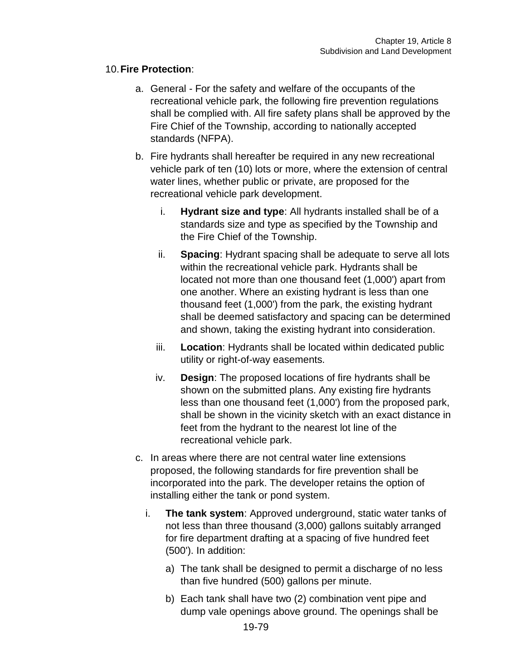### 10.**Fire Protection**:

- a. General For the safety and welfare of the occupants of the recreational vehicle park, the following fire prevention regulations shall be complied with. All fire safety plans shall be approved by the Fire Chief of the Township, according to nationally accepted standards (NFPA).
- b. Fire hydrants shall hereafter be required in any new recreational vehicle park of ten (10) lots or more, where the extension of central water lines, whether public or private, are proposed for the recreational vehicle park development.
	- i. **Hydrant size and type**: All hydrants installed shall be of a standards size and type as specified by the Township and the Fire Chief of the Township.
	- ii. **Spacing**: Hydrant spacing shall be adequate to serve all lots within the recreational vehicle park. Hydrants shall be located not more than one thousand feet (1,000') apart from one another. Where an existing hydrant is less than one thousand feet (1,000') from the park, the existing hydrant shall be deemed satisfactory and spacing can be determined and shown, taking the existing hydrant into consideration.
	- iii. **Location**: Hydrants shall be located within dedicated public utility or right-of-way easements.
	- iv. **Design**: The proposed locations of fire hydrants shall be shown on the submitted plans. Any existing fire hydrants less than one thousand feet (1,000') from the proposed park, shall be shown in the vicinity sketch with an exact distance in feet from the hydrant to the nearest lot line of the recreational vehicle park.
- c. In areas where there are not central water line extensions proposed, the following standards for fire prevention shall be incorporated into the park. The developer retains the option of installing either the tank or pond system.
	- i. **The tank system**: Approved underground, static water tanks of not less than three thousand (3,000) gallons suitably arranged for fire department drafting at a spacing of five hundred feet (500'). In addition:
		- a) The tank shall be designed to permit a discharge of no less than five hundred (500) gallons per minute.
		- b) Each tank shall have two (2) combination vent pipe and dump vale openings above ground. The openings shall be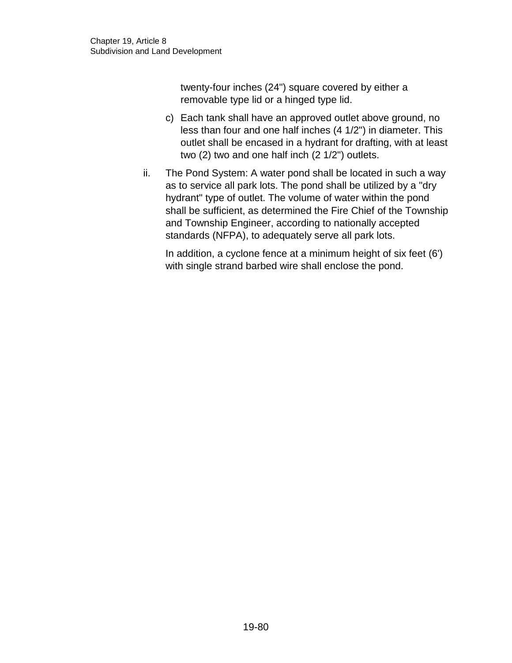twenty-four inches (24") square covered by either a removable type lid or a hinged type lid.

- c) Each tank shall have an approved outlet above ground, no less than four and one half inches (4 1/2") in diameter. This outlet shall be encased in a hydrant for drafting, with at least two (2) two and one half inch (2 1/2") outlets.
- ii. The Pond System: A water pond shall be located in such a way as to service all park lots. The pond shall be utilized by a "dry hydrant" type of outlet. The volume of water within the pond shall be sufficient, as determined the Fire Chief of the Township and Township Engineer, according to nationally accepted standards (NFPA), to adequately serve all park lots.

In addition, a cyclone fence at a minimum height of six feet (6') with single strand barbed wire shall enclose the pond.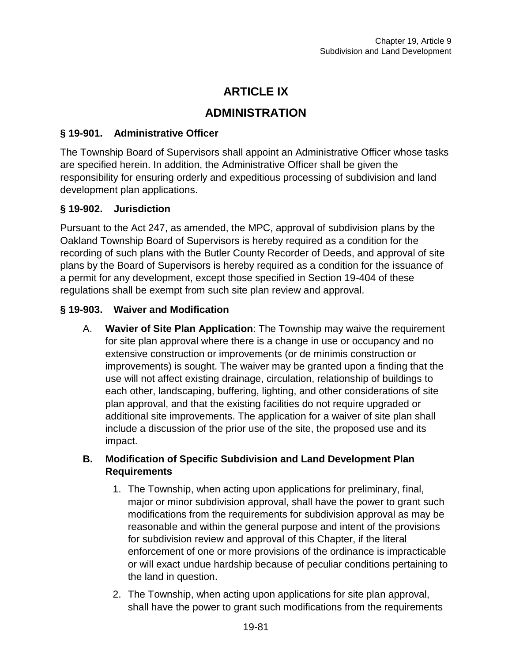# **ARTICLE IX**

## **ADMINISTRATION**

### **§ 19-901. Administrative Officer**

The Township Board of Supervisors shall appoint an Administrative Officer whose tasks are specified herein. In addition, the Administrative Officer shall be given the responsibility for ensuring orderly and expeditious processing of subdivision and land development plan applications.

### **§ 19-902. Jurisdiction**

Pursuant to the Act 247, as amended, the MPC, approval of subdivision plans by the Oakland Township Board of Supervisors is hereby required as a condition for the recording of such plans with the Butler County Recorder of Deeds, and approval of site plans by the Board of Supervisors is hereby required as a condition for the issuance of a permit for any development, except those specified in Section 19-404 of these regulations shall be exempt from such site plan review and approval.

### **§ 19-903. Waiver and Modification**

A. **Wavier of Site Plan Application**: The Township may waive the requirement for site plan approval where there is a change in use or occupancy and no extensive construction or improvements (or de minimis construction or improvements) is sought. The waiver may be granted upon a finding that the use will not affect existing drainage, circulation, relationship of buildings to each other, landscaping, buffering, lighting, and other considerations of site plan approval, and that the existing facilities do not require upgraded or additional site improvements. The application for a waiver of site plan shall include a discussion of the prior use of the site, the proposed use and its impact.

### **B. Modification of Specific Subdivision and Land Development Plan Requirements**

- 1. The Township, when acting upon applications for preliminary, final, major or minor subdivision approval, shall have the power to grant such modifications from the requirements for subdivision approval as may be reasonable and within the general purpose and intent of the provisions for subdivision review and approval of this Chapter, if the literal enforcement of one or more provisions of the ordinance is impracticable or will exact undue hardship because of peculiar conditions pertaining to the land in question.
- 2. The Township, when acting upon applications for site plan approval, shall have the power to grant such modifications from the requirements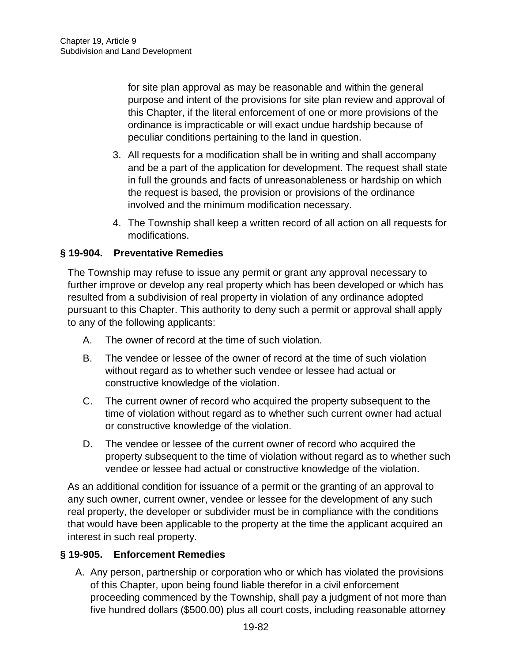for site plan approval as may be reasonable and within the general purpose and intent of the provisions for site plan review and approval of this Chapter, if the literal enforcement of one or more provisions of the ordinance is impracticable or will exact undue hardship because of peculiar conditions pertaining to the land in question.

- 3. All requests for a modification shall be in writing and shall accompany and be a part of the application for development. The request shall state in full the grounds and facts of unreasonableness or hardship on which the request is based, the provision or provisions of the ordinance involved and the minimum modification necessary.
- 4. The Township shall keep a written record of all action on all requests for modifications.

### **§ 19-904. Preventative Remedies**

The Township may refuse to issue any permit or grant any approval necessary to further improve or develop any real property which has been developed or which has resulted from a subdivision of real property in violation of any ordinance adopted pursuant to this Chapter. This authority to deny such a permit or approval shall apply to any of the following applicants:

- A. The owner of record at the time of such violation.
- B. The vendee or lessee of the owner of record at the time of such violation without regard as to whether such vendee or lessee had actual or constructive knowledge of the violation.
- C. The current owner of record who acquired the property subsequent to the time of violation without regard as to whether such current owner had actual or constructive knowledge of the violation.
- D. The vendee or lessee of the current owner of record who acquired the property subsequent to the time of violation without regard as to whether such vendee or lessee had actual or constructive knowledge of the violation.

As an additional condition for issuance of a permit or the granting of an approval to any such owner, current owner, vendee or lessee for the development of any such real property, the developer or subdivider must be in compliance with the conditions that would have been applicable to the property at the time the applicant acquired an interest in such real property.

### **§ 19-905. Enforcement Remedies**

A. Any person, partnership or corporation who or which has violated the provisions of this Chapter, upon being found liable therefor in a civil enforcement proceeding commenced by the Township, shall pay a judgment of not more than five hundred dollars (\$500.00) plus all court costs, including reasonable attorney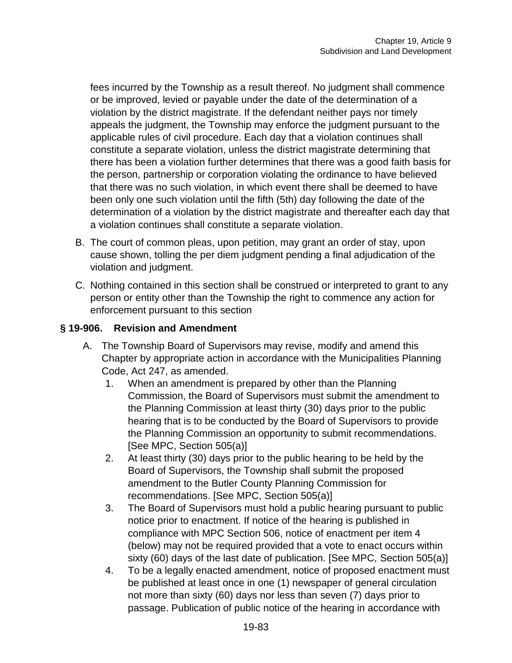fees incurred by the Township as a result thereof. No judgment shall commence or be improved, levied or payable under the date of the determination of a violation by the district magistrate. If the defendant neither pays nor timely appeals the judgment, the Township may enforce the judgment pursuant to the applicable rules of civil procedure. Each day that a violation continues shall constitute a separate violation, unless the district magistrate determining that there has been a violation further determines that there was a good faith basis for the person, partnership or corporation violating the ordinance to have believed that there was no such violation, in which event there shall be deemed to have been only one such violation until the fifth (5th) day following the date of the determination of a violation by the district magistrate and thereafter each day that a violation continues shall constitute a separate violation.

- B. The court of common pleas, upon petition, may grant an order of stay, upon cause shown, tolling the per diem judgment pending a final adjudication of the violation and judgment.
- C. Nothing contained in this section shall be construed or interpreted to grant to any person or entity other than the Township the right to commence any action for enforcement pursuant to this section

### **§ 19-906. Revision and Amendment**

- A. The Township Board of Supervisors may revise, modify and amend this Chapter by appropriate action in accordance with the Municipalities Planning Code, Act 247, as amended.
	- 1. When an amendment is prepared by other than the Planning Commission, the Board of Supervisors must submit the amendment to the Planning Commission at least thirty (30) days prior to the public hearing that is to be conducted by the Board of Supervisors to provide the Planning Commission an opportunity to submit recommendations. [See MPC, Section 505(a)]
	- 2. At least thirty (30) days prior to the public hearing to be held by the Board of Supervisors, the Township shall submit the proposed amendment to the Butler County Planning Commission for recommendations. [See MPC, Section 505(a)]
	- 3. The Board of Supervisors must hold a public hearing pursuant to public notice prior to enactment. If notice of the hearing is published in compliance with MPC Section 506, notice of enactment per item 4 (below) may not be required provided that a vote to enact occurs within sixty (60) days of the last date of publication. [See MPC, Section 505(a)]
	- 4. To be a legally enacted amendment, notice of proposed enactment must be published at least once in one (1) newspaper of general circulation not more than sixty (60) days nor less than seven (7) days prior to passage. Publication of public notice of the hearing in accordance with